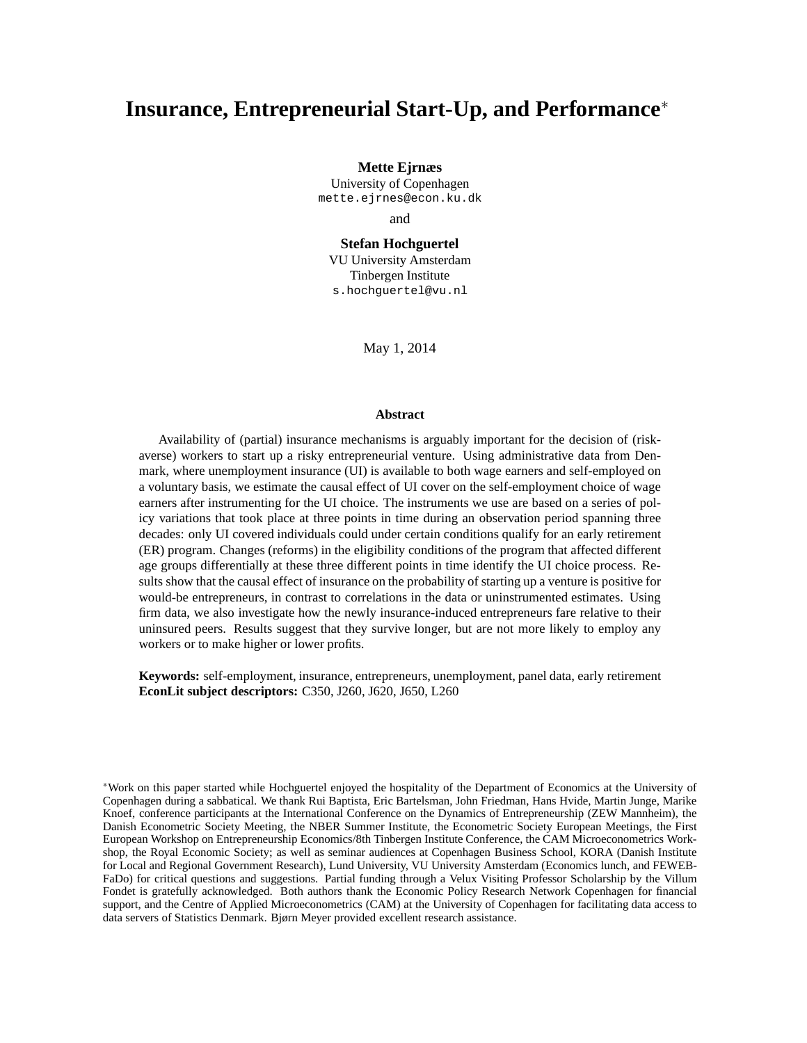# **Insurance, Entrepreneurial Start-Up, and Performance**<sup>∗</sup>

**Mette Ejrnæs**

University of Copenhagen mette.ejrnes@econ.ku.dk

and

**Stefan Hochguertel** VU University Amsterdam Tinbergen Institute s.hochguertel@vu.nl

May 1, 2014

#### **Abstract**

Availability of (partial) insurance mechanisms is arguably important for the decision of (riskaverse) workers to start up a risky entrepreneurial venture. Using administrative data from Denmark, where unemployment insurance (UI) is available to both wage earners and self-employed on a voluntary basis, we estimate the causal effect of UI cover on the self-employment choice of wage earners after instrumenting for the UI choice. The instruments we use are based on a series of policy variations that took place at three points in time during an observation period spanning three decades: only UI covered individuals could under certain conditions qualify for an early retirement (ER) program. Changes (reforms) in the eligibility conditions of the program that affected different age groups differentially at these three different points in time identify the UI choice process. Results show that the causal effect of insurance on the probability of starting up a venture is positive for would-be entrepreneurs, in contrast to correlations in the data or uninstrumented estimates. Using firm data, we also investigate how the newly insurance-induced entrepreneurs fare relative to their uninsured peers. Results suggest that they survive longer, but are not more likely to employ any workers or to make higher or lower profits.

**Keywords:** self-employment, insurance, entrepreneurs, unemployment, panel data, early retirement **EconLit subject descriptors:** C350, J260, J620, J650, L260

<sup>∗</sup>Work on this paper started while Hochguertel enjoyed the hospitality of the Department of Economics at the University of Copenhagen during a sabbatical. We thank Rui Baptista, Eric Bartelsman, John Friedman, Hans Hvide, Martin Junge, Marike Knoef, conference participants at the International Conference on the Dynamics of Entrepreneurship (ZEW Mannheim), the Danish Econometric Society Meeting, the NBER Summer Institute, the Econometric Society European Meetings, the First European Workshop on Entrepreneurship Economics/8th Tinbergen Institute Conference, the CAM Microeconometrics Workshop, the Royal Economic Society; as well as seminar audiences at Copenhagen Business School, KORA (Danish Institute for Local and Regional Government Research), Lund University, VU University Amsterdam (Economics lunch, and FEWEB-FaDo) for critical questions and suggestions. Partial funding through a Velux Visiting Professor Scholarship by the Villum Fondet is gratefully acknowledged. Both authors thank the Economic Policy Research Network Copenhagen for financial support, and the Centre of Applied Microeconometrics (CAM) at the University of Copenhagen for facilitating data access to data servers of Statistics Denmark. Bjørn Meyer provided excellent research assistance.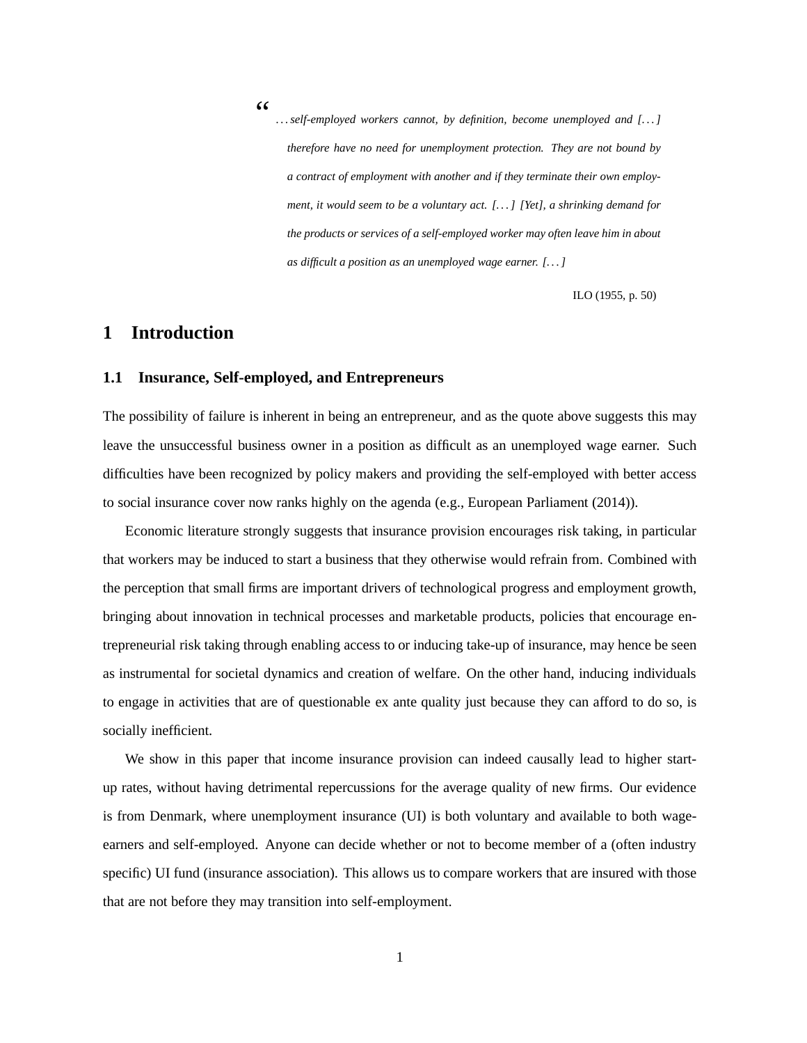<span id="page-1-0"></span>"

*. . . self-employed workers cannot, by definition, become unemployed and [. . . ] therefore have no need for unemployment protection. They are not bound by a contract of employment with another and if they terminate their own employment, it would seem to be a voluntary act. [. . . ] [Yet], a shrinking demand for the products or services of a self-employed worker may often leave him in about as difficult a position as an unemployed wage earner. [. . . ]*

[ILO \(1955,](#page-43-0) p. 50)

# **1 Introduction**

### **1.1 Insurance, Self-employed, and Entrepreneurs**

The possibility of failure is inherent in being an entrepreneur, and as the quote above suggests this may leave the unsuccessful business owner in a position as difficult as an unemployed wage earner. Such difficulties have been recognized by policy makers and providing the self-employed with better access to social insurance cover now ranks highly on the agenda (e.g., [European Parliament \(2014\)](#page-42-0)).

Economic literature strongly suggests that insurance provision encourages risk taking, in particular that workers may be induced to start a business that they otherwise would refrain from. Combined with the perception that small firms are important drivers of technological progress and employment growth, bringing about innovation in technical processes and marketable products, policies that encourage entrepreneurial risk taking through enabling access to or inducing take-up of insurance, may hence be seen as instrumental for societal dynamics and creation of welfare. On the other hand, inducing individuals to engage in activities that are of questionable ex ante quality just because they can afford to do so, is socially inefficient.

We show in this paper that income insurance provision can indeed causally lead to higher startup rates, without having detrimental repercussions for the average quality of new firms. Our evidence is from Denmark, where unemployment insurance (UI) is both voluntary and available to both wageearners and self-employed. Anyone can decide whether or not to become member of a (often industry specific) UI fund (insurance association). This allows us to compare workers that are insured with those that are not before they may transition into self-employment.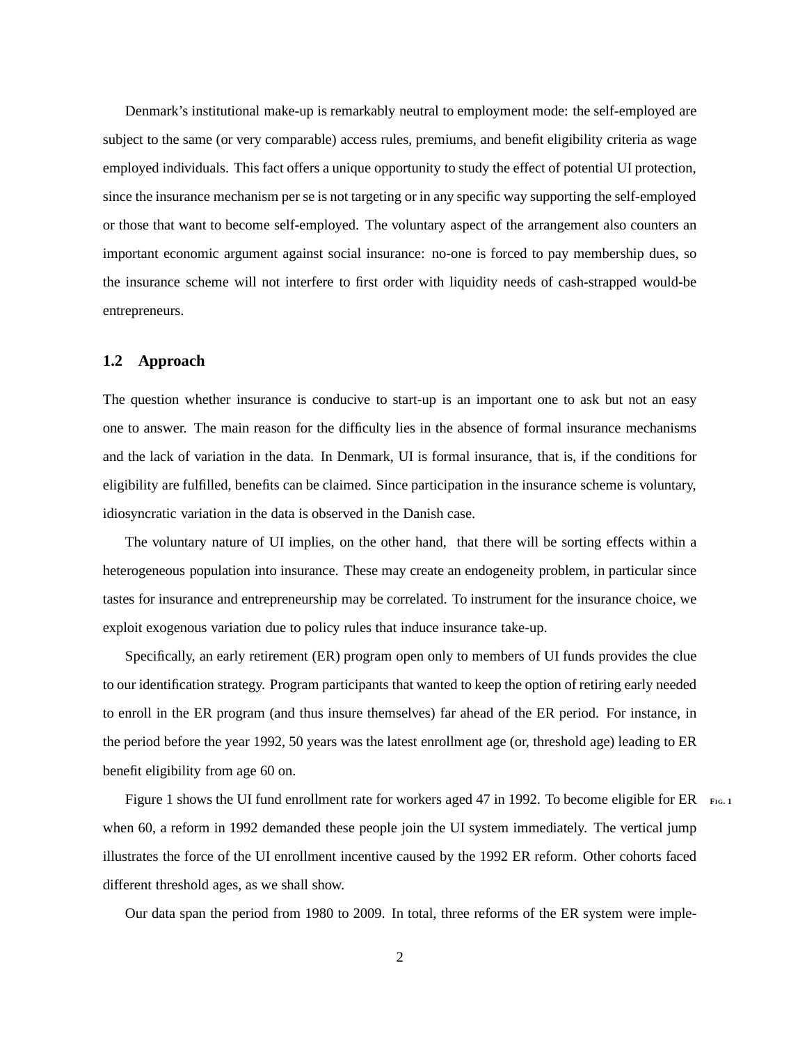Denmark's institutional make-up is remarkably neutral to employment mode: the self-employed are subject to the same (or very comparable) access rules, premiums, and benefit eligibility criteria as wage employed individuals. This fact offers a unique opportunity to study the effect of potential UI protection, since the insurance mechanism per se is not targeting or in any specific way supporting the self-employed or those that want to become self-employed. The voluntary aspect of the arrangement also counters an important economic argument against social insurance: no-one is forced to pay membership dues, so the insurance scheme will not interfere to first order with liquidity needs of cash-strapped would-be entrepreneurs.

### **1.2 Approach**

The question whether insurance is conducive to start-up is an important one to ask but not an easy one to answer. The main reason for the difficulty lies in the absence of formal insurance mechanisms and the lack of variation in the data. In Denmark, UI is formal insurance, that is, if the conditions for eligibility are fulfilled, benefits can be claimed. Since participation in the insurance scheme is voluntary, idiosyncratic variation in the data is observed in the Danish case.

The voluntary nature of UI implies, on the other hand, that there will be sorting effects within a heterogeneous population into insurance. These may create an endogeneity problem, in particular since tastes for insurance and entrepreneurship may be correlated. To instrument for the insurance choice, we exploit exogenous variation due to policy rules that induce insurance take-up.

Specifically, an early retirement (ER) program open only to members of UI funds provides the clue to our identification strategy. Program participants that wanted to keep the option of retiring early needed to enroll in the ER program (and thus insure themselves) far ahead of the ER period. For instance, in the period before the year 1992, 50 years was the latest enrollment age (or, threshold age) leading to ER benefit eligibility from age 60 on.

Figure [1](#page-46-0) shows the UI fund enrollment rate for workers aged 47 in 1992. To become eligible for ER  $_{FIG.1}$ when 60, a reform in 1992 demanded these people join the UI system immediately. The vertical jump illustrates the force of the UI enrollment incentive caused by the 1992 ER reform. Other cohorts faced different threshold ages, as we shall show.

Our data span the period from 1980 to 2009. In total, three reforms of the ER system were imple-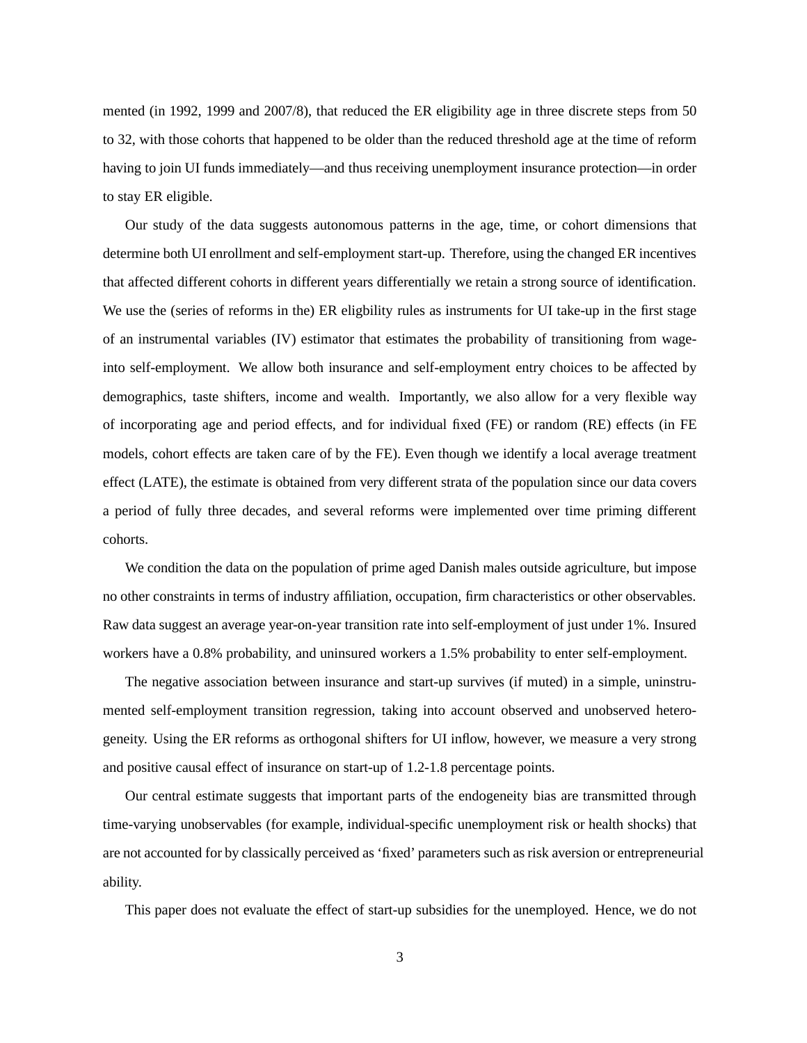mented (in 1992, 1999 and 2007/8), that reduced the ER eligibility age in three discrete steps from 50 to 32, with those cohorts that happened to be older than the reduced threshold age at the time of reform having to join UI funds immediately—and thus receiving unemployment insurance protection—in order to stay ER eligible.

Our study of the data suggests autonomous patterns in the age, time, or cohort dimensions that determine both UI enrollment and self-employment start-up. Therefore, using the changed ER incentives that affected different cohorts in different years differentially we retain a strong source of identification. We use the (series of reforms in the) ER eligbility rules as instruments for UI take-up in the first stage of an instrumental variables (IV) estimator that estimates the probability of transitioning from wageinto self-employment. We allow both insurance and self-employment entry choices to be affected by demographics, taste shifters, income and wealth. Importantly, we also allow for a very flexible way of incorporating age and period effects, and for individual fixed (FE) or random (RE) effects (in FE models, cohort effects are taken care of by the FE). Even though we identify a local average treatment effect (LATE), the estimate is obtained from very different strata of the population since our data covers a period of fully three decades, and several reforms were implemented over time priming different cohorts.

We condition the data on the population of prime aged Danish males outside agriculture, but impose no other constraints in terms of industry affiliation, occupation, firm characteristics or other observables. Raw data suggest an average year-on-year transition rate into self-employment of just under 1%. Insured workers have a 0.8% probability, and uninsured workers a 1.5% probability to enter self-employment.

The negative association between insurance and start-up survives (if muted) in a simple, uninstrumented self-employment transition regression, taking into account observed and unobserved heterogeneity. Using the ER reforms as orthogonal shifters for UI inflow, however, we measure a very strong and positive causal effect of insurance on start-up of 1.2-1.8 percentage points.

Our central estimate suggests that important parts of the endogeneity bias are transmitted through time-varying unobservables (for example, individual-specific unemployment risk or health shocks) that are not accounted for by classically perceived as 'fixed' parameters such as risk aversion or entrepreneurial ability.

This paper does not evaluate the effect of start-up subsidies for the unemployed. Hence, we do not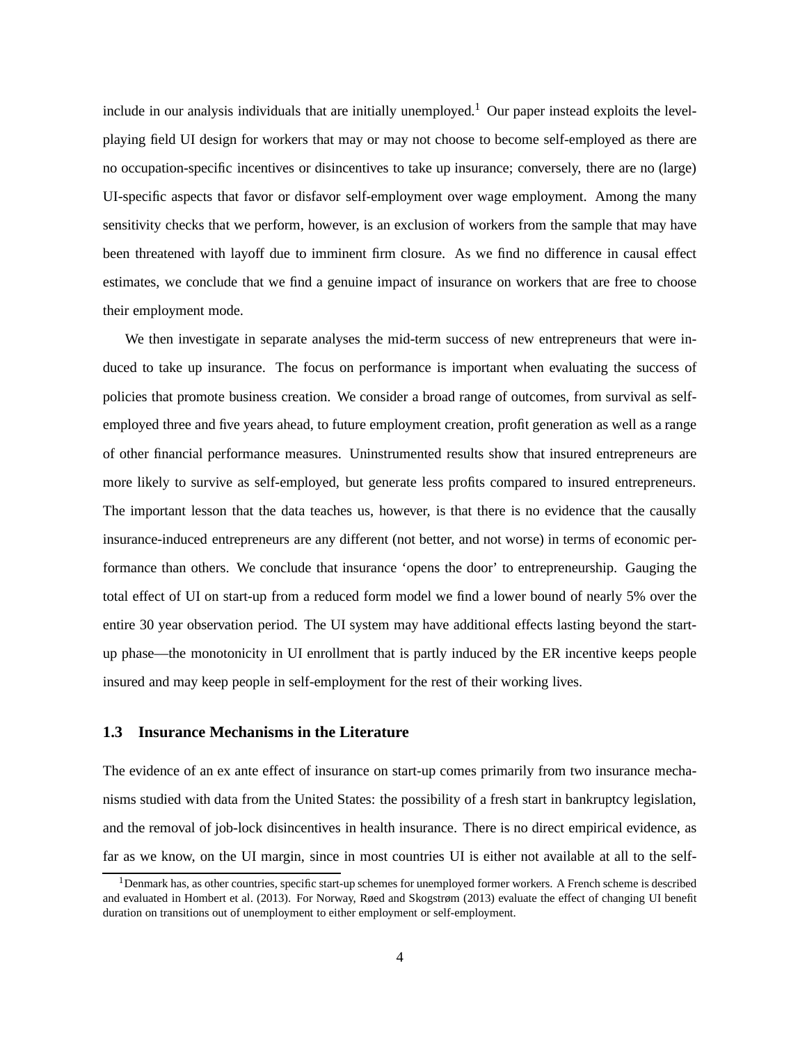<span id="page-4-1"></span>include in our analysis individuals that are initially unemployed.<sup>[1](#page-4-0)</sup> Our paper instead exploits the levelplaying field UI design for workers that may or may not choose to become self-employed as there are no occupation-specific incentives or disincentives to take up insurance; conversely, there are no (large) UI-specific aspects that favor or disfavor self-employment over wage employment. Among the many sensitivity checks that we perform, however, is an exclusion of workers from the sample that may have been threatened with layoff due to imminent firm closure. As we find no difference in causal effect estimates, we conclude that we find a genuine impact of insurance on workers that are free to choose their employment mode.

We then investigate in separate analyses the mid-term success of new entrepreneurs that were induced to take up insurance. The focus on performance is important when evaluating the success of policies that promote business creation. We consider a broad range of outcomes, from survival as selfemployed three and five years ahead, to future employment creation, profit generation as well as a range of other financial performance measures. Uninstrumented results show that insured entrepreneurs are more likely to survive as self-employed, but generate less profits compared to insured entrepreneurs. The important lesson that the data teaches us, however, is that there is no evidence that the causally insurance-induced entrepreneurs are any different (not better, and not worse) in terms of economic performance than others. We conclude that insurance 'opens the door' to entrepreneurship. Gauging the total effect of UI on start-up from a reduced form model we find a lower bound of nearly 5% over the entire 30 year observation period. The UI system may have additional effects lasting beyond the startup phase—the monotonicity in UI enrollment that is partly induced by the ER incentive keeps people insured and may keep people in self-employment for the rest of their working lives.

# **1.3 Insurance Mechanisms in the Literature**

The evidence of an ex ante effect of insurance on start-up comes primarily from two insurance mechanisms studied with data from the United States: the possibility of a fresh start in bankruptcy legislation, and the removal of job-lock disincentives in health insurance. There is no direct empirical evidence, as far as we know, on the UI margin, since in most countries UI is either not available at all to the self-

<span id="page-4-0"></span><sup>&</sup>lt;sup>1</sup>Denmark has, as other countries, specific start-up schemes for unemployed former workers. A French scheme is described and evaluated in [Hombert et al. \(2013\)](#page-43-1). For Norway, [Røed and Skogstrøm](#page-44-0) [\(2013](#page-44-0)) evaluate the effect of changing UI benefit duration on transitions out of unemployment to either employment or self-employment.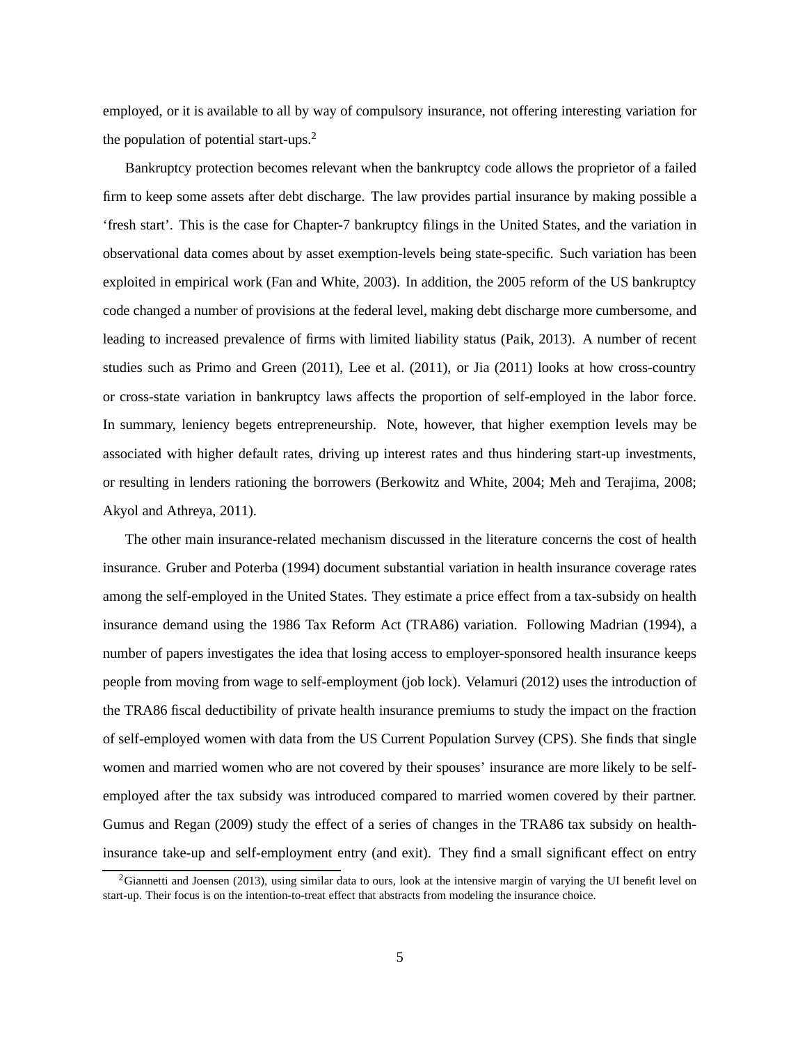<span id="page-5-1"></span>employed, or it is available to all by way of compulsory insurance, not offering interesting variation for the population of potential start-ups.[2](#page-5-0)

Bankruptcy protection becomes relevant when the bankruptcy code allows the proprietor of a failed firm to keep some assets after debt discharge. The law provides partial insurance by making possible a 'fresh start'. This is the case for Chapter-7 bankruptcy filings in the United States, and the variation in observational data comes about by asset exemption-levels being state-specific. Such variation has been exploited in empirical work [\(Fan and White](#page-42-1), [2003](#page-42-1)). In addition, the 2005 reform of the US bankruptcy code changed a number of provisions at the federal level, making debt discharge more cumbersome, and leading to increased prevalence of firms with limited liability status [\(Paik, 2013](#page-44-1)). A number of recent studies such as [Primo and Green](#page-44-2) [\(2011](#page-44-2)), [Lee et al.](#page-43-2) [\(2011](#page-43-2)), or [Jia \(2011\)](#page-43-3) looks at how cross-country or cross-state variation in bankruptcy laws affects the proportion of self-employed in the labor force. In summary, leniency begets entrepreneurship. Note, however, that higher exemption levels may be associated with higher default rates, driving up interest rates and thus hindering start-up investments, or resulting in lenders rationing the borrowers (Berkowitz [and White, 2004;](#page-41-0) [Meh and Terajima, 2008;](#page-44-3) [Akyol and Athreya](#page-41-1), [2011\)](#page-41-1).

The other main insurance-related mechanism discussed in the literature concerns the cost of health insurance. [Gruber and Poterba](#page-43-4) [\(1994](#page-43-4)) document substantial variation in health insurance coverage rates among the self-employed in the United States. They estimate a price effect from a tax-subsidy on health insurance demand using the 1986 Tax Reform Act (TRA86) variation. Following [Madrian \(1994](#page-44-4)), a number of papers investigates the idea that losing access to employer-sponsored health insurance keeps people from moving from wage to self-employment (job lock). [Velamuri \(2012\)](#page-45-0) uses the introduction of the TRA86 fiscal deductibility of private health insurance premiums to study the impact on the fraction of self-employed women with data from the US Current Population Survey (CPS). She finds that single women and married women who are not covered by their spouses' insurance are more likely to be selfemployed after the tax subsidy was introduced compared to married women covered by their partner. [Gumus and Regan](#page-43-5) [\(2009](#page-43-5)) study the effect of a series of changes in the TRA86 tax subsidy on healthinsurance take-up and self-employment entry (and exit). They find a small significant effect on entry

<span id="page-5-0"></span> $2$ [Giannetti and Joensen \(2013\)](#page-42-2), using similar data to ours, look at the intensive margin of varying the UI benefit level on start-up. Their focus is on the intention-to-treat effect that abstracts from modeling the insurance choice.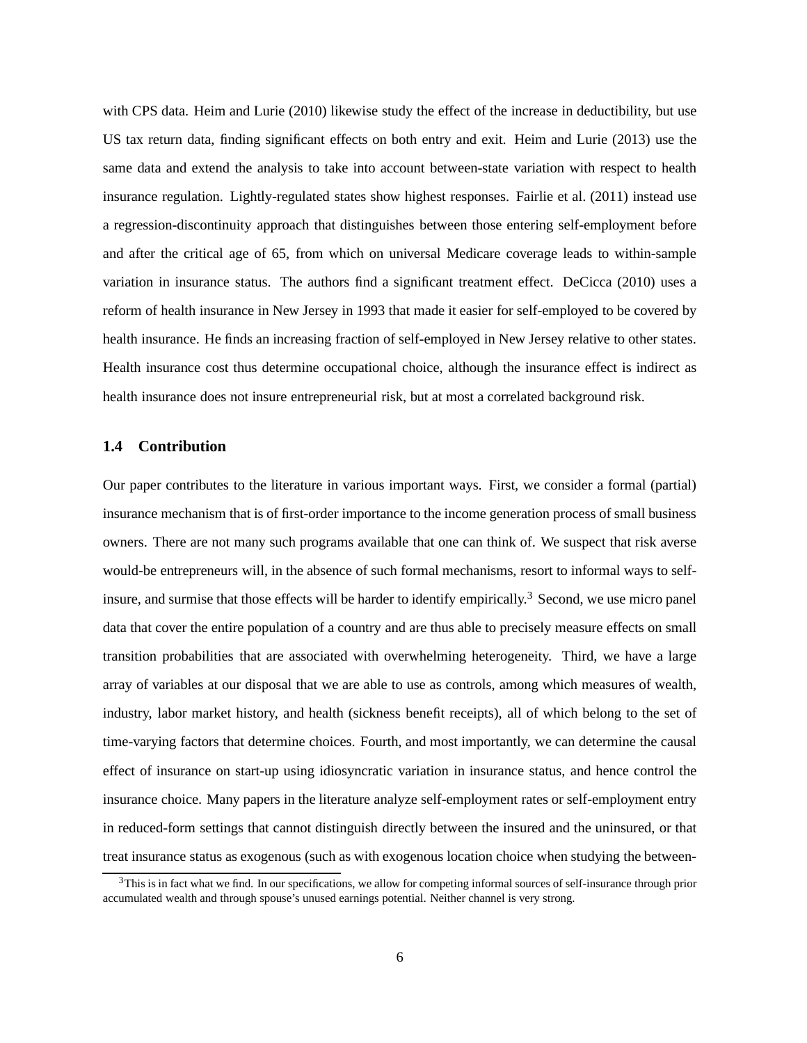<span id="page-6-1"></span>with CPS data. [Heim and Lurie](#page-43-6) [\(2010](#page-43-6)) likewise study the effect of the increase in deductibility, but use US tax return data, finding significant effects on both entry and exit. [Heim and Lurie \(2013\)](#page-43-7) use the same data and extend the analysis to take into account between-state variation with respect to health insurance regulation. Lightly-regulated states show highest responses. [Fairlie et al.](#page-42-3) [\(2011](#page-42-3)) instead use a regression-discontinuity approach that distinguishes between those entering self-employment before and after the critical age of 65, from which on universal Medicare coverage leads to within-sample variation in insurance status. The authors find a significant treatment effect. [DeCicca \(2010\)](#page-42-4) uses a reform of health insurance in New Jersey in 1993 that made it easier for self-employed to be covered by health insurance. He finds an increasing fraction of self-employed in New Jersey relative to other states. Health insurance cost thus determine occupational choice, although the insurance effect is indirect as health insurance does not insure entrepreneurial risk, but at most a correlated background risk.

### **1.4 Contribution**

Our paper contributes to the literature in various important ways. First, we consider a formal (partial) insurance mechanism that is of first-order importance to the income generation process of small business owners. There are not many such programs available that one can think of. We suspect that risk averse would-be entrepreneurs will, in the absence of such formal mechanisms, resort to informal ways to self-insure, and surmise that those effects will be harder to identify empirically.<sup>[3](#page-6-0)</sup> Second, we use micro panel data that cover the entire population of a country and are thus able to precisely measure effects on small transition probabilities that are associated with overwhelming heterogeneity. Third, we have a large array of variables at our disposal that we are able to use as controls, among which measures of wealth, industry, labor market history, and health (sickness benefit receipts), all of which belong to the set of time-varying factors that determine choices. Fourth, and most importantly, we can determine the causal effect of insurance on start-up using idiosyncratic variation in insurance status, and hence control the insurance choice. Many papers in the literature analyze self-employment rates or self-employment entry in reduced-form settings that cannot distinguish directly between the insured and the uninsured, or that treat insurance status as exogenous (such as with exogenous location choice when studying the between-

<span id="page-6-0"></span> $3$ This is in fact what we find. In our specifications, we allow for competing informal sources of self-insurance through prior accumulated wealth and through spouse's unused earnings potential. Neither channel is very strong.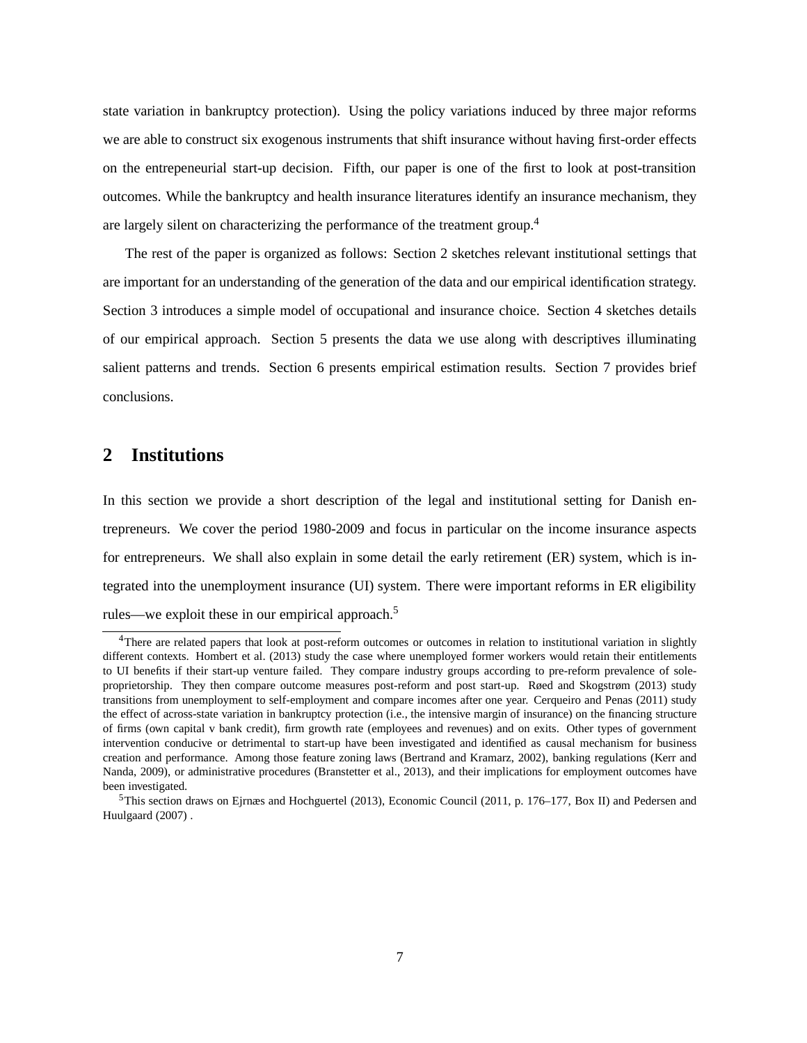<span id="page-7-3"></span>state variation in bankruptcy protection). Using the policy variations induced by three major reforms we are able to construct six exogenous instruments that shift insurance without having first-order effects on the entrepeneurial start-up decision. Fifth, our paper is one of the first to look at post-transition outcomes. While the bankruptcy and health insurance literatures identify an insurance mechanism, they are largely silent on characterizing the performance of the treatment group.[4](#page-7-0)

The rest of the paper is organized as follows: Section [2](#page-7-1) sketches relevant institutional settings that are important for an understanding of the generation of the data and our empirical identification strategy. Section [3](#page-14-0) introduces a simple model of occupational and insurance choice. Section [4](#page-20-0) sketches details of our empirical approach. Section [5](#page-24-0) presents the data we use along with descriptives illuminating salient patterns and trends. Section [6](#page-26-0) presents empirical estimation results. Section [7](#page-38-0) provides brief conclusions.

# <span id="page-7-1"></span>**2 Institutions**

In this section we provide a short description of the legal and institutional setting for Danish entrepreneurs. We cover the period 1980-2009 and focus in particular on the income insurance aspects for entrepreneurs. We shall also explain in some detail the early retirement (ER) system, which is integrated into the unemployment insurance (UI) system. There were important reforms in ER eligibility rules—we exploit these in our empirical approach.<sup>[5](#page-7-2)</sup>

<span id="page-7-0"></span><sup>4</sup>There are related papers that look at post-reform outcomes or outcomes in relation to institutional variation in slightly different contexts. [Hombert et al. \(2013](#page-43-1)) study the case where unemployed former workers would retain their entitlements to UI benefits if their start-up venture failed. They compare industry groups according to pre-reform prevalence of soleproprietorship. They then compare outcome measures post-reform and post start-up. [Røed and Skogstrøm \(2013\)](#page-44-0) study transitions from unemployment to self-employment and compare incomes after one year. [Cerqueiro and Penas \(2011\)](#page-42-5) study the effect of across-state variation in bankruptcy protection (i.e., the intensive margin of insurance) on the financing structure of firms (own capital v bank credit), firm growth rate (employees and revenues) and on exits. Other types of government intervention conducive or detrimental to start-up have been investigated and identified as causal mechanism for business creati[on and performance. Among those feature zoning laws](#page-43-8) [\(Bertrand and Kramarz](#page-41-2)[,](#page-43-8) [2002](#page-41-2)[\), banking regulations \(](#page-43-8)Kerr and Nanda, [2009](#page-43-8)), or administrative procedures [\(Branstetter et al., 2013](#page-41-3)), and their implications for employment outcomes have been investigated.

<span id="page-7-2"></span> $5$ This [section draws on](#page-44-5) [Ejrnæs and Hochguertel \(2013](#page-42-6)[\),](#page-44-5) [Economic Council](#page-42-7)[\(2011,](#page-42-7) [p. 176–177, Box II\) and](#page-44-5) Pedersen and Huulgaard [\(2007\)](#page-44-5) .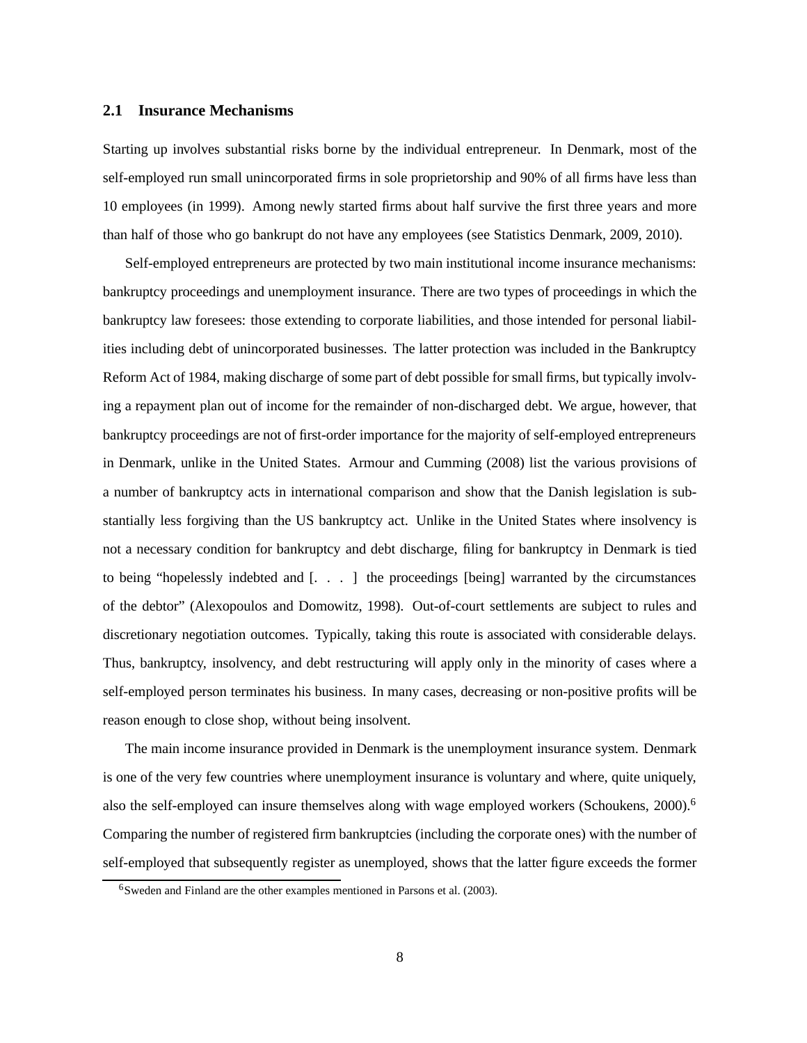### <span id="page-8-1"></span>**2.1 Insurance Mechanisms**

Starting up involves substantial risks borne by the individual entrepreneur. In Denmark, most of the self-employed run small unincorporated firms in sole proprietorship and 90% of all firms have less than 10 employees (in 1999). Among newly started firms about half survive the first three years and more than half of those who go bankrupt do not have any employees (see [Statistics Denmark](#page-45-1), [2009](#page-45-1), [2010\)](#page-45-2).

Self-employed entrepreneurs are protected by two main institutional income insurance mechanisms: bankruptcy proceedings and unemployment insurance. There are two types of proceedings in which the bankruptcy law foresees: those extending to corporate liabilities, and those intended for personal liabilities including debt of unincorporated businesses. The latter protection was included in the Bankruptcy Reform Act of 1984, making discharge of some part of debt possible for small firms, but typically involving a repayment plan out of income for the remainder of non-discharged debt. We argue, however, that bankruptcy proceedings are not of first-order importance for the majority of self-employed entrepreneurs in Denmark, unlike in the United States. [Armour and Cumming](#page-41-4) [\(2008](#page-41-4)) list the various provisions of a number of bankruptcy acts in international comparison and show that the Danish legislation is substantially less forgiving than the US bankruptcy act. Unlike in the United States where insolvency is not a necessary condition for bankruptcy and debt discharge, filing for bankruptcy in Denmark is tied to being "hopelessly indebted and [. . . ] the proceedings [being] warranted by the circumstances of the debtor" [\(Alexopoulos and Domowitz](#page-41-5), [1998](#page-41-5)). Out-of-court settlements are subject to rules and discretionary negotiation outcomes. Typically, taking this route is associated with considerable delays. Thus, bankruptcy, insolvency, and debt restructuring will apply only in the minority of cases where a self-employed person terminates his business. In many cases, decreasing or non-positive profits will be reason enough to close shop, without being insolvent.

The main income insurance provided in Denmark is the unemployment insurance system. Denmark is one of the very few countries where unemployment insurance is voluntary and where, quite uniquely, also the self-employed can insure themselves along with wage employed workers [\(Schoukens, 2000\)](#page-44-6).[6](#page-8-0) Comparing the number of registered firm bankruptcies (including the corporate ones) with the number of self-employed that subsequently register as unemployed, shows that the latter figure exceeds the former

<span id="page-8-0"></span><sup>6</sup>Sweden and Finland are the other examples mentioned in [Parsons et al.](#page-44-7) [\(2003](#page-44-7)).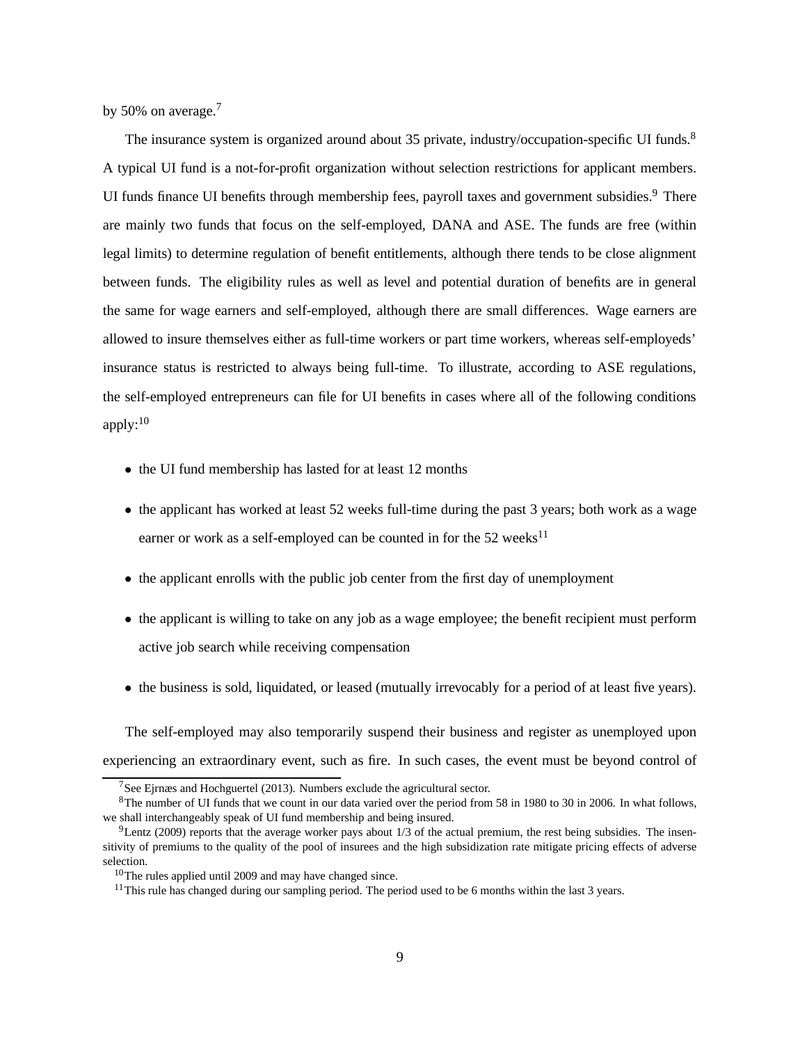<span id="page-9-5"></span>by 50% on average.<sup>[7](#page-9-0)</sup>

The insurance system is organized around about 35 private, industry/occupation-specific UI funds.<sup>[8](#page-9-1)</sup> A typical UI fund is a not-for-profit organization without selection restrictions for applicant members. UI funds finance UI benefits through membership fees, payroll taxes and government subsidies.<sup>[9](#page-9-2)</sup> There are mainly two funds that focus on the self-employed, DANA and ASE. The funds are free (within legal limits) to determine regulation of benefit entitlements, although there tends to be close alignment between funds. The eligibility rules as well as level and potential duration of benefits are in general the same for wage earners and self-employed, although there are small differences. Wage earners are allowed to insure themselves either as full-time workers or part time workers, whereas self-employeds' insurance status is restricted to always being full-time. To illustrate, according to ASE regulations, the self-employed entrepreneurs can file for UI benefits in cases where all of the following conditions apply:[10](#page-9-3)

- the UI fund membership has lasted for at least 12 months
- the applicant has worked at least 52 weeks full-time during the past 3 years; both work as a wage earner or work as a self-employed can be counted in for the  $52$  weeks<sup>[11](#page-9-4)</sup>
- the applicant enrolls with the public job center from the first day of unemployment
- the applicant is willing to take on any job as a wage employee; the benefit recipient must perform active job search while receiving compensation
- the business is sold, liquidated, or leased (mutually irrevocably for a period of at least five years).

The self-employed may also temporarily suspend their business and register as unemployed upon experiencing an extraordinary event, such as fire. In such cases, the event must be beyond control of

<span id="page-9-0"></span><sup>&</sup>lt;sup>7</sup>See [Ejrnæs and Hochguertel \(2013](#page-42-6)). Numbers exclude the agricultural sector.

<span id="page-9-1"></span> $8$ The number of UI funds that we count in our data varied over the period from 58 in 1980 to 30 in 2006. In what follows, we shall interchangeably speak of UI fund membership and being insured.

<span id="page-9-2"></span> $9$ [Lentz \(2009](#page-44-8)) reports that the average worker pays about 1/3 of the actual premium, the rest being subsidies. The insensitivity of premiums to the quality of the pool of insurees and the high subsidization rate mitigate pricing effects of adverse selection.

<sup>10</sup>The rules applied until 2009 and may have changed since.

<span id="page-9-4"></span><span id="page-9-3"></span><sup>&</sup>lt;sup>11</sup>This rule has changed during our sampling period. The period used to be 6 months within the last 3 years.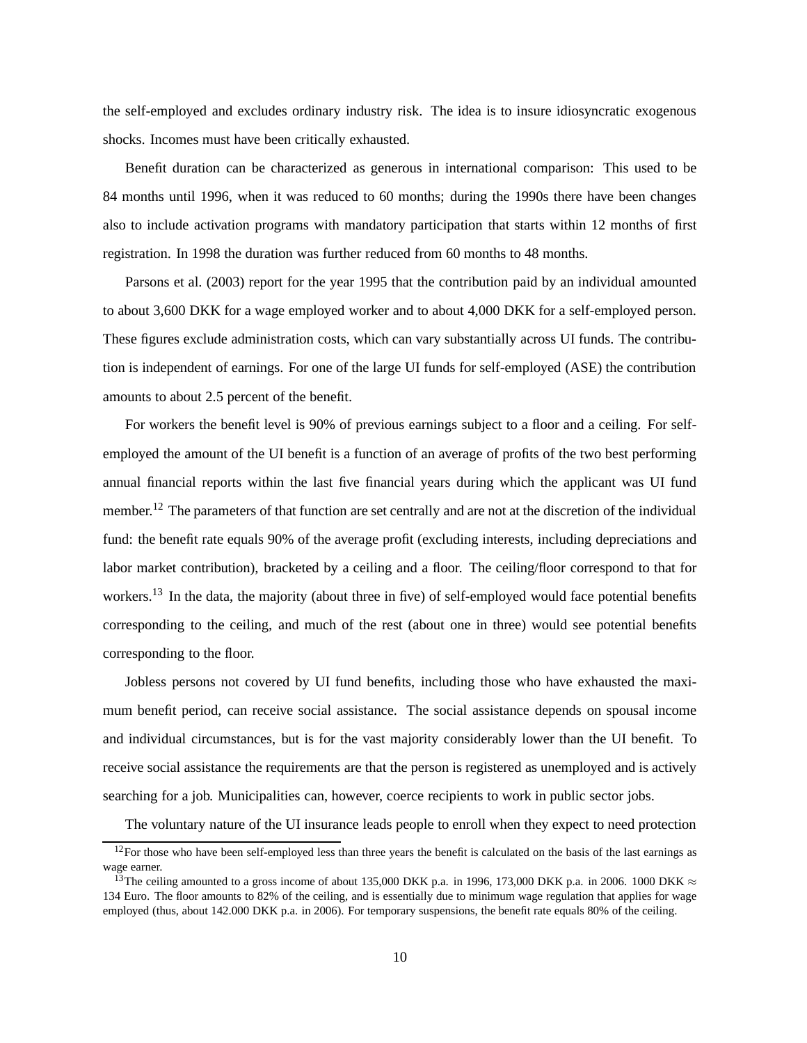<span id="page-10-2"></span>the self-employed and excludes ordinary industry risk. The idea is to insure idiosyncratic exogenous shocks. Incomes must have been critically exhausted.

Benefit duration can be characterized as generous in international comparison: This used to be 84 months until 1996, when it was reduced to 60 months; during the 1990s there have been changes also to include activation programs with mandatory participation that starts within 12 months of first [registration. In 19](#page-44-7)98 the duration was further reduced from 60 months to 48 months.

Parsons et al. [\(2003\)](#page-44-7) report for the year 1995 that the contribution paid by an individual amounted to about 3,600 DKK for a wage employed worker and to about 4,000 DKK for a self-employed person. These figures exclude administration costs, which can vary substantially across UI funds. The contribution is independent of earnings. For one of the large UI funds for self-employed (ASE) the contribution amounts to about 2.5 percent of the benefit.

For workers the benefit level is 90% of previous earnings subject to a floor and a ceiling. For selfemployed the amount of the UI benefit is a function of an average of profits of the two best performing annual financial reports within the last five financial years during which the applicant was UI fund member.<sup>[12](#page-10-0)</sup> The parameters of that function are set centrally and are not at the discretion of the individual fund: the benefit rate equals 90% of the average profit (excluding interests, including depreciations and labor market contribution), bracketed by a ceiling and a floor. The ceiling/floor correspond to that for workers.<sup>[13](#page-10-1)</sup> In the data, the majority (about three in five) of self-employed would face potential benefits corresponding to the ceiling, and much of the rest (about one in three) would see potential benefits corresponding to the floor.

Jobless persons not covered by UI fund benefits, including those who have exhausted the maximum benefit period, can receive social assistance. The social assistance depends on spousal income and individual circumstances, but is for the vast majority considerably lower than the UI benefit. To receive social assistance the requirements are that the person is registered as unemployed and is actively searching for a job. Municipalities can, however, coerce recipients to work in public sector jobs.

The voluntary nature of the UI insurance leads people to enroll when they expect to need protection

<span id="page-10-0"></span> $12$ For those who have been self-employed less than three years the benefit is calculated on the basis of the last earnings as wage earner.

<span id="page-10-1"></span><sup>&</sup>lt;sup>13</sup>The ceiling amounted to a gross income of about 135,000 DKK p.a. in 1996, 173,000 DKK p.a. in 2006. 1000 DKK  $\approx$ 134 Euro. The floor amounts to 82% of the ceiling, and is essentially due to minimum wage regulation that applies for wage employed (thus, about 142.000 DKK p.a. in 2006). For temporary suspensions, the benefit rate equals 80% of the ceiling.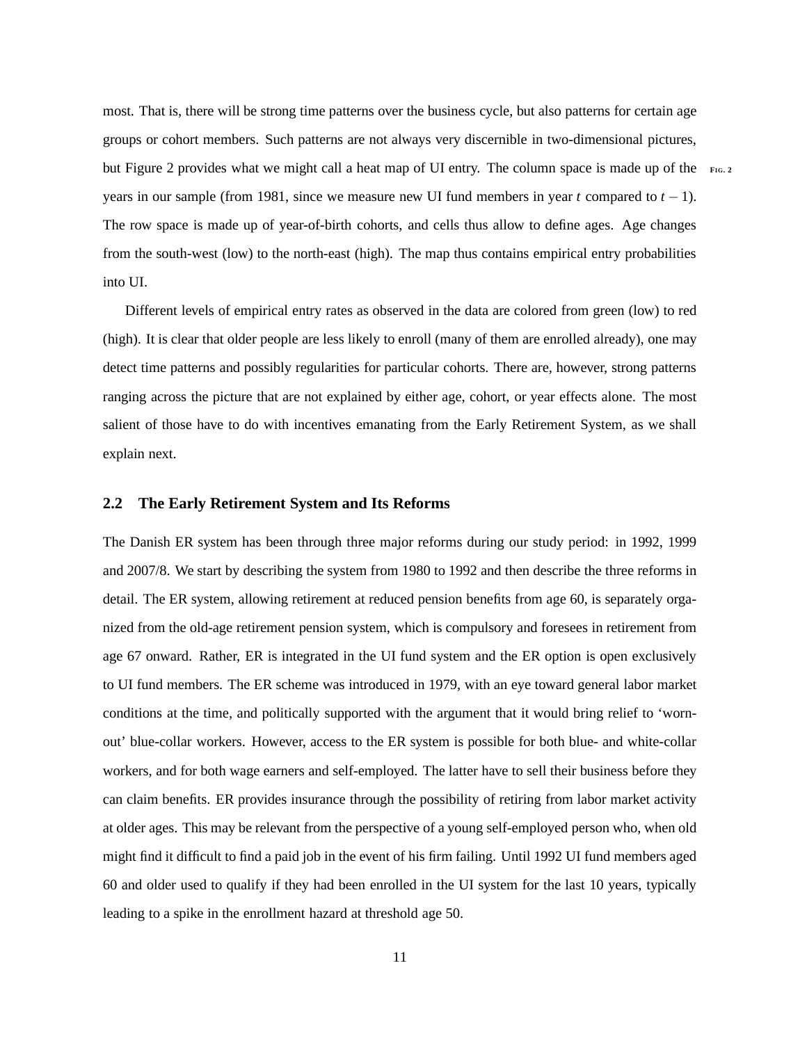most. That is, there will be strong time patterns over the business cycle, but also patterns for certain age groups or cohort members. Such patterns are not always very discernible in two-dimensional pictures, but Figure [2](#page-47-0) provides what we might call a heat map of UI entry. The column space is made up of the **<sup>F</sup>IG. [2](#page-47-0)** years in our sample (from 1981, since we measure new UI fund members in year *t* compared to  $t - 1$ ). The row space is made up of year-of-birth cohorts, and cells thus allow to define ages. Age changes from the south-west (low) to the north-east (high). The map thus contains empirical entry probabilities into UI.

Different levels of empirical entry rates as observed in the data are colored from green (low) to red (high). It is clear that older people are less likely to enroll (many of them are enrolled already), one may detect time patterns and possibly regularities for particular cohorts. There are, however, strong patterns ranging across the picture that are not explained by either age, cohort, or year effects alone. The most salient of those have to do with incentives emanating from the Early Retirement System, as we shall explain next.

#### **2.2 The Early Retirement System and Its Reforms**

The Danish ER system has been through three major reforms during our study period: in 1992, 1999 and 2007/8. We start by describing the system from 1980 to 1992 and then describe the three reforms in detail. The ER system, allowing retirement at reduced pension benefits from age 60, is separately organized from the old-age retirement pension system, which is compulsory and foresees in retirement from age 67 onward. Rather, ER is integrated in the UI fund system and the ER option is open exclusively to UI fund members. The ER scheme was introduced in 1979, with an eye toward general labor market conditions at the time, and politically supported with the argument that it would bring relief to 'wornout' blue-collar workers. However, access to the ER system is possible for both blue- and white-collar workers, and for both wage earners and self-employed. The latter have to sell their business before they can claim benefits. ER provides insurance through the possibility of retiring from labor market activity at older ages. This may be relevant from the perspective of a young self-employed person who, when old might find it difficult to find a paid job in the event of his firm failing. Until 1992 UI fund members aged 60 and older used to qualify if they had been enrolled in the UI system for the last 10 years, typically leading to a spike in the enrollment hazard at threshold age 50.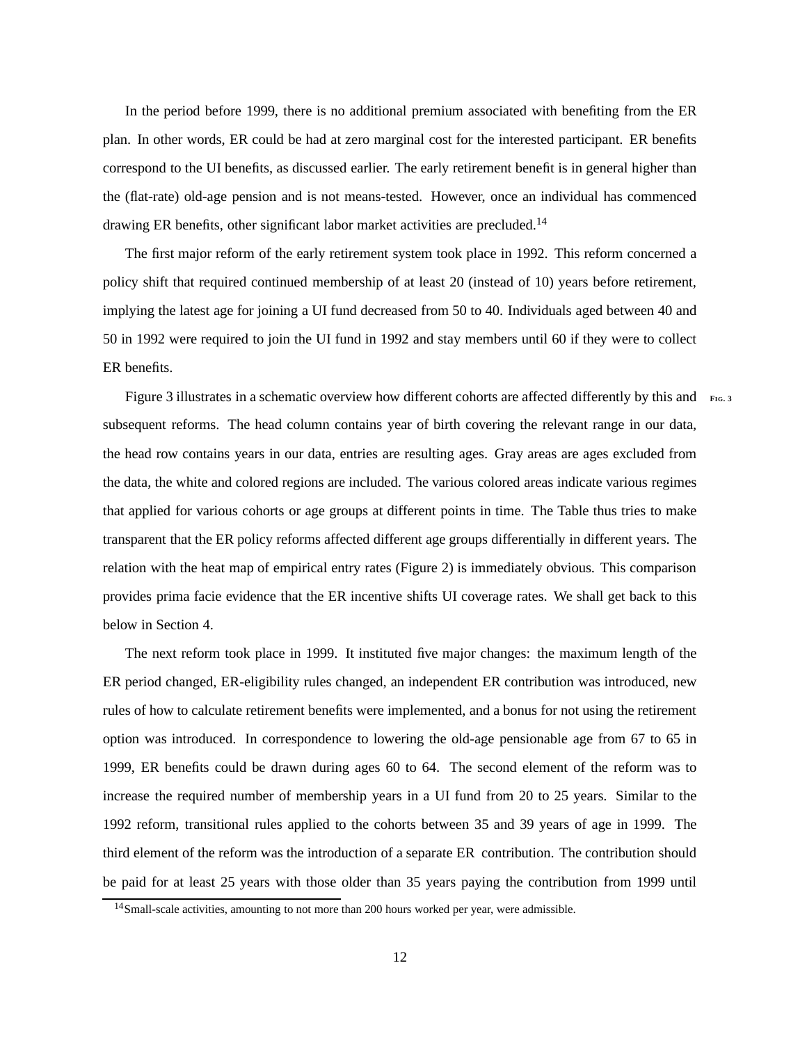In the period before 1999, there is no additional premium associated with benefiting from the ER plan. In other words, ER could be had at zero marginal cost for the interested participant. ER benefits correspond to the UI benefits, as discussed earlier. The early retirement benefit is in general higher than the (flat-rate) old-age pension and is not means-tested. However, once an individual has commenced drawing ER benefits, other significant labor market activities are precluded.<sup>[14](#page-12-0)</sup>

The first major reform of the early retirement system took place in 1992. This reform concerned a policy shift that required continued membership of at least 20 (instead of 10) years before retirement, implying the latest age for joining a UI fund decreased from 50 to 40. Individuals aged between 40 and 50 in 1992 were required to join the UI fund in 1992 and stay members until 60 if they were to collect ER benefits.

Figure [3](#page-48-0) illustrates in a schematic overview how different cohorts are affected differently by this and **FIG**. subsequent reforms. The head column contains year of birth covering the relevant range in our data, the head row contains years in our data, entries are resulting ages. Gray areas are ages excluded from the data, the white and colored regions are included. The various colored areas indicate various regimes that applied for various cohorts or age groups at different points in time. The Table thus tries to make transparent that the ER policy reforms affected different age groups differentially in different years. The relation with the heat map of empirical entry rates (Figure [2\)](#page-47-0) is immediately obvious. This comparison provides prima facie evidence that the ER incentive shifts UI coverage rates. We shall get back to this below in Section [4.](#page-20-0)

The next reform took place in 1999. It instituted five major changes: the maximum length of the ER period changed, ER-eligibility rules changed, an independent ER contribution was introduced, new rules of how to calculate retirement benefits were implemented, and a bonus for not using the retirement option was introduced. In correspondence to lowering the old-age pensionable age from 67 to 65 in 1999, ER benefits could be drawn during ages 60 to 64. The second element of the reform was to increase the required number of membership years in a UI fund from 20 to 25 years. Similar to the 1992 reform, transitional rules applied to the cohorts between 35 and 39 years of age in 1999. The third element of the reform was the introduction of a separate ER contribution. The contribution should be paid for at least 25 years with those older than 35 years paying the contribution from 1999 until

<span id="page-12-0"></span><sup>&</sup>lt;sup>14</sup>Small-scale activities, amounting to not more than 200 hours worked per year, were admissible.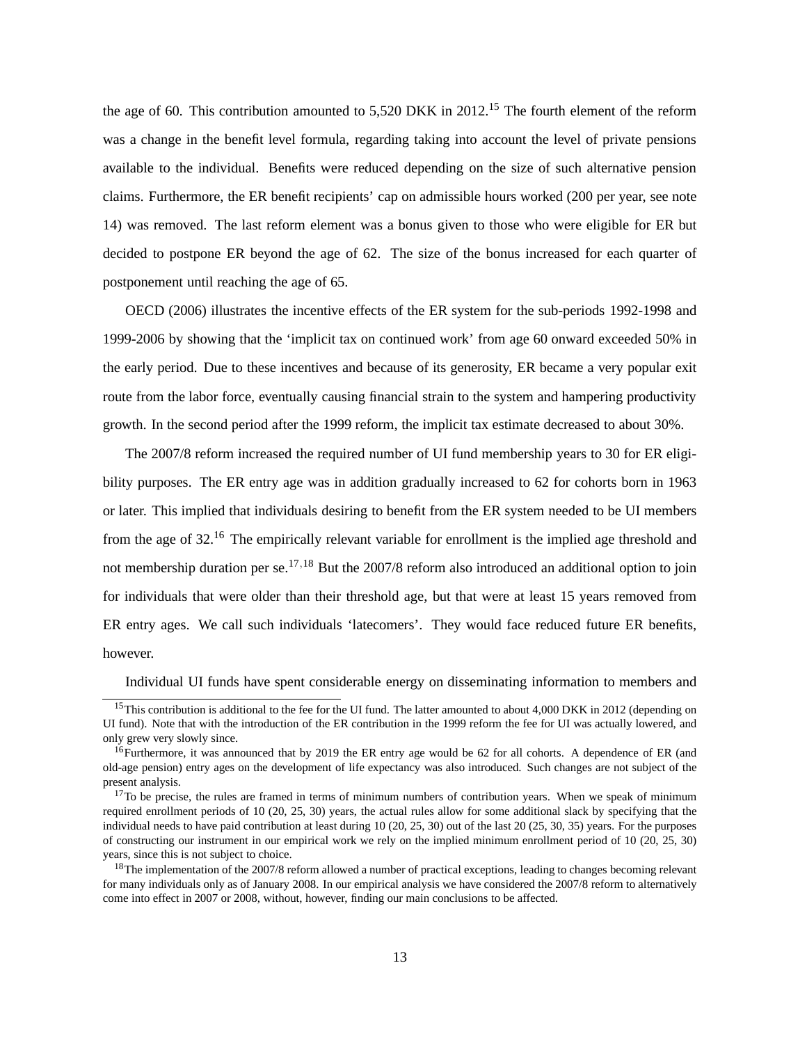<span id="page-13-4"></span>the age of 60. This contribution amounted to 5,520 DKK in 2012.<sup>[15](#page-13-0)</sup> The fourth element of the reform was a change in the benefit level formula, regarding taking into account the level of private pensions available to the individual. Benefits were reduced depending on the size of such alternative pension claims. Furthermore, the ER benefit recipients' cap on admissible hours worked (200 per year, see note [14\)](#page-12-0) was removed. The last reform element was a bonus given to those who were eligible for ER but decided to postpone ER beyond the age of 62. The size of the bonus increased for each quarter of [postponem](#page-44-9)ent until reaching the age of 65.

OECD [\(2006](#page-44-9)) illustrates the incentive effects of the ER system for the sub-periods 1992-1998 and 1999-2006 by showing that the 'implicit tax on continued work' from age 60 onward exceeded 50% in the early period. Due to these incentives and because of its generosity, ER became a very popular exit route from the labor force, eventually causing financial strain to the system and hampering productivity growth. In the second period after the 1999 reform, the implicit tax estimate decreased to about 30%.

The 2007/8 reform increased the required number of UI fund membership years to 30 for ER eligibility purposes. The ER entry age was in addition gradually increased to 62 for cohorts born in 1963 or later. This implied that individuals desiring to benefit from the ER system needed to be UI members from the age of 32.[16](#page-13-1) The empirically relevant variable for enrollment is the implied age threshold and not membership duration per se.[17](#page-13-2),[18](#page-13-3) But the 2007/8 reform also introduced an additional option to join for individuals that were older than their threshold age, but that were at least 15 years removed from ER entry ages. We call such individuals 'latecomers'. They would face reduced future ER benefits, however.

Individual UI funds have spent considerable energy on disseminating information to members and

<span id="page-13-0"></span><sup>&</sup>lt;sup>15</sup>This contribution is additional to the fee for the UI fund. The latter amounted to about 4,000 DKK in 2012 (depending on UI fund). Note that with the introduction of the ER contribution in the 1999 reform the fee for UI was actually lowered, and only grew very slowly since.

<span id="page-13-1"></span><sup>&</sup>lt;sup>16</sup>Furthermore, it was announced that by 2019 the ER entry age would be 62 for all cohorts. A dependence of ER (and old-age pension) entry ages on the development of life expectancy was also introduced. Such changes are not subject of the present analysis.

<span id="page-13-2"></span> $17$ To be precise, the rules are framed in terms of minimum numbers of contribution years. When we speak of minimum required enrollment periods of 10 (20, 25, 30) years, the actual rules allow for some additional slack by specifying that the individual needs to have paid contribution at least during 10 (20, 25, 30) out of the last 20 (25, 30, 35) years. For the purposes of constructing our instrument in our empirical work we rely on the implied minimum enrollment period of 10 (20, 25, 30) years, since this is not subject to choice.

<span id="page-13-3"></span> $18$ The implementation of the 2007/8 reform allowed a number of practical exceptions, leading to changes becoming relevant for many individuals only as of January 2008. In our empirical analysis we have considered the 2007/8 reform to alternatively come into effect in 2007 or 2008, without, however, finding our main conclusions to be affected.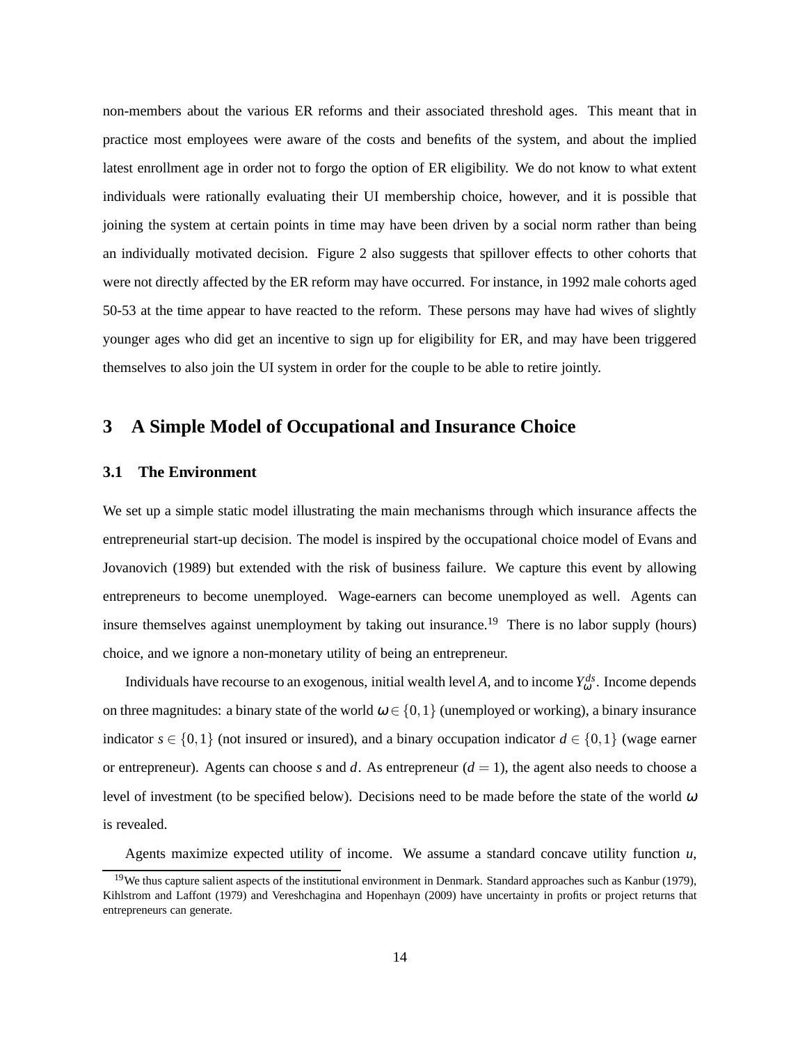<span id="page-14-2"></span>non-members about the various ER reforms and their associated threshold ages. This meant that in practice most employees were aware of the costs and benefits of the system, and about the implied latest enrollment age in order not to forgo the option of ER eligibility. We do not know to what extent individuals were rationally evaluating their UI membership choice, however, and it is possible that joining the system at certain points in time may have been driven by a social norm rather than being an individually motivated decision. Figure [2](#page-47-0) also suggests that spillover effects to other cohorts that were not directly affected by the ER reform may have occurred. For instance, in 1992 male cohorts aged 50-53 at the time appear to have reacted to the reform. These persons may have had wives of slightly younger ages who did get an incentive to sign up for eligibility for ER, and may have been triggered themselves to also join the UI system in order for the couple to be able to retire jointly.

# <span id="page-14-0"></span>**3 A Simple Model of Occupational and Insurance Choice**

### **3.1 The Environment**

We set up a simple static model illustrating the main mechanisms through which insurance affects the entreprene[urial start-up decision. The model is inspired by the occupational choice model of](#page-42-8) Evans and Jovanovich [\(1989](#page-42-8)) but extended with the risk of business failure. We capture this event by allowing entrepreneurs to become unemployed. Wage-earners can become unemployed as well. Agents can insure themselves against unemployment by taking out insurance.<sup>[19](#page-14-1)</sup> There is no labor supply (hours) choice, and we ignore a non-monetary utility of being an entrepreneur.

Individuals have recourse to an exogenous, initial wealth level A, and to income  $Y_{\omega}^{ds}$ . Income depends on three magnitudes: a binary state of the world  $\omega \in \{0,1\}$  (unemployed or working), a binary insurance indicator  $s \in \{0,1\}$  (not insured or insured), and a binary occupation indicator  $d \in \{0,1\}$  (wage earner or entrepreneur). Agents can choose *s* and *d*. As entrepreneur  $(d = 1)$ , the agent also needs to choose a level of investment (to be specified below). Decisions need to be made before the state of the world  $\omega$ is revealed.

Agents maximize expected utility of income. We assume a standard concave utility function *u*,

<span id="page-14-1"></span><sup>&</sup>lt;sup>19</sup>We thus capture salient aspects of the institutional environment in Denmark. Standard approaches such as [Kanbur](#page-43-9) [\(1979](#page-43-9)), [Kihlstrom and Laffont \(1979](#page-43-10)) and [Vereshchagina and Hopenhayn \(2009](#page-45-3)) have uncertainty in profits or project returns that entrepreneurs can generate.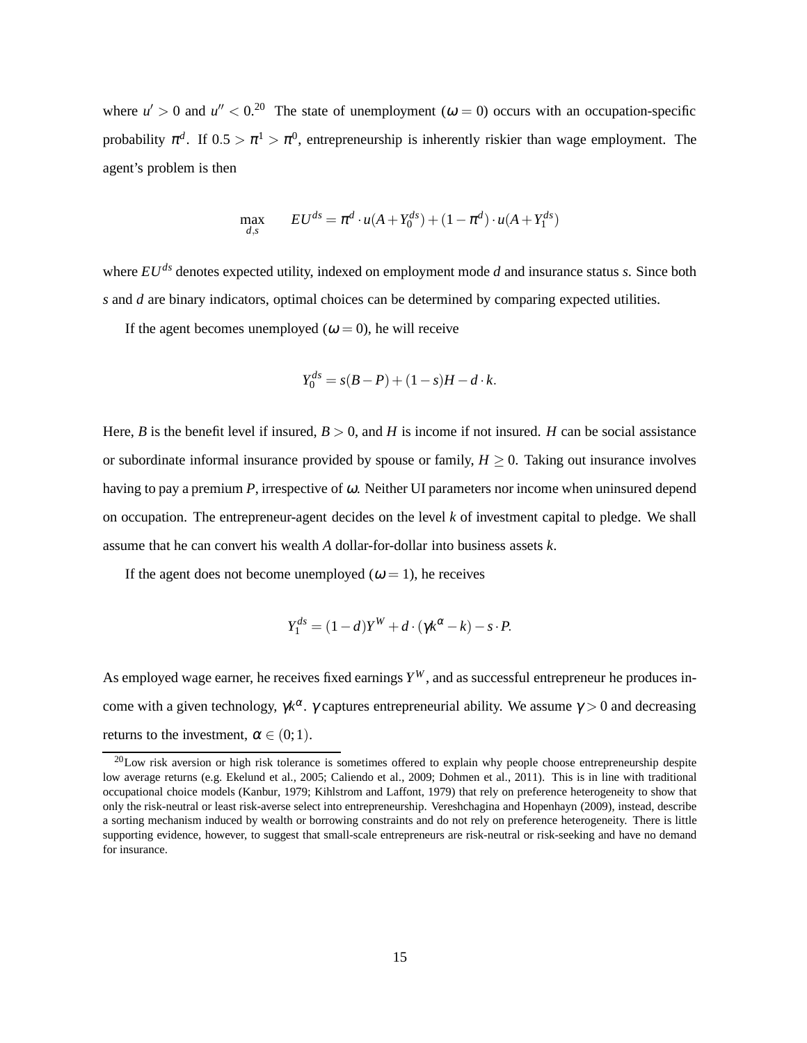<span id="page-15-1"></span>where  $u' > 0$  and  $u'' < 0$ <sup>[20](#page-15-0)</sup>. The state of unemployment ( $\omega = 0$ ) occurs with an occupation-specific probability  $\pi^d$ . If  $0.5 > \pi^1 > \pi^0$ , entrepreneurship is inherently riskier than wage employment. The agent's problem is then

$$
\max_{d,s} \qquad EU^{ds} = \pi^d \cdot u(A + Y_0^{ds}) + (1 - \pi^d) \cdot u(A + Y_1^{ds})
$$

where *EUds* denotes expected utility, indexed on employment mode *d* and insurance status *s*. Since both *s* and *d* are binary indicators, optimal choices can be determined by comparing expected utilities.

If the agent becomes unemployed ( $\omega = 0$ ), he will receive

$$
Y_0^{ds} = s(B - P) + (1 - s)H - d \cdot k.
$$

Here, *B* is the benefit level if insured,  $B > 0$ , and *H* is income if not insured. *H* can be social assistance or subordinate informal insurance provided by spouse or family,  $H \geq 0$ . Taking out insurance involves having to pay a premium *P*, irrespective of <sup>ω</sup>. Neither UI parameters nor income when uninsured depend on occupation. The entrepreneur-agent decides on the level *k* of investment capital to pledge. We shall assume that he can convert his wealth *A* dollar-for-dollar into business assets *k*.

If the agent does not become unemployed ( $\omega = 1$ ), he receives

$$
Y_1^{ds} = (1-d)Y^W + d \cdot (\gamma k^{\alpha} - k) - s \cdot P.
$$

As employed wage earner, he receives fixed earnings  $Y^W$ , and as successful entrepreneur he produces income with a given technology,  $\gamma k^{\alpha}$ .  $\gamma$  captures entrepreneurial ability. We assume  $\gamma > 0$  and decreasing returns to the investment,  $\alpha \in (0,1)$ .

<span id="page-15-0"></span> $^{20}$ Low risk aversion or high risk tolerance is sometimes offered to explain why people choose entrepreneurship despite low average returns (e.g. [Ekelund et al., 2005;](#page-42-9) [Caliendo et al., 2009;](#page-41-6) [Dohmen et al.](#page-42-10), [2011](#page-42-10)). This is in line with traditional occupational choice models [\(Kanbur, 1979](#page-43-9); [Kihlstrom and Laffont, 1979\)](#page-43-10) that rely on preference heterogeneity to show that only the risk-neutral or least risk-averse select into entrepreneurship. [Vereshchagina and Hopenhayn](#page-45-3) [\(2009](#page-45-3)), instead, describe a sorting mechanism induced by wealth or borrowing constraints and do not rely on preference heterogeneity. There is little supporting evidence, however, to suggest that small-scale entrepreneurs are risk-neutral or risk-seeking and have no demand for insurance.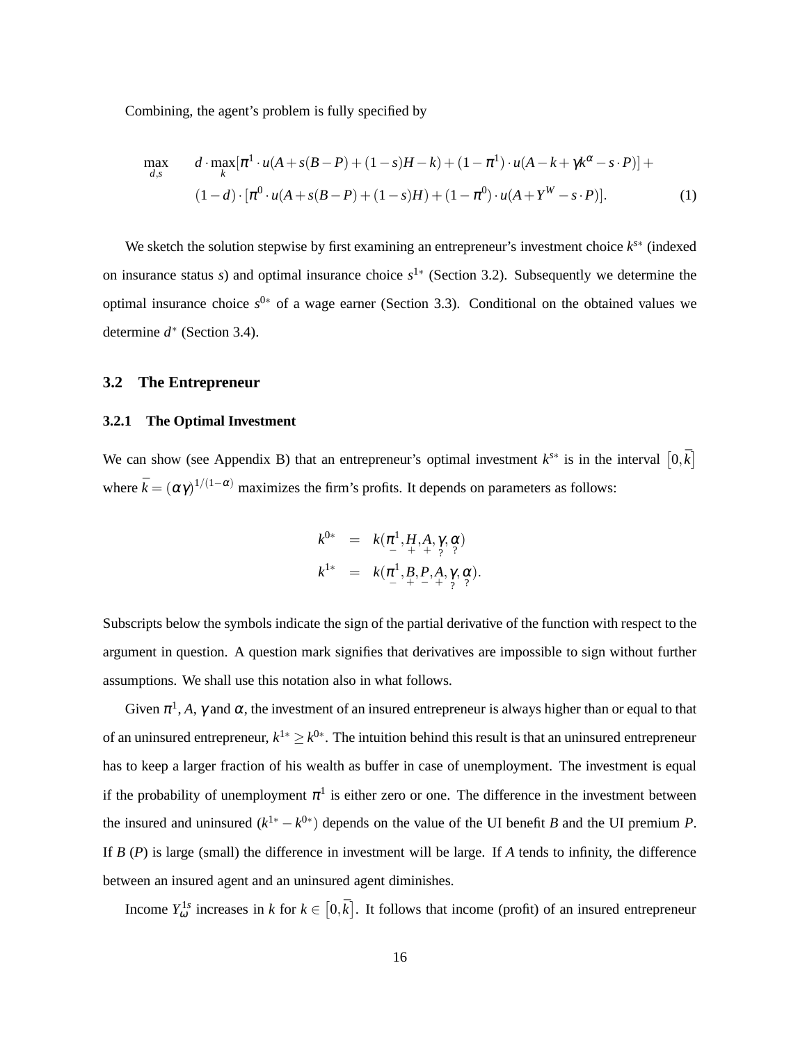Combining, the agent's problem is fully specified by

<span id="page-16-1"></span>
$$
\max_{d,s} \qquad d \cdot \max_{k} [\pi^1 \cdot u(A + s(B - P) + (1 - s)H - k) + (1 - \pi^1) \cdot u(A - k + \gamma k^{\alpha} - s \cdot P)] +
$$
  

$$
(1 - d) \cdot [\pi^0 \cdot u(A + s(B - P) + (1 - s)H) + (1 - \pi^0) \cdot u(A + Y^W - s \cdot P)]. \tag{1}
$$

We sketch the solution stepwise by first examining an entrepreneur's investment choice  $k^{s*}$  (indexed on insurance status *s*) and optimal insurance choice  $s^{1*}$  (Section [3.2\)](#page-16-0). Subsequently we determine the optimal insurance choice *s* <sup>0</sup><sup>∗</sup> of a wage earner (Section [3.3\)](#page-17-0). Conditional on the obtained values we determine *d* ∗ (Section [3.4\)](#page-18-0).

#### <span id="page-16-0"></span>**3.2 The Entrepreneur**

### **3.2.1 The Optimal Investment**

We can show (see [Appendix B\)](#page-62-0) that an entrepreneur's optimal investment  $k^{s*}$  is in the interval  $[0,\bar{k}]$ where  $\bar{k} = (\alpha \gamma)^{1/(1-\alpha)}$  maximizes the firm's profits. It depends on parameters as follows:

$$
k^{0*} = k(\pi^1, H, A, \gamma, \alpha) k^{1*} = k(\pi^1, B, P, A, \gamma, \alpha) k^{1*} = k(\pi^1, B, P, A, \gamma, \alpha).
$$

Subscripts below the symbols indicate the sign of the partial derivative of the function with respect to the argument in question. A question mark signifies that derivatives are impossible to sign without further assumptions. We shall use this notation also in what follows.

Given  $\pi^1$ , A,  $\gamma$  and  $\alpha$ , the investment of an insured entrepreneur is always higher than or equal to that of an uninsured entrepreneur,  $k^{1*} \geq k^{0*}$ . The intuition behind this result is that an uninsured entrepreneur has to keep a larger fraction of his wealth as buffer in case of unemployment. The investment is equal if the probability of unemployment  $\pi^1$  is either zero or one. The difference in the investment between the insured and uninsured  $(k^{1*} - k^{0*})$  depends on the value of the UI benefit *B* and the UI premium *P*. If *B* (*P*) is large (small) the difference in investment will be large. If *A* tends to infinity, the difference between an insured agent and an uninsured agent diminishes.

Income  $Y_{\omega}^{\text{1s}}$  increases in *k* for  $k \in [0,\bar{k}]$ . It follows that income (profit) of an insured entrepreneur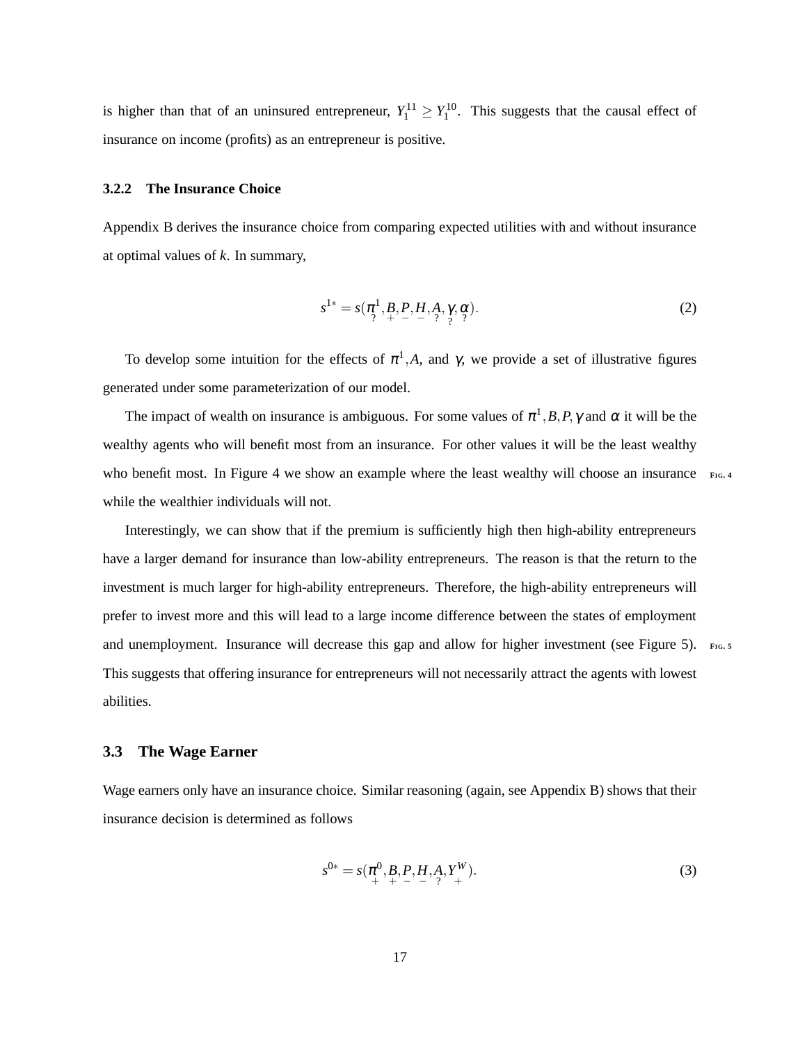is higher than that of an uninsured entrepreneur,  $Y_1^{11} \ge Y_1^{10}$ . This suggests that the causal effect of insurance on income (profits) as an entrepreneur is positive.

### **3.2.2 The Insurance Choice**

[Appendix B](#page-62-0) derives the insurance choice from comparing expected utilities with and without insurance at optimal values of *k*. In summary,

<span id="page-17-1"></span>
$$
s^{1*} = s(\pi^1, B, P, H, A, \gamma, \alpha) \tag{2}
$$

To develop some intuition for the effects of  $\pi^1$ , *A*, and  $\gamma$ , we provide a set of illustrative figures generated under some parameterization of our model.

The impact of wealth on insurance is ambiguous. For some values of  $\pi^1$ , *B*, *P*,  $\gamma$  and  $\alpha$  it will be the wealthy agents who will benefit most from an insurance. For other values it will be the least wealthy who benefit most. In Figure [4](#page-49-0) we show an example where the least wealthy will choose an insurance **FIG**. while the wealthier individuals will not.

Interestingly, we can show that if the premium is sufficiently high then high-ability entrepreneurs have a larger demand for insurance than low-ability entrepreneurs. The reason is that the return to the investment is much larger for high-ability entrepreneurs. Therefore, the high-ability entrepreneurs will prefer to invest more and this will lead to a large income difference between the states of employment and unemployment. Insurance will decrease this gap and allow for higher investment (see Figure [5\)](#page-49-1). **FIG**. This suggests that offering insurance for entrepreneurs will not necessarily attract the agents with lowest abilities.

#### <span id="page-17-0"></span>**3.3 The Wage Earner**

Wage earners only have an insurance choice. Similar reasoning (again, see [Appendix B\)](#page-62-0) shows that their insurance decision is determined as follows

<span id="page-17-2"></span>
$$
s^{0*} = s(\pi^0, B, P, H, A, Y^W_+). \tag{3}
$$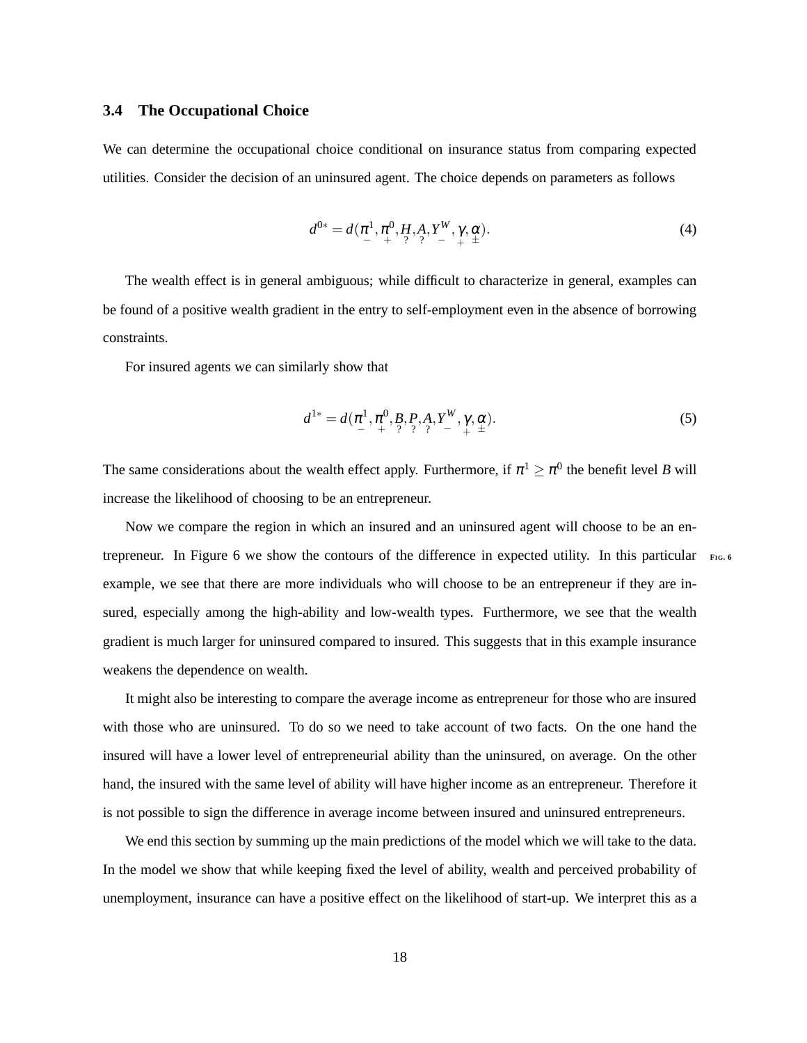### <span id="page-18-0"></span>**3.4 The Occupational Choice**

We can determine the occupational choice conditional on insurance status from comparing expected utilities. Consider the decision of an uninsured agent. The choice depends on parameters as follows

<span id="page-18-1"></span>
$$
d^{0*} = d(\pi^1, \pi^0, H, A, Y^W, \gamma, \alpha) \tag{4}
$$

The wealth effect is in general ambiguous; while difficult to characterize in general, examples can be found of a positive wealth gradient in the entry to self-employment even in the absence of borrowing constraints.

For insured agents we can similarly show that

<span id="page-18-2"></span>
$$
d^{1*} = d(\pi^1, \pi^0, B, P, A, Y^W, \gamma, \alpha). \tag{5}
$$

The same considerations about the wealth effect apply. Furthermore, if  $\pi^1 \ge \pi^0$  the benefit level *B* will increase the likelihood of choosing to be an entrepreneur.

Now we compare the region in which an insured and an uninsured agent will choose to be an entrepreneur. In Figure [6](#page-49-2) we show the contours of the difference in expected utility. In this particular **<sup>F</sup>IG. [6](#page-49-2)** example, we see that there are more individuals who will choose to be an entrepreneur if they are insured, especially among the high-ability and low-wealth types. Furthermore, we see that the wealth gradient is much larger for uninsured compared to insured. This suggests that in this example insurance weakens the dependence on wealth.

It might also be interesting to compare the average income as entrepreneur for those who are insured with those who are uninsured. To do so we need to take account of two facts. On the one hand the insured will have a lower level of entrepreneurial ability than the uninsured, on average. On the other hand, the insured with the same level of ability will have higher income as an entrepreneur. Therefore it is not possible to sign the difference in average income between insured and uninsured entrepreneurs.

We end this section by summing up the main predictions of the model which we will take to the data. In the model we show that while keeping fixed the level of ability, wealth and perceived probability of unemployment, insurance can have a positive effect on the likelihood of start-up. We interpret this as a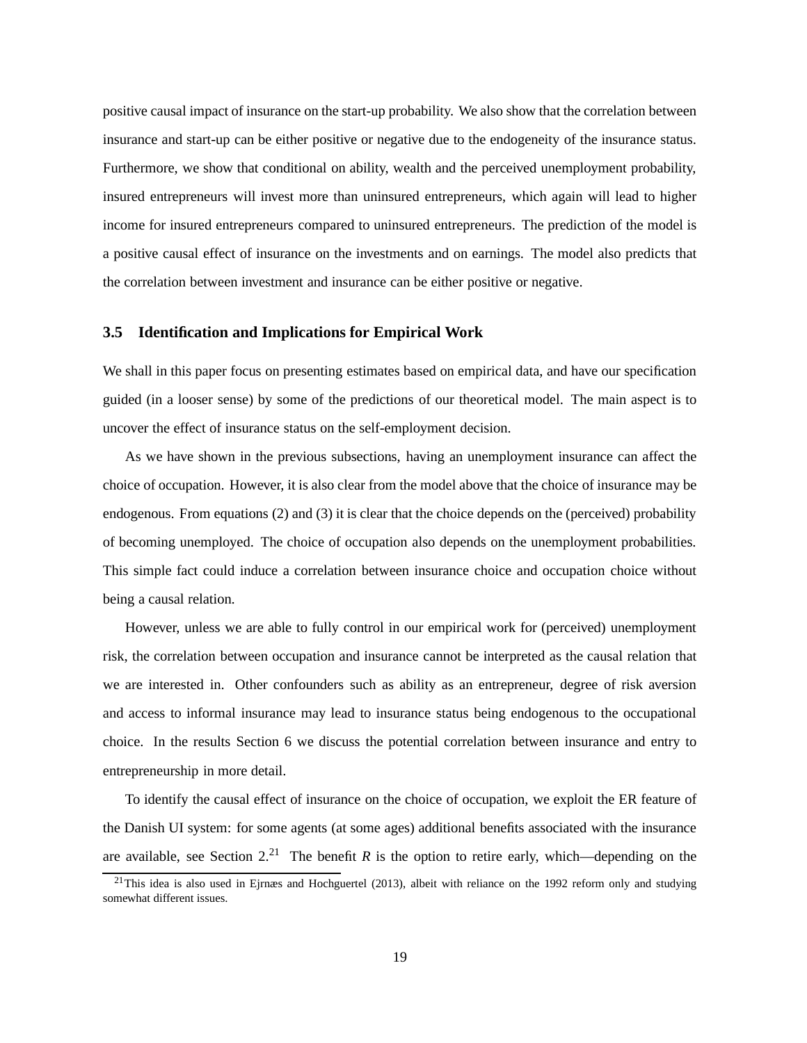<span id="page-19-1"></span>positive causal impact of insurance on the start-up probability. We also show that the correlation between insurance and start-up can be either positive or negative due to the endogeneity of the insurance status. Furthermore, we show that conditional on ability, wealth and the perceived unemployment probability, insured entrepreneurs will invest more than uninsured entrepreneurs, which again will lead to higher income for insured entrepreneurs compared to uninsured entrepreneurs. The prediction of the model is a positive causal effect of insurance on the investments and on earnings. The model also predicts that the correlation between investment and insurance can be either positive or negative.

### **3.5 Identification and Implications for Empirical Work**

We shall in this paper focus on presenting estimates based on empirical data, and have our specification guided (in a looser sense) by some of the predictions of our theoretical model. The main aspect is to uncover the effect of insurance status on the self-employment decision.

As we have shown in the previous subsections, having an unemployment insurance can affect the choice of occupation. However, it is also clear from the model above that the choice of insurance may be endogenous. From equations [\(2\)](#page-17-1) and [\(3\)](#page-17-2) it is clear that the choice depends on the (perceived) probability of becoming unemployed. The choice of occupation also depends on the unemployment probabilities. This simple fact could induce a correlation between insurance choice and occupation choice without being a causal relation.

However, unless we are able to fully control in our empirical work for (perceived) unemployment risk, the correlation between occupation and insurance cannot be interpreted as the causal relation that we are interested in. Other confounders such as ability as an entrepreneur, degree of risk aversion and access to informal insurance may lead to insurance status being endogenous to the occupational choice. In the results Section [6](#page-26-0) we discuss the potential correlation between insurance and entry to entrepreneurship in more detail.

To identify the causal effect of insurance on the choice of occupation, we exploit the ER feature of the Danish UI system: for some agents (at some ages) additional benefits associated with the insurance are available, see Section  $2<sup>21</sup>$  $2<sup>21</sup>$  $2<sup>21</sup>$ . The benefit *R* is the option to retire early, which—depending on the

<span id="page-19-0"></span><sup>21</sup>This idea is also used in [Ejrnæs and Hochguertel \(2013\)](#page-42-6), albeit with reliance on the 1992 reform only and studying somewhat different issues.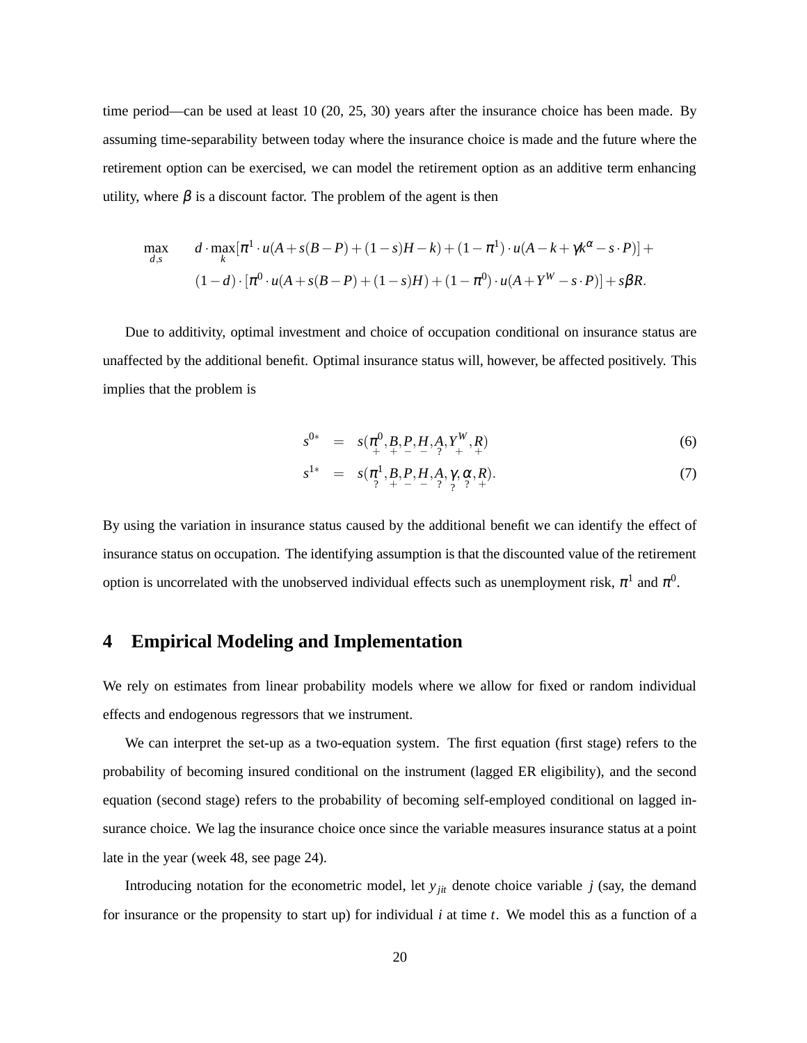time period—can be used at least 10 (20, 25, 30) years after the insurance choice has been made. By assuming time-separability between today where the insurance choice is made and the future where the retirement option can be exercised, we can model the retirement option as an additive term enhancing utility, where  $\beta$  is a discount factor. The problem of the agent is then

$$
\max_{d,s} \qquad d \cdot \max_{k} [\pi^1 \cdot u(A + s(B - P) + (1 - s)H - k) + (1 - \pi^1) \cdot u(A - k + \gamma k^{\alpha} - s \cdot P)] +
$$
  

$$
(1 - d) \cdot [\pi^0 \cdot u(A + s(B - P) + (1 - s)H) + (1 - \pi^0) \cdot u(A + Y^W - s \cdot P)] + s\beta R.
$$

Due to additivity, optimal investment and choice of occupation conditional on insurance status are unaffected by the additional benefit. Optimal insurance status will, however, be affected positively. This implies that the problem is

<span id="page-20-1"></span>
$$
s^{0*} = s(\pi^0_+, B, P, H, A, Y^W_+, R) \tag{6}
$$

$$
s^{1*} = s(\pi^1, B, P, H, A, \gamma, \alpha, R).
$$
\n(7)

By using the variation in insurance status caused by the additional benefit we can identify the effect of insurance status on occupation. The identifying assumption is that the discounted value of the retirement option is uncorrelated with the unobserved individual effects such as unemployment risk,  $\pi^1$  and  $\pi^0$ .

# <span id="page-20-0"></span>**4 Empirical Modeling and Implementation**

We rely on estimates from linear probability models where we allow for fixed or random individual effects and endogenous regressors that we instrument.

We can interpret the set-up as a two-equation system. The first equation (first stage) refers to the probability of becoming insured conditional on the instrument (lagged ER eligibility), and the second equation (second stage) refers to the probability of becoming self-employed conditional on lagged insurance choice. We lag the insurance choice once since the variable measures insurance status at a point late in the year (week 48, see page [24\)](#page-24-1).

Introducing notation for the econometric model, let  $y_{jit}$  denote choice variable  $j$  (say, the demand for insurance or the propensity to start up) for individual *i* at time *t*. We model this as a function of a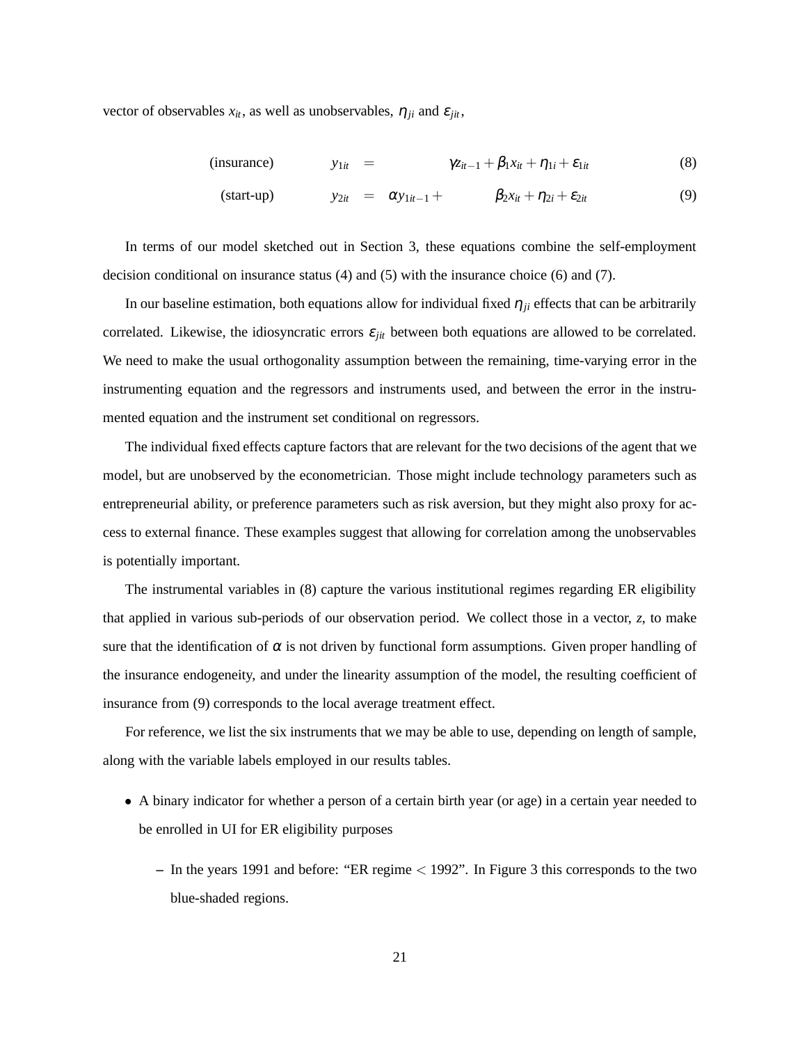vector of observables  $x_{it}$ , as well as unobservables,  $\eta_{it}$  and  $\varepsilon_{it}$ ,

<span id="page-21-0"></span>(insurance) 
$$
y_{1it} = \gamma z_{it-1} + \beta_1 x_{it} + \eta_{1i} + \varepsilon_{1it}
$$
 (8)

$$
\text{(start-up)} \quad y_{2it} = \alpha y_{1it-1} + \quad \beta_{2} x_{it} + \eta_{2i} + \varepsilon_{2it} \quad (9)
$$

In terms of our model sketched out in Section [3,](#page-14-0) these equations combine the self-employment decision conditional on insurance status [\(4\)](#page-18-1) and [\(5\)](#page-18-2) with the insurance choice [\(6\)](#page-20-1) and [\(7\)](#page-20-1).

In our baseline estimation, both equations allow for individual fixed  $\eta_{ji}$  effects that can be arbitrarily correlated. Likewise, the idiosyncratic errors  $\varepsilon_{jit}$  between both equations are allowed to be correlated. We need to make the usual orthogonality assumption between the remaining, time-varying error in the instrumenting equation and the regressors and instruments used, and between the error in the instrumented equation and the instrument set conditional on regressors.

The individual fixed effects capture factors that are relevant for the two decisions of the agent that we model, but are unobserved by the econometrician. Those might include technology parameters such as entrepreneurial ability, or preference parameters such as risk aversion, but they might also proxy for access to external finance. These examples suggest that allowing for correlation among the unobservables is potentially important.

The instrumental variables in [\(8\)](#page-21-0) capture the various institutional regimes regarding ER eligibility that applied in various sub-periods of our observation period. We collect those in a vector, *z*, to make sure that the identification of  $\alpha$  is not driven by functional form assumptions. Given proper handling of the insurance endogeneity, and under the linearity assumption of the model, the resulting coefficient of insurance from [\(9\)](#page-21-0) corresponds to the local average treatment effect.

For reference, we list the six instruments that we may be able to use, depending on length of sample, along with the variable labels employed in our results tables.

- A binary indicator for whether a person of a certain birth year (or age) in a certain year needed to be enrolled in UI for ER eligibility purposes
	- **–** In the years 1991 and before: "ER regime < 1992". In Figure [3](#page-48-0) this corresponds to the two blue-shaded regions.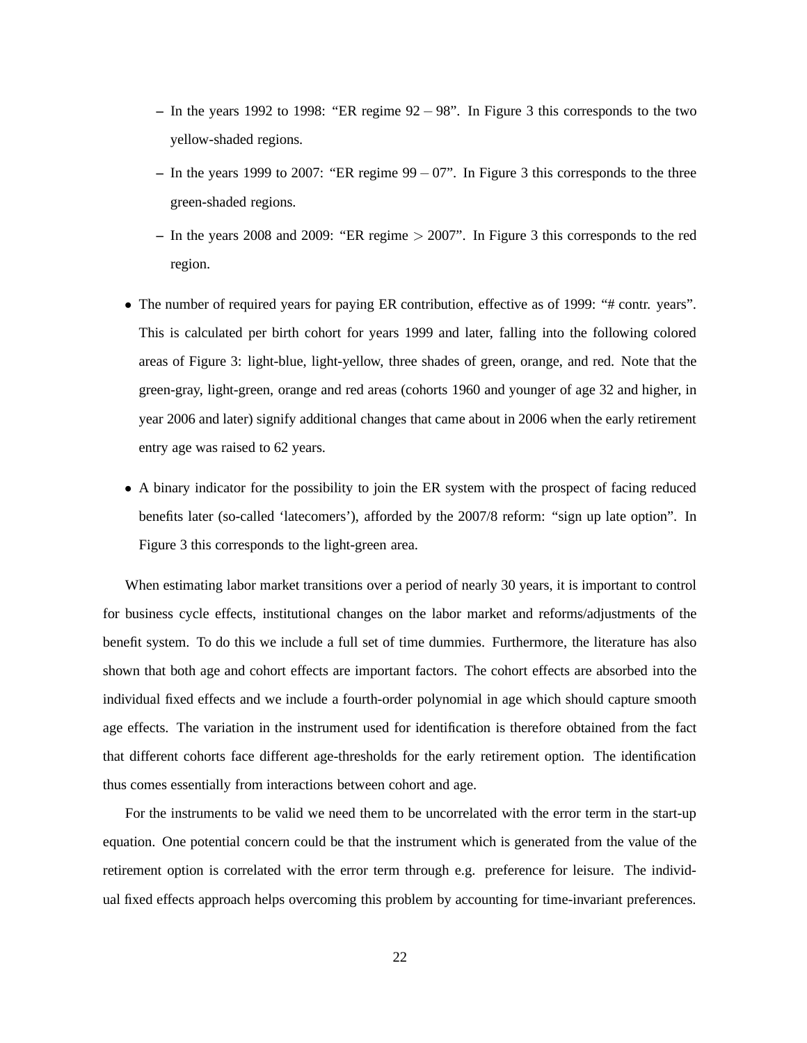- **–** In the years 1992 to 1998: "ER regime 92 − 98". In Figure [3](#page-48-0) this corresponds to the two yellow-shaded regions.
- **–** In the years 1999 to 2007: "ER regime 99− 07". In Figure [3](#page-48-0) this corresponds to the three green-shaded regions.
- **–** In the years 2008 and 2009: "ER regime > 2007". In Figure [3](#page-48-0) this corresponds to the red region.
- The number of required years for paying ER contribution, effective as of 1999: "# contr. years". This is calculated per birth cohort for years 1999 and later, falling into the following colored areas of Figure [3:](#page-48-0) light-blue, light-yellow, three shades of green, orange, and red. Note that the green-gray, light-green, orange and red areas (cohorts 1960 and younger of age 32 and higher, in year 2006 and later) signify additional changes that came about in 2006 when the early retirement entry age was raised to 62 years.
- A binary indicator for the possibility to join the ER system with the prospect of facing reduced benefits later (so-called 'latecomers'), afforded by the 2007/8 reform: "sign up late option". In Figure [3](#page-48-0) this corresponds to the light-green area.

When estimating labor market transitions over a period of nearly 30 years, it is important to control for business cycle effects, institutional changes on the labor market and reforms/adjustments of the benefit system. To do this we include a full set of time dummies. Furthermore, the literature has also shown that both age and cohort effects are important factors. The cohort effects are absorbed into the individual fixed effects and we include a fourth-order polynomial in age which should capture smooth age effects. The variation in the instrument used for identification is therefore obtained from the fact that different cohorts face different age-thresholds for the early retirement option. The identification thus comes essentially from interactions between cohort and age.

For the instruments to be valid we need them to be uncorrelated with the error term in the start-up equation. One potential concern could be that the instrument which is generated from the value of the retirement option is correlated with the error term through e.g. preference for leisure. The individual fixed effects approach helps overcoming this problem by accounting for time-invariant preferences.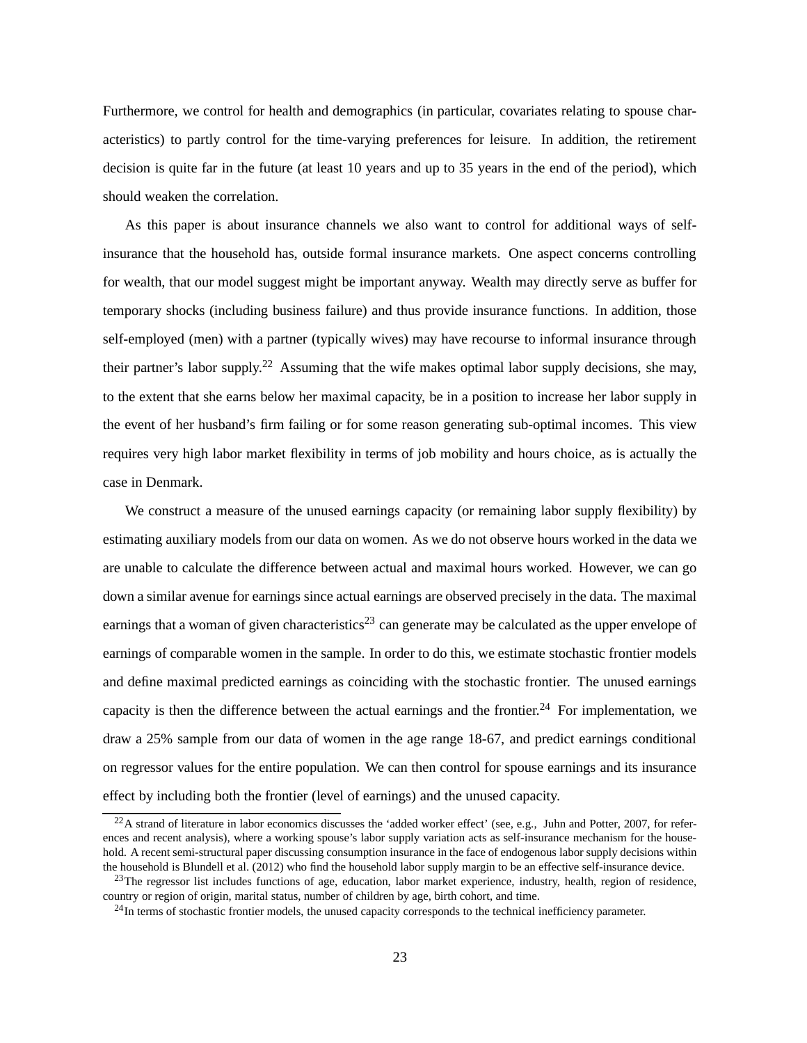<span id="page-23-3"></span>Furthermore, we control for health and demographics (in particular, covariates relating to spouse characteristics) to partly control for the time-varying preferences for leisure. In addition, the retirement decision is quite far in the future (at least 10 years and up to 35 years in the end of the period), which should weaken the correlation.

As this paper is about insurance channels we also want to control for additional ways of selfinsurance that the household has, outside formal insurance markets. One aspect concerns controlling for wealth, that our model suggest might be important anyway. Wealth may directly serve as buffer for temporary shocks (including business failure) and thus provide insurance functions. In addition, those self-employed (men) with a partner (typically wives) may have recourse to informal insurance through their partner's labor supply.<sup>[22](#page-23-0)</sup> Assuming that the wife makes optimal labor supply decisions, she may, to the extent that she earns below her maximal capacity, be in a position to increase her labor supply in the event of her husband's firm failing or for some reason generating sub-optimal incomes. This view requires very high labor market flexibility in terms of job mobility and hours choice, as is actually the case in Denmark.

We construct a measure of the unused earnings capacity (or remaining labor supply flexibility) by estimating auxiliary models from our data on women. As we do not observe hours worked in the data we are unable to calculate the difference between actual and maximal hours worked. However, we can go down a similar avenue for earnings since actual earnings are observed precisely in the data. The maximal earnings that a woman of given characteristics<sup>[23](#page-23-1)</sup> can generate may be calculated as the upper envelope of earnings of comparable women in the sample. In order to do this, we estimate stochastic frontier models and define maximal predicted earnings as coinciding with the stochastic frontier. The unused earnings capacity is then the difference between the actual earnings and the frontier.<sup>[24](#page-23-2)</sup> For implementation, we draw a 25% sample from our data of women in the age range 18-67, and predict earnings conditional on regressor values for the entire population. We can then control for spouse earnings and its insurance effect by including both the frontier (level of earnings) and the unused capacity.

<span id="page-23-0"></span> $^{22}$ A strand of literature in labor economics discusses the 'added worker effect' (see, e.g., [Juhn and Potter, 2007](#page-43-11), for references and recent analysis), where a working spouse's labor supply variation acts as self-insurance mechanism for the household. A recent semi-structural paper discussing consumption insurance in the face of endogenous labor supply decisions within the household is [Blundell et al.](#page-41-7) [\(2012](#page-41-7)) who find the household labor supply margin to be an effective self-insurance device.

 $^{23}$ The regressor list includes functions of age, education, labor market experience, industry, health, region of residence, country or region of origin, marital status, number of children by age, birth cohort, and time.

<span id="page-23-2"></span><span id="page-23-1"></span><sup>&</sup>lt;sup>24</sup>In terms of stochastic frontier models, the unused capacity corresponds to the technical inefficiency parameter.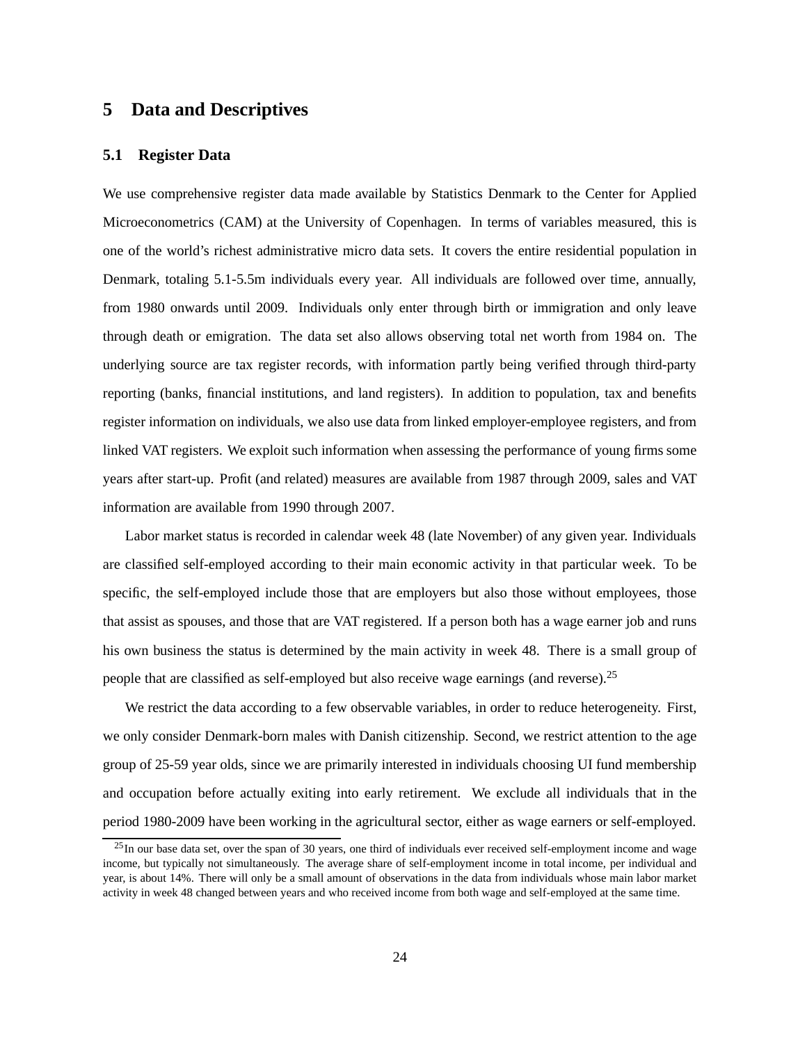# <span id="page-24-0"></span>**5 Data and Descriptives**

## **5.1 Register Data**

We use comprehensive register data made available by Statistics Denmark to the Center for Applied Microeconometrics (CAM) at the University of Copenhagen. In terms of variables measured, this is one of the world's richest administrative micro data sets. It covers the entire residential population in Denmark, totaling 5.1-5.5m individuals every year. All individuals are followed over time, annually, from 1980 onwards until 2009. Individuals only enter through birth or immigration and only leave through death or emigration. The data set also allows observing total net worth from 1984 on. The underlying source are tax register records, with information partly being verified through third-party reporting (banks, financial institutions, and land registers). In addition to population, tax and benefits register information on individuals, we also use data from linked employer-employee registers, and from linked VAT registers. We exploit such information when assessing the performance of young firms some years after start-up. Profit (and related) measures are available from 1987 through 2009, sales and VAT information are available from 1990 through 2007.

Labor market status is recorded in calendar week 48 (late November) of any given year. Individuals are classified self-employed according to their main economic activity in that particular week. To be specific, the self-employed include those that are employers but also those without employees, those that assist as spouses, and those that are VAT registered. If a person both has a wage earner job and runs his own business the status is determined by the main activity in week 48. There is a small group of people that are classified as self-employed but also receive wage earnings (and reverse).[25](#page-24-1)

We restrict the data according to a few observable variables, in order to reduce heterogeneity. First, we only consider Denmark-born males with Danish citizenship. Second, we restrict attention to the age group of 25-59 year olds, since we are primarily interested in individuals choosing UI fund membership and occupation before actually exiting into early retirement. We exclude all individuals that in the period 1980-2009 have been working in the agricultural sector, either as wage earners or self-employed.

<span id="page-24-1"></span> $^{25}$ In our base data set, over the span of 30 years, one third of individuals ever received self-employment income and wage income, but typically not simultaneously. The average share of self-employment income in total income, per individual and year, is about 14%. There will only be a small amount of observations in the data from individuals whose main labor market activity in week 48 changed between years and who received income from both wage and self-employed at the same time.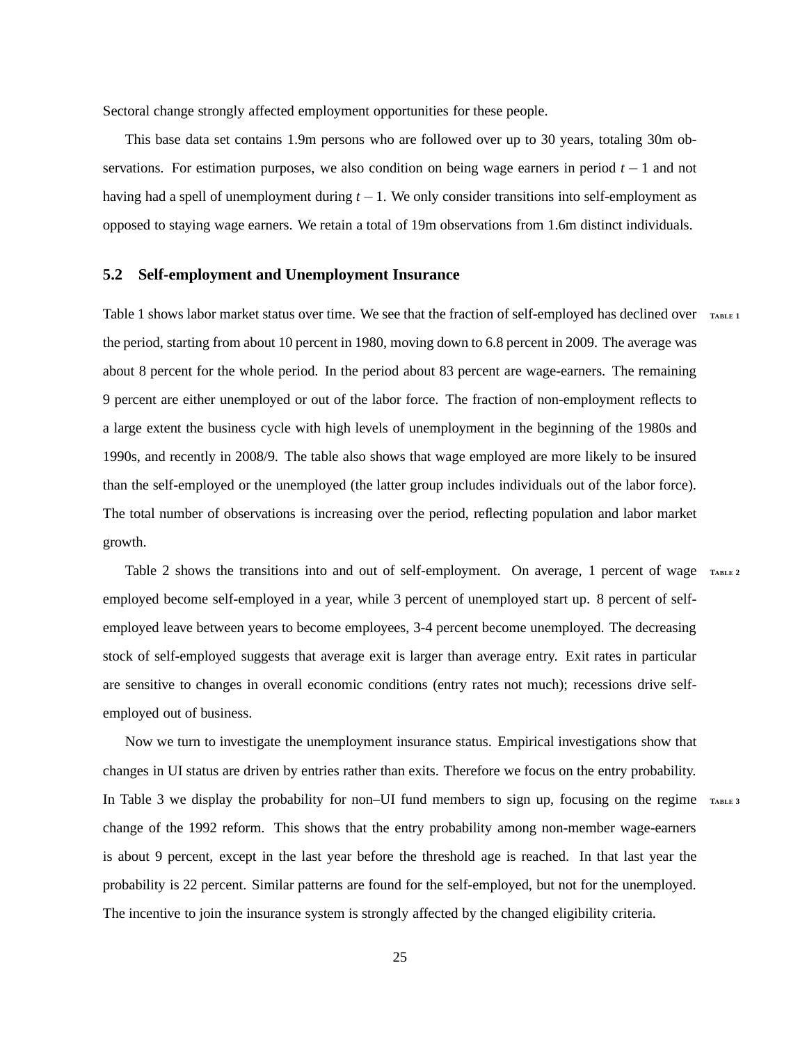Sectoral change strongly affected employment opportunities for these people.

This base data set contains 1.9m persons who are followed over up to 30 years, totaling 30m observations. For estimation purposes, we also condition on being wage earners in period *t* − 1 and not having had a spell of unemployment during *t* −1. We only consider transitions into self-employment as opposed to staying wage earners. We retain a total of 19m observations from 1.6m distinct individuals.

### **5.2 Self-employment and Unemployment Insurance**

Table [1](#page-50-0) shows labor market status over time. We see that the fraction of self-employed has declined over **<sup>T</sup>ABLE [1](#page-50-0)** the period, starting from about 10 percent in 1980, moving down to 6.8 percent in 2009. The average was about 8 percent for the whole period. In the period about 83 percent are wage-earners. The remaining 9 percent are either unemployed or out of the labor force. The fraction of non-employment reflects to a large extent the business cycle with high levels of unemployment in the beginning of the 1980s and 1990s, and recently in 2008/9. The table also shows that wage employed are more likely to be insured than the self-employed or the unemployed (the latter group includes individuals out of the labor force). The total number of observations is increasing over the period, reflecting population and labor market growth.

Table [2](#page-50-1) shows the transitions into and out of self-employment. On average, 1 percent of wage  $T_{ABLE}$  **[2](#page-50-1)** employed become self-employed in a year, while 3 percent of unemployed start up. 8 percent of selfemployed leave between years to become employees, 3-4 percent become unemployed. The decreasing stock of self-employed suggests that average exit is larger than average entry. Exit rates in particular are sensitive to changes in overall economic conditions (entry rates not much); recessions drive selfemployed out of business.

Now we turn to investigate the unemployment insurance status. Empirical investigations show that changes in UI status are driven by entries rather than exits. Therefore we focus on the entry probability. In Table [3](#page-51-0) we display the probability for non–UI fund members to sign up, focusing on the regime  $T_{ABLE}$  **[3](#page-51-0)** change of the 1992 reform. This shows that the entry probability among non-member wage-earners is about 9 percent, except in the last year before the threshold age is reached. In that last year the probability is 22 percent. Similar patterns are found for the self-employed, but not for the unemployed. The incentive to join the insurance system is strongly affected by the changed eligibility criteria.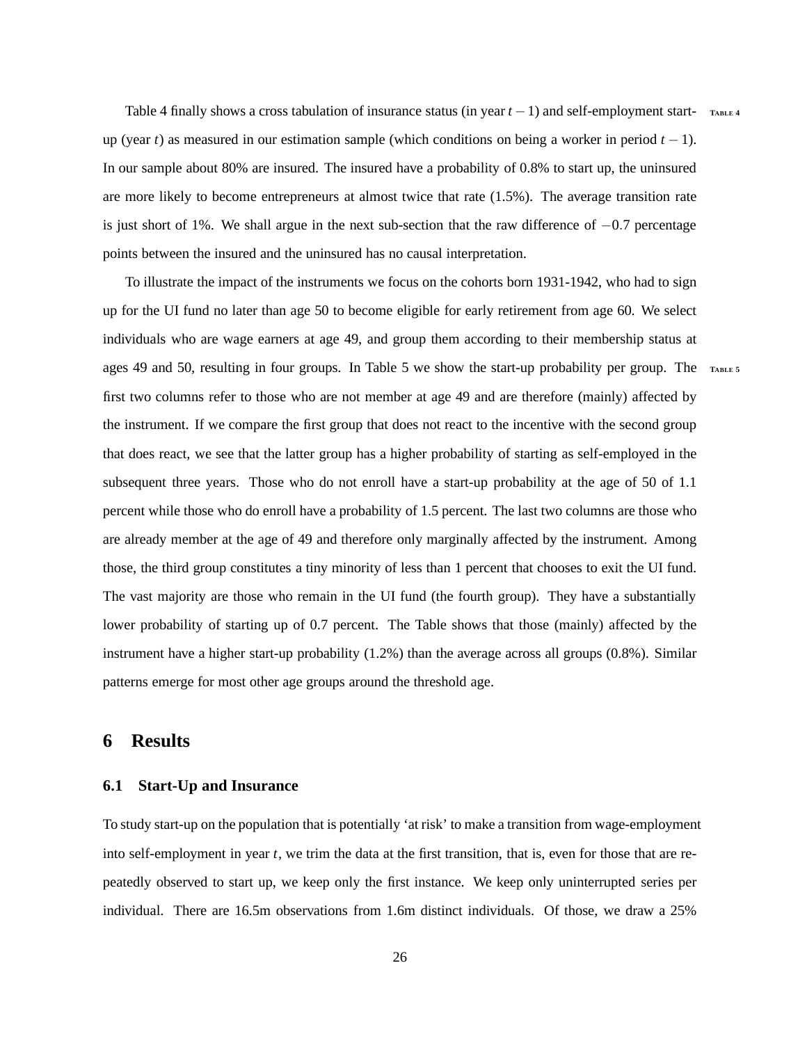Table [4](#page-51-1) finally shows a cross tabulation of insurance status (in year  $t - 1$ ) and self-employment startup (year *t*) as measured in our estimation sample (which conditions on being a worker in period  $t - 1$ ). In our sample about 80% are insured. The insured have a probability of 0.8% to start up, the uninsured are more likely to become entrepreneurs at almost twice that rate (1.5%). The average transition rate is just short of 1%. We shall argue in the next sub-section that the raw difference of  $-0.7$  percentage points between the insured and the uninsured has no causal interpretation.

To illustrate the impact of the instruments we focus on the cohorts born 1931-1942, who had to sign up for the UI fund no later than age 50 to become eligible for early retirement from age 60. We select individuals who are wage earners at age 49, and group them according to their membership status at ages 49 and [5](#page-52-0)0, resulting in four groups. In Table [5](#page-52-0) we show the start-up probability per group. The TABLE **5** first two columns refer to those who are not member at age 49 and are therefore (mainly) affected by the instrument. If we compare the first group that does not react to the incentive with the second group that does react, we see that the latter group has a higher probability of starting as self-employed in the subsequent three years. Those who do not enroll have a start-up probability at the age of 50 of 1.1 percent while those who do enroll have a probability of 1.5 percent. The last two columns are those who are already member at the age of 49 and therefore only marginally affected by the instrument. Among those, the third group constitutes a tiny minority of less than 1 percent that chooses to exit the UI fund. The vast majority are those who remain in the UI fund (the fourth group). They have a substantially lower probability of starting up of 0.7 percent. The Table shows that those (mainly) affected by the instrument have a higher start-up probability (1.2%) than the average across all groups (0.8%). Similar patterns emerge for most other age groups around the threshold age.

# <span id="page-26-0"></span>**6 Results**

### **6.1 Start-Up and Insurance**

To study start-up on the population that is potentially 'at risk' to make a transition from wage-employment into self-employment in year *t*, we trim the data at the first transition, that is, even for those that are repeatedly observed to start up, we keep only the first instance. We keep only uninterrupted series per individual. There are 16.5m observations from 1.6m distinct individuals. Of those, we draw a 25%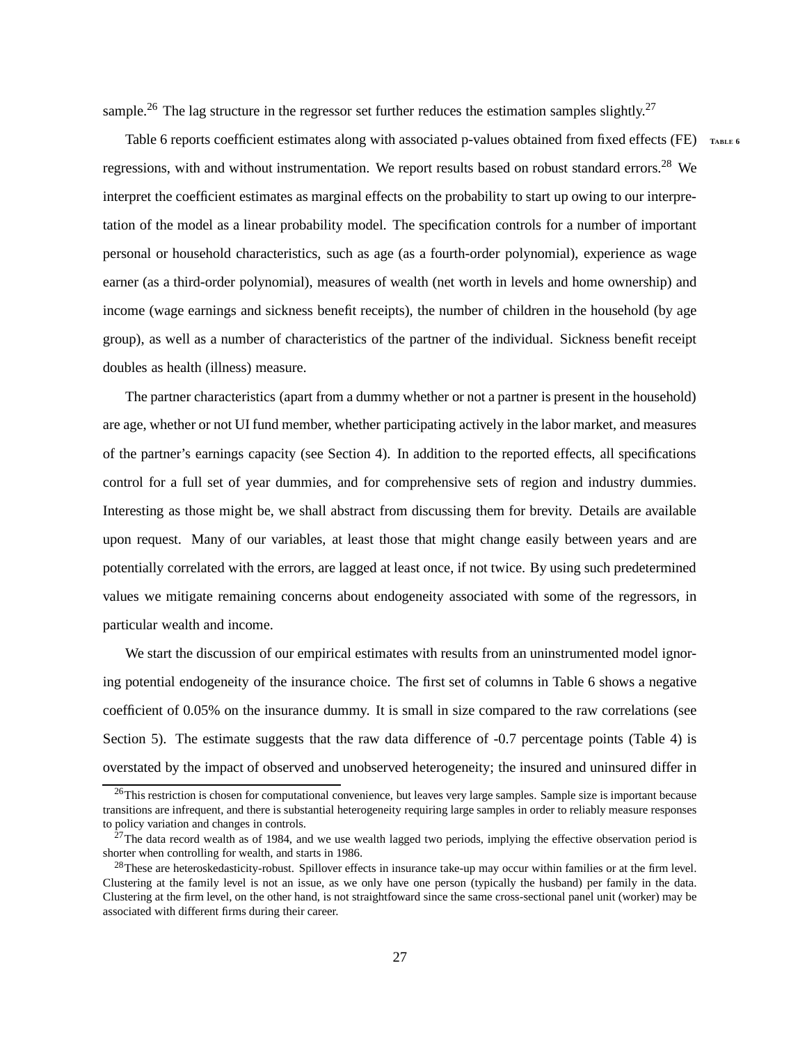sample.<sup>[26](#page-27-0)</sup> The lag structure in the regressor set further reduces the estimation samples slightly.<sup>[27](#page-27-1)</sup>

Table [6](#page-53-0) reports coefficient estimates along with associated p-values obtained from fixed effects (FE) **<sup>T</sup>ABLE [6](#page-53-0)** regressions, with and without instrumentation. We report results based on robust standard errors.<sup>[28](#page-27-2)</sup> We interpret the coefficient estimates as marginal effects on the probability to start up owing to our interpretation of the model as a linear probability model. The specification controls for a number of important personal or household characteristics, such as age (as a fourth-order polynomial), experience as wage earner (as a third-order polynomial), measures of wealth (net worth in levels and home ownership) and income (wage earnings and sickness benefit receipts), the number of children in the household (by age group), as well as a number of characteristics of the partner of the individual. Sickness benefit receipt doubles as health (illness) measure.

The partner characteristics (apart from a dummy whether or not a partner is present in the household) are age, whether or not UI fund member, whether participating actively in the labor market, and measures of the partner's earnings capacity (see Section [4\)](#page-20-0). In addition to the reported effects, all specifications control for a full set of year dummies, and for comprehensive sets of region and industry dummies. Interesting as those might be, we shall abstract from discussing them for brevity. Details are available upon request. Many of our variables, at least those that might change easily between years and are potentially correlated with the errors, are lagged at least once, if not twice. By using such predetermined values we mitigate remaining concerns about endogeneity associated with some of the regressors, in particular wealth and income.

We start the discussion of our empirical estimates with results from an uninstrumented model ignoring potential endogeneity of the insurance choice. The first set of columns in Table [6](#page-53-0) shows a negative coefficient of 0.05% on the insurance dummy. It is small in size compared to the raw correlations (see Section [5\)](#page-24-0). The estimate suggests that the raw data difference of -0.7 percentage points (Table [4\)](#page-51-1) is overstated by the impact of observed and unobserved heterogeneity; the insured and uninsured differ in

<span id="page-27-0"></span><sup>&</sup>lt;sup>26</sup>This restriction is chosen for computational convenience, but leaves very large samples. Sample size is important because transitions are infrequent, and there is substantial heterogeneity requiring large samples in order to reliably measure responses to policy variation and changes in controls.

<span id="page-27-1"></span><sup>&</sup>lt;sup>27</sup>The data record wealth as of 1984, and we use wealth lagged two periods, implying the effective observation period is shorter when controlling for wealth, and starts in 1986.

<span id="page-27-2"></span><sup>&</sup>lt;sup>28</sup>These are heteroskedasticity-robust. Spillover effects in insurance take-up may occur within families or at the firm level. Clustering at the family level is not an issue, as we only have one person (typically the husband) per family in the data. Clustering at the firm level, on the other hand, is not straightfoward since the same cross-sectional panel unit (worker) may be associated with different firms during their career.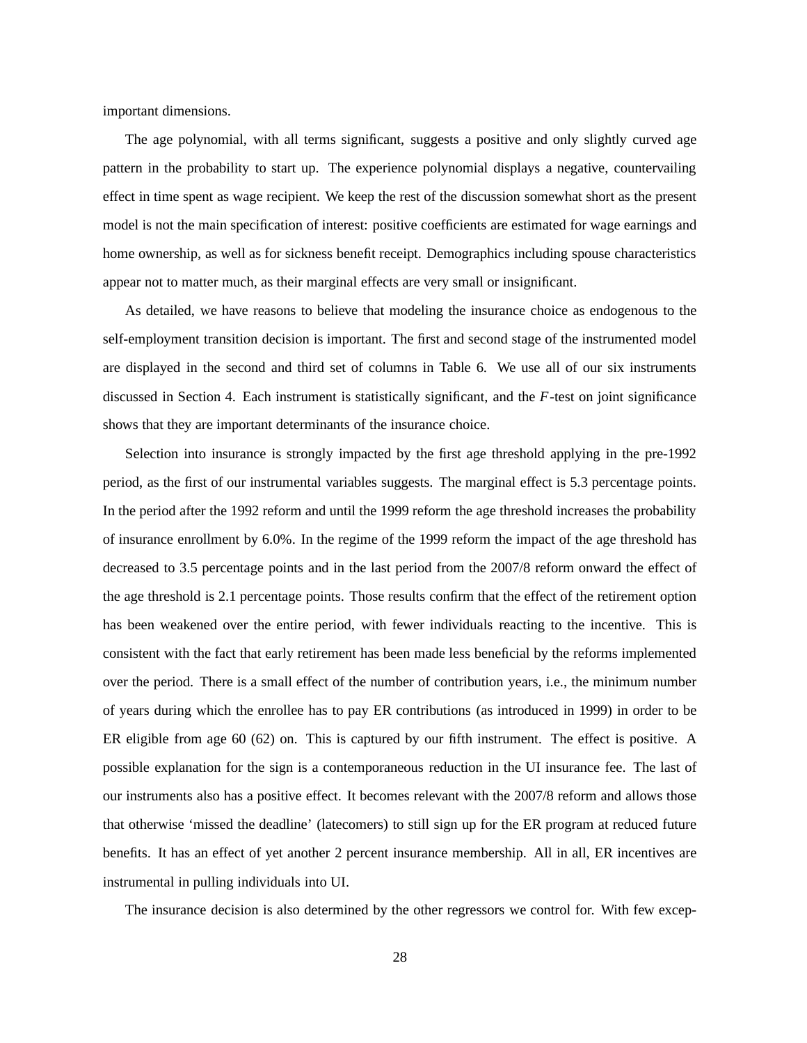important dimensions.

The age polynomial, with all terms significant, suggests a positive and only slightly curved age pattern in the probability to start up. The experience polynomial displays a negative, countervailing effect in time spent as wage recipient. We keep the rest of the discussion somewhat short as the present model is not the main specification of interest: positive coefficients are estimated for wage earnings and home ownership, as well as for sickness benefit receipt. Demographics including spouse characteristics appear not to matter much, as their marginal effects are very small or insignificant.

As detailed, we have reasons to believe that modeling the insurance choice as endogenous to the self-employment transition decision is important. The first and second stage of the instrumented model are displayed in the second and third set of columns in Table [6.](#page-53-0) We use all of our six instruments discussed in Section [4.](#page-20-0) Each instrument is statistically significant, and the *F*-test on joint significance shows that they are important determinants of the insurance choice.

Selection into insurance is strongly impacted by the first age threshold applying in the pre-1992 period, as the first of our instrumental variables suggests. The marginal effect is 5.3 percentage points. In the period after the 1992 reform and until the 1999 reform the age threshold increases the probability of insurance enrollment by 6.0%. In the regime of the 1999 reform the impact of the age threshold has decreased to 3.5 percentage points and in the last period from the 2007/8 reform onward the effect of the age threshold is 2.1 percentage points. Those results confirm that the effect of the retirement option has been weakened over the entire period, with fewer individuals reacting to the incentive. This is consistent with the fact that early retirement has been made less beneficial by the reforms implemented over the period. There is a small effect of the number of contribution years, i.e., the minimum number of years during which the enrollee has to pay ER contributions (as introduced in 1999) in order to be ER eligible from age 60 (62) on. This is captured by our fifth instrument. The effect is positive. A possible explanation for the sign is a contemporaneous reduction in the UI insurance fee. The last of our instruments also has a positive effect. It becomes relevant with the 2007/8 reform and allows those that otherwise 'missed the deadline' (latecomers) to still sign up for the ER program at reduced future benefits. It has an effect of yet another 2 percent insurance membership. All in all, ER incentives are instrumental in pulling individuals into UI.

The insurance decision is also determined by the other regressors we control for. With few excep-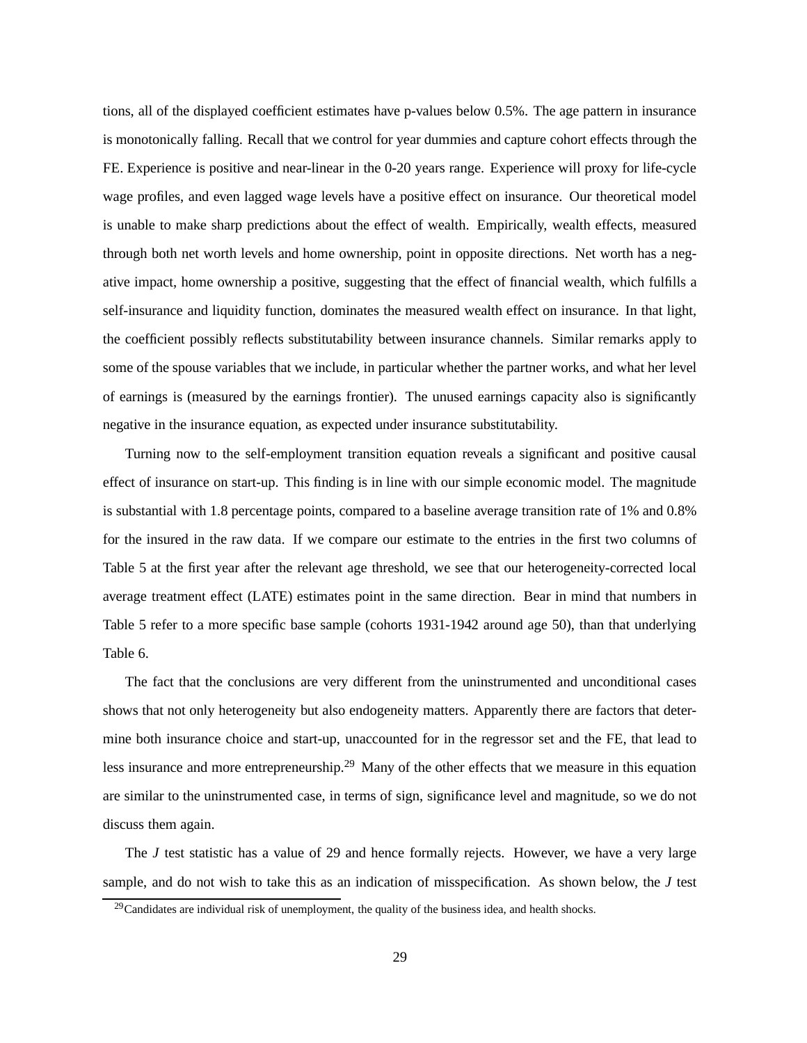tions, all of the displayed coefficient estimates have p-values below 0.5%. The age pattern in insurance is monotonically falling. Recall that we control for year dummies and capture cohort effects through the FE. Experience is positive and near-linear in the 0-20 years range. Experience will proxy for life-cycle wage profiles, and even lagged wage levels have a positive effect on insurance. Our theoretical model is unable to make sharp predictions about the effect of wealth. Empirically, wealth effects, measured through both net worth levels and home ownership, point in opposite directions. Net worth has a negative impact, home ownership a positive, suggesting that the effect of financial wealth, which fulfills a self-insurance and liquidity function, dominates the measured wealth effect on insurance. In that light, the coefficient possibly reflects substitutability between insurance channels. Similar remarks apply to some of the spouse variables that we include, in particular whether the partner works, and what her level of earnings is (measured by the earnings frontier). The unused earnings capacity also is significantly negative in the insurance equation, as expected under insurance substitutability.

Turning now to the self-employment transition equation reveals a significant and positive causal effect of insurance on start-up. This finding is in line with our simple economic model. The magnitude is substantial with 1.8 percentage points, compared to a baseline average transition rate of 1% and 0.8% for the insured in the raw data. If we compare our estimate to the entries in the first two columns of Table [5](#page-52-0) at the first year after the relevant age threshold, we see that our heterogeneity-corrected local average treatment effect (LATE) estimates point in the same direction. Bear in mind that numbers in Table [5](#page-52-0) refer to a more specific base sample (cohorts 1931-1942 around age 50), than that underlying Table [6.](#page-53-0)

The fact that the conclusions are very different from the uninstrumented and unconditional cases shows that not only heterogeneity but also endogeneity matters. Apparently there are factors that determine both insurance choice and start-up, unaccounted for in the regressor set and the FE, that lead to less insurance and more entrepreneurship.[29](#page-29-0) Many of the other effects that we measure in this equation are similar to the uninstrumented case, in terms of sign, significance level and magnitude, so we do not discuss them again.

The *J* test statistic has a value of 29 and hence formally rejects. However, we have a very large sample, and do not wish to take this as an indication of misspecification. As shown below, the *J* test

<span id="page-29-0"></span><sup>&</sup>lt;sup>29</sup>Candidates are individual risk of unemployment, the quality of the business idea, and health shocks.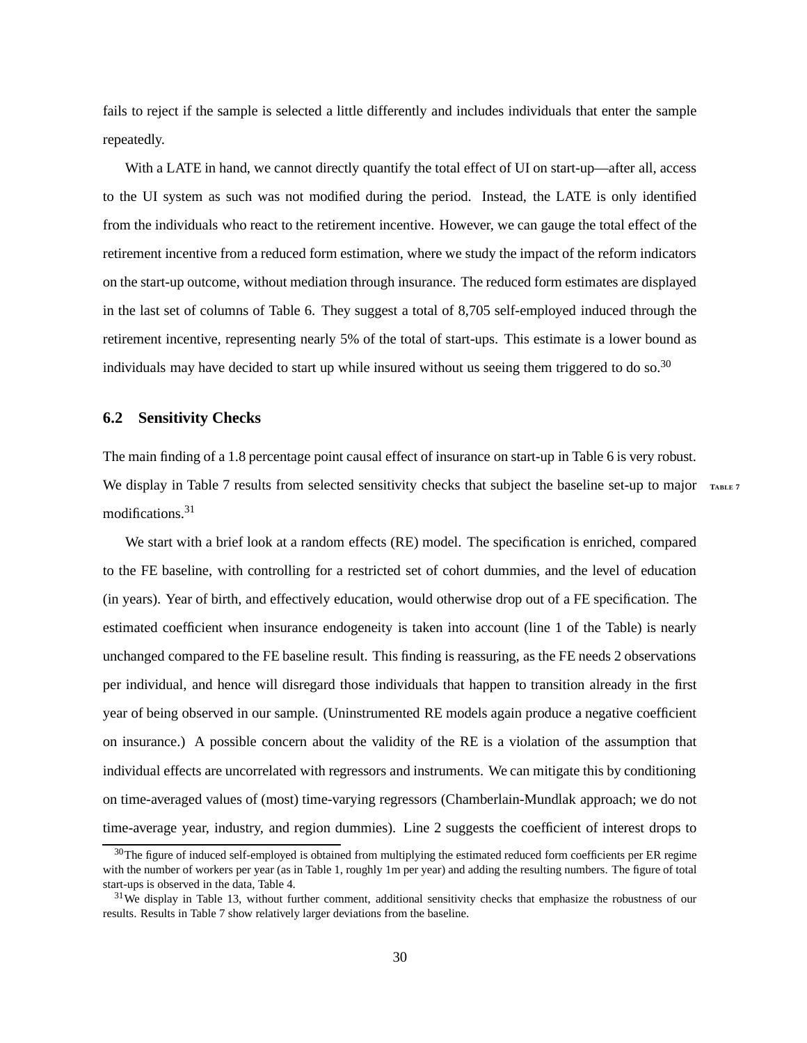fails to reject if the sample is selected a little differently and includes individuals that enter the sample repeatedly.

With a LATE in hand, we cannot directly quantify the total effect of UI on start-up—after all, access to the UI system as such was not modified during the period. Instead, the LATE is only identified from the individuals who react to the retirement incentive. However, we can gauge the total effect of the retirement incentive from a reduced form estimation, where we study the impact of the reform indicators on the start-up outcome, without mediation through insurance. The reduced form estimates are displayed in the last set of columns of Table [6.](#page-53-0) They suggest a total of 8,705 self-employed induced through the retirement incentive, representing nearly 5% of the total of start-ups. This estimate is a lower bound as individuals may have decided to start up while insured without us seeing them triggered to do so.<sup>[30](#page-30-0)</sup>

### **6.2 Sensitivity Checks**

The main finding of a 1.8 percentage point causal effect of insurance on start-up in Table [6](#page-53-0) is very robust. We display in Table [7](#page-55-0) results from selected sensitivity checks that subject the baseline set-up to major TABLE [7](#page-55-0) modifications.[31](#page-30-1)

We start with a brief look at a random effects (RE) model. The specification is enriched, compared to the FE baseline, with controlling for a restricted set of cohort dummies, and the level of education (in years). Year of birth, and effectively education, would otherwise drop out of a FE specification. The estimated coefficient when insurance endogeneity is taken into account (line 1 of the Table) is nearly unchanged compared to the FE baseline result. This finding is reassuring, as the FE needs 2 observations per individual, and hence will disregard those individuals that happen to transition already in the first year of being observed in our sample. (Uninstrumented RE models again produce a negative coefficient on insurance.) A possible concern about the validity of the RE is a violation of the assumption that individual effects are uncorrelated with regressors and instruments. We can mitigate this by conditioning on time-averaged values of (most) time-varying regressors (Chamberlain-Mundlak approach; we do not time-average year, industry, and region dummies). Line 2 suggests the coefficient of interest drops to

<span id="page-30-0"></span> $30$ The figure of induced self-employed is obtained from multiplying the estimated reduced form coefficients per ER regime with the number of workers per year (as in Table [1,](#page-50-0) roughly 1m per year) and adding the resulting numbers. The figure of total start-ups is observed in the data, Table [4.](#page-51-1)

<span id="page-30-1"></span> $31$ We display in Table [13,](#page-61-0) without further comment, additional sensitivity checks that emphasize the robustness of our results. Results in Table [7](#page-55-0) show relatively larger deviations from the baseline.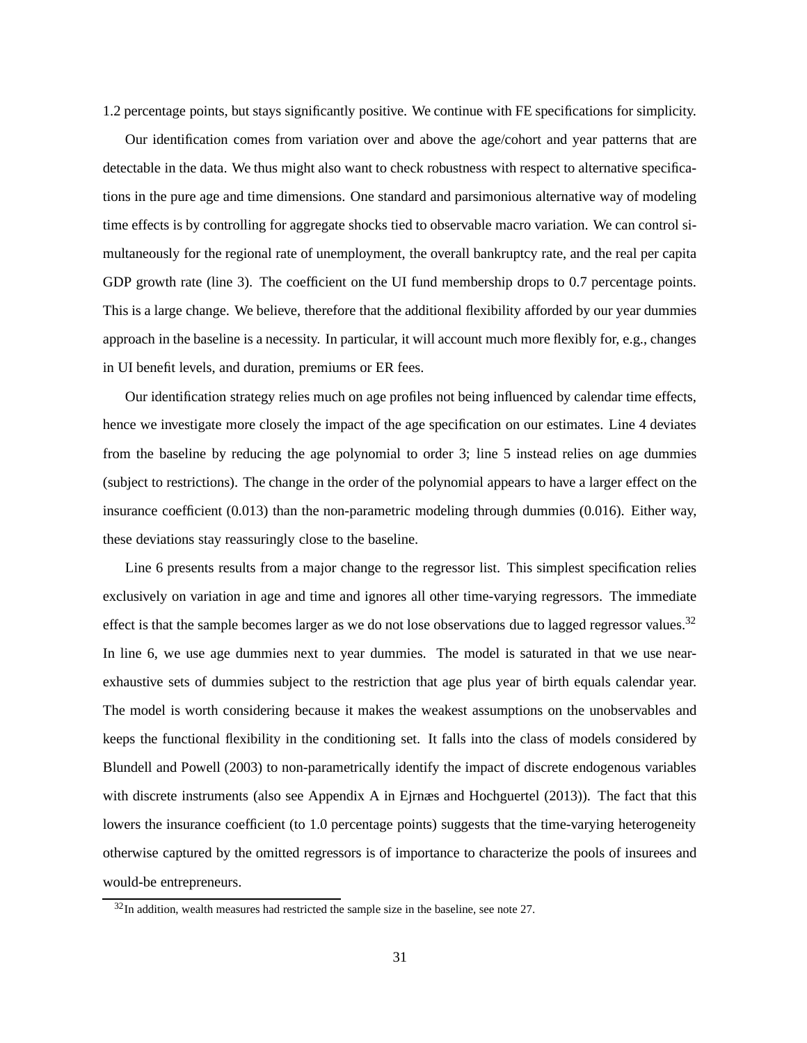<span id="page-31-1"></span>1.2 percentage points, but stays significantly positive. We continue with FE specifications for simplicity.

Our identification comes from variation over and above the age/cohort and year patterns that are detectable in the data. We thus might also want to check robustness with respect to alternative specifications in the pure age and time dimensions. One standard and parsimonious alternative way of modeling time effects is by controlling for aggregate shocks tied to observable macro variation. We can control simultaneously for the regional rate of unemployment, the overall bankruptcy rate, and the real per capita GDP growth rate (line 3). The coefficient on the UI fund membership drops to 0.7 percentage points. This is a large change. We believe, therefore that the additional flexibility afforded by our year dummies approach in the baseline is a necessity. In particular, it will account much more flexibly for, e.g., changes in UI benefit levels, and duration, premiums or ER fees.

Our identification strategy relies much on age profiles not being influenced by calendar time effects, hence we investigate more closely the impact of the age specification on our estimates. Line 4 deviates from the baseline by reducing the age polynomial to order 3; line 5 instead relies on age dummies (subject to restrictions). The change in the order of the polynomial appears to have a larger effect on the insurance coefficient (0.013) than the non-parametric modeling through dummies (0.016). Either way, these deviations stay reassuringly close to the baseline.

Line 6 presents results from a major change to the regressor list. This simplest specification relies exclusively on variation in age and time and ignores all other time-varying regressors. The immediate effect is that the sample becomes larger as we do not lose observations due to lagged regressor values.<sup>[32](#page-31-0)</sup> In line 6, we use age dummies next to year dummies. The model is saturated in that we use nearexhaustive sets of dummies subject to the restriction that age plus year of birth equals calendar year. The model is worth considering because it makes the weakest assumptions on the unobservables and keeps the functional flexibility in the conditioning set. It falls into the class of models considered by [Blundell and Powell \(2003\)](#page-41-8) to non-parametrically identify the impact of discrete endogenous variables with discrete instruments (also see Appendix A in Ejrnæs and [Hochguertel](#page-42-6) [\(2013](#page-42-6))). The fact that this lowers the insurance coefficient (to 1.0 percentage points) suggests that the time-varying heterogeneity otherwise captured by the omitted regressors is of importance to characterize the pools of insurees and would-be entrepreneurs.

<span id="page-31-0"></span><sup>32</sup>In addition, wealth measures had restricted the sample size in the baseline, see note [27.](#page-27-1)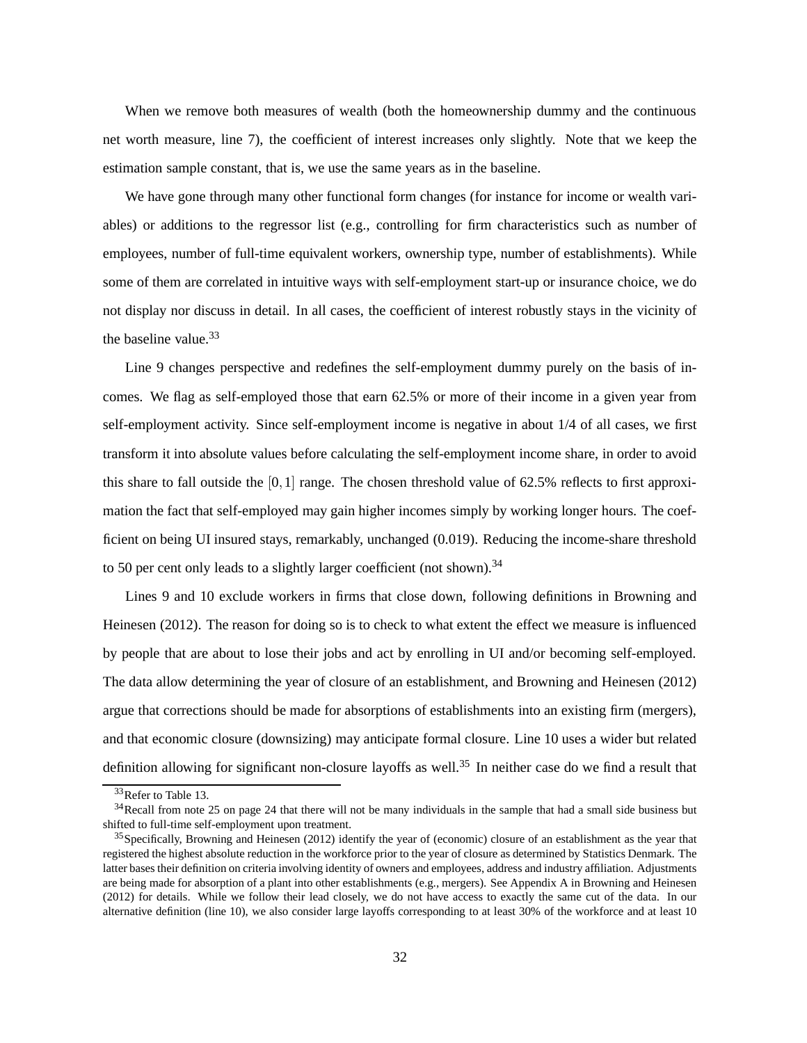<span id="page-32-3"></span>When we remove both measures of wealth (both the homeownership dummy and the continuous net worth measure, line 7), the coefficient of interest increases only slightly. Note that we keep the estimation sample constant, that is, we use the same years as in the baseline.

We have gone through many other functional form changes (for instance for income or wealth variables) or additions to the regressor list (e.g., controlling for firm characteristics such as number of employees, number of full-time equivalent workers, ownership type, number of establishments). While some of them are correlated in intuitive ways with self-employment start-up or insurance choice, we do not display nor discuss in detail. In all cases, the coefficient of interest robustly stays in the vicinity of the baseline value.<sup>[33](#page-32-0)</sup>

Line 9 changes perspective and redefines the self-employment dummy purely on the basis of incomes. We flag as self-employed those that earn 62.5% or more of their income in a given year from self-employment activity. Since self-employment income is negative in about 1/4 of all cases, we first transform it into absolute values before calculating the self-employment income share, in order to avoid this share to fall outside the  $[0,1]$  range. The chosen threshold value of 62.5% reflects to first approximation the fact that self-employed may gain higher incomes simply by working longer hours. The coefficient on being UI insured stays, remarkably, unchanged (0.019). Reducing the income-share threshold to 50 per cent only leads to a slightly larger coefficient (not shown).<sup>[34](#page-32-1)</sup>

Line[s 9 and 10 exclude workers in firms that close down, following definitions in](#page-41-9) Browning and Heinesen [\(2012\)](#page-41-9). The reason for doing so is to check to what extent the effect we measure is influenced by people that are about to lose their jobs and act by enrolling in UI and/or becoming self-employed. The data allow determining the year of closure of an establishment, and [Browning and Heinesen \(2012](#page-41-9)) argue that corrections should be made for absorptions of establishments into an existing firm (mergers), and that economic closure (downsizing) may anticipate formal closure. Line 10 uses a wider but related definition allowing for significant non-closure layoffs as well.<sup>[35](#page-32-2)</sup> In neither case do we find a result that

<span id="page-32-0"></span><sup>&</sup>lt;sup>33</sup>Refer to Table [13.](#page-61-0)

<span id="page-32-1"></span> $34$ Recall from note [25](#page-24-1) on page [24](#page-24-1) that there will not be many individuals in the sample that had a small side business but shifted to full-time self-employment upon treatment.

<span id="page-32-2"></span> $35$ Specifically, [Browning and Heinesen](#page-41-9) [\(2012](#page-41-9)) identify the year of (economic) closure of an establishment as the year that registered the highest absolute reduction in the workforce prior to the year of closure as determined by Statistics Denmark. The latter bases their definition on criteria involving identity of owners and employees, address and industry affiliation. Adjustments are being made for absorption of a plant into other establishments (e.g., mergers). See Appendix A in [Browning and Heinesen](#page-41-9) [\(2012\)](#page-41-9) for details. While we follow their lead closely, we do not have access to exactly the same cut of the data. In our alternative definition (line 10), we also consider large layoffs corresponding to at least 30% of the workforce and at least 10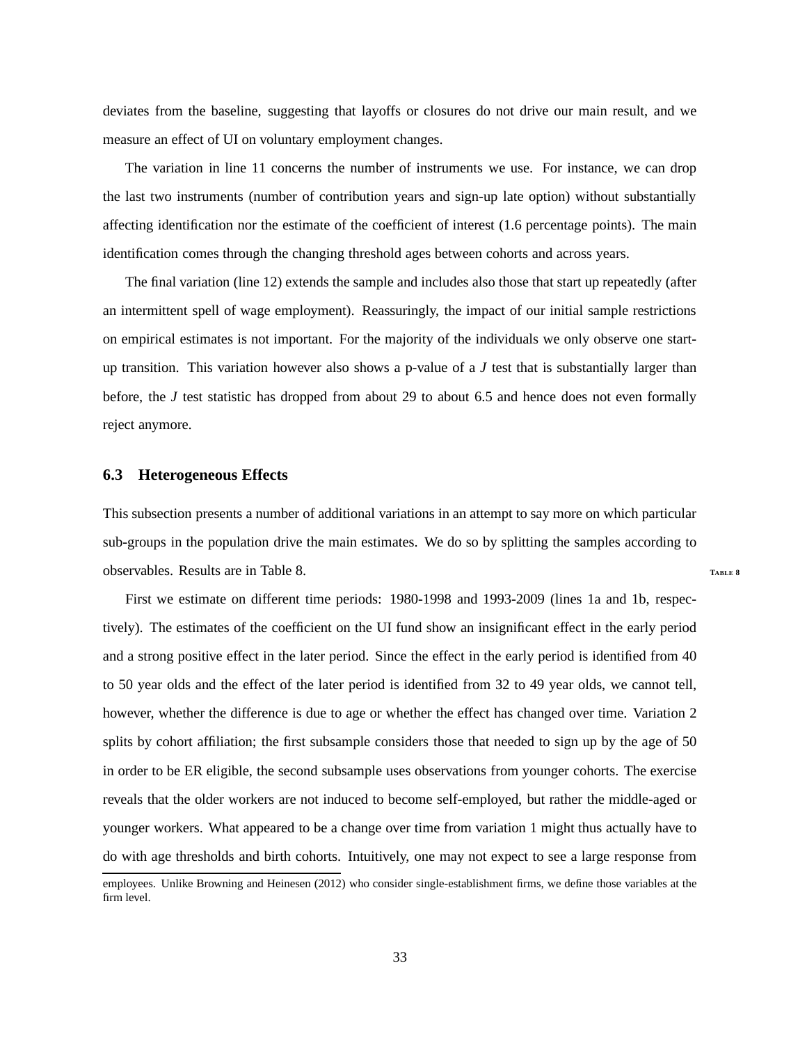<span id="page-33-0"></span>deviates from the baseline, suggesting that layoffs or closures do not drive our main result, and we measure an effect of UI on voluntary employment changes.

The variation in line 11 concerns the number of instruments we use. For instance, we can drop the last two instruments (number of contribution years and sign-up late option) without substantially affecting identification nor the estimate of the coefficient of interest (1.6 percentage points). The main identification comes through the changing threshold ages between cohorts and across years.

The final variation (line 12) extends the sample and includes also those that start up repeatedly (after an intermittent spell of wage employment). Reassuringly, the impact of our initial sample restrictions on empirical estimates is not important. For the majority of the individuals we only observe one startup transition. This variation however also shows a p-value of a *J* test that is substantially larger than before, the *J* test statistic has dropped from about 29 to about 6.5 and hence does not even formally reject anymore.

### **6.3 Heterogeneous Effects**

This subsection presents a number of additional variations in an attempt to say more on which particular sub-groups in the population drive the main estimates. We do so by splitting the samples according to observables. Results are in Table [8.](#page-56-0) **<sup>T</sup>ABLE [8](#page-56-0)**

First we estimate on different time periods: 1980-1998 and 1993-2009 (lines 1a and 1b, respectively). The estimates of the coefficient on the UI fund show an insignificant effect in the early period and a strong positive effect in the later period. Since the effect in the early period is identified from 40 to 50 year olds and the effect of the later period is identified from 32 to 49 year olds, we cannot tell, however, whether the difference is due to age or whether the effect has changed over time. Variation 2 splits by cohort affiliation; the first subsample considers those that needed to sign up by the age of 50 in order to be ER eligible, the second subsample uses observations from younger cohorts. The exercise reveals that the older workers are not induced to become self-employed, but rather the middle-aged or younger workers. What appeared to be a change over time from variation 1 might thus actually have to do with age thresholds and birth cohorts. Intuitively, one may not expect to see a large response from

employees. Unlike [Browning and Heinesen](#page-41-9) [\(2012](#page-41-9)) who consider single-establishment firms, we define those variables at the firm level.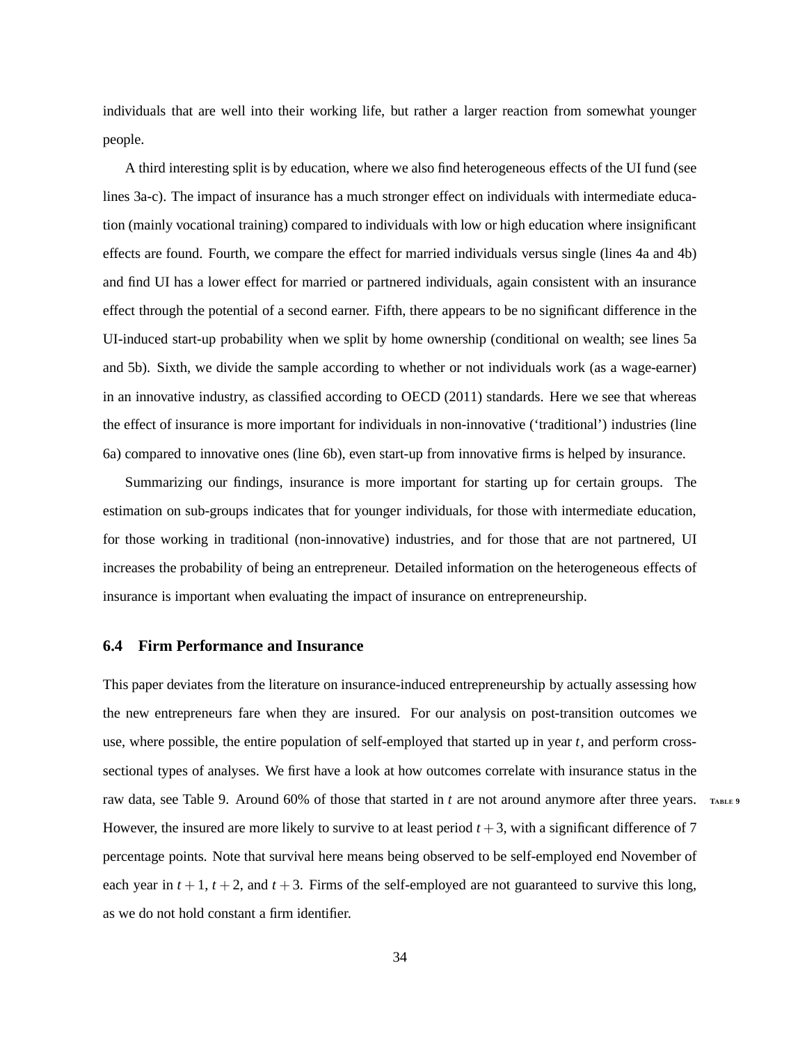<span id="page-34-0"></span>individuals that are well into their working life, but rather a larger reaction from somewhat younger people.

A third interesting split is by education, where we also find heterogeneous effects of the UI fund (see lines 3a-c). The impact of insurance has a much stronger effect on individuals with intermediate education (mainly vocational training) compared to individuals with low or high education where insignificant effects are found. Fourth, we compare the effect for married individuals versus single (lines 4a and 4b) and find UI has a lower effect for married or partnered individuals, again consistent with an insurance effect through the potential of a second earner. Fifth, there appears to be no significant difference in the UI-induced start-up probability when we split by home ownership (conditional on wealth; see lines 5a and 5b). Sixth, we divide the sample according to whether or not individuals work (as a wage-earner) in an innovative industry, as classified according to [OECD](#page-44-10) [\(2011](#page-44-10)) standards. Here we see that whereas the effect of insurance is more important for individuals in non-innovative ('traditional') industries (line 6a) compared to innovative ones (line 6b), even start-up from innovative firms is helped by insurance.

Summarizing our findings, insurance is more important for starting up for certain groups. The estimation on sub-groups indicates that for younger individuals, for those with intermediate education, for those working in traditional (non-innovative) industries, and for those that are not partnered, UI increases the probability of being an entrepreneur. Detailed information on the heterogeneous effects of insurance is important when evaluating the impact of insurance on entrepreneurship.

### **6.4 Firm Performance and Insurance**

This paper deviates from the literature on insurance-induced entrepreneurship by actually assessing how the new entrepreneurs fare when they are insured. For our analysis on post-transition outcomes we use, where possible, the entire population of self-employed that started up in year *t*, and perform crosssectional types of analyses. We first have a look at how outcomes correlate with insurance status in the raw data, see Table [9.](#page-57-0) Around 60% of those that started in *t* are not around anymore after three years. **<sup>T</sup>ABLE [9](#page-57-0)** However, the insured are more likely to survive to at least period  $t + 3$ , with a significant difference of 7 percentage points. Note that survival here means being observed to be self-employed end November of each year in  $t + 1$ ,  $t + 2$ , and  $t + 3$ . Firms of the self-employed are not guaranteed to survive this long, as we do not hold constant a firm identifier.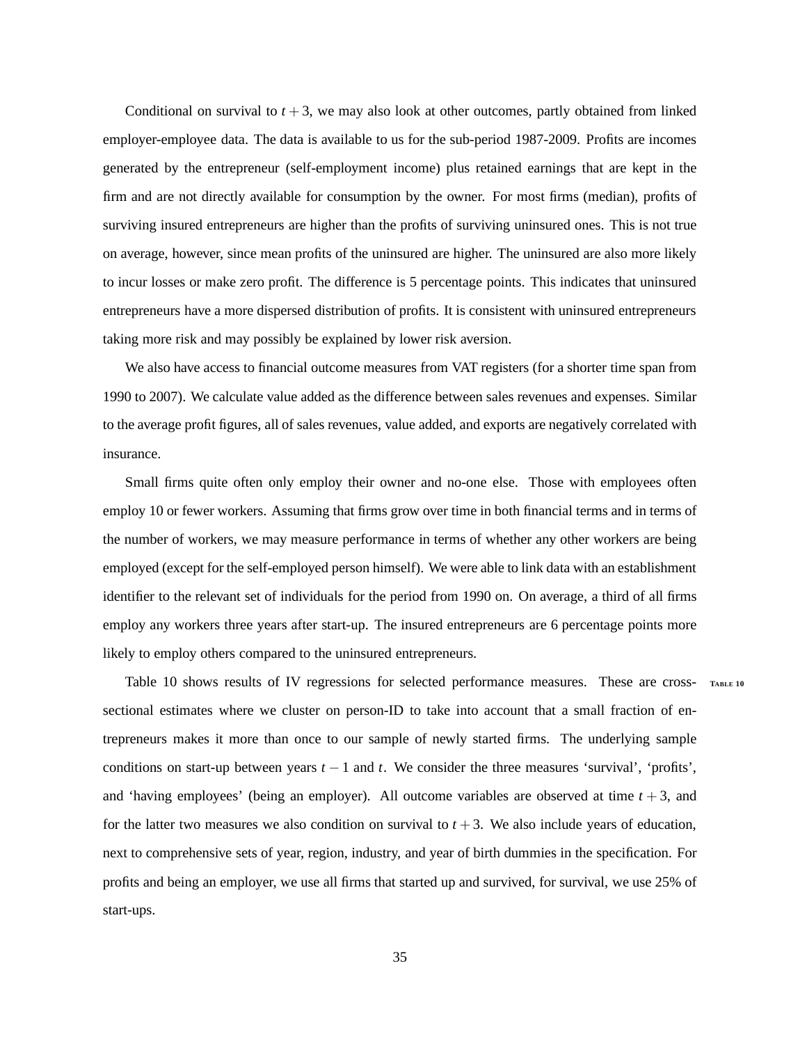Conditional on survival to  $t + 3$ , we may also look at other outcomes, partly obtained from linked employer-employee data. The data is available to us for the sub-period 1987-2009. Profits are incomes generated by the entrepreneur (self-employment income) plus retained earnings that are kept in the firm and are not directly available for consumption by the owner. For most firms (median), profits of surviving insured entrepreneurs are higher than the profits of surviving uninsured ones. This is not true on average, however, since mean profits of the uninsured are higher. The uninsured are also more likely to incur losses or make zero profit. The difference is 5 percentage points. This indicates that uninsured entrepreneurs have a more dispersed distribution of profits. It is consistent with uninsured entrepreneurs taking more risk and may possibly be explained by lower risk aversion.

We also have access to financial outcome measures from VAT registers (for a shorter time span from 1990 to 2007). We calculate value added as the difference between sales revenues and expenses. Similar to the average profit figures, all of sales revenues, value added, and exports are negatively correlated with insurance.

Small firms quite often only employ their owner and no-one else. Those with employees often employ 10 or fewer workers. Assuming that firms grow over time in both financial terms and in terms of the number of workers, we may measure performance in terms of whether any other workers are being employed (except for the self-employed person himself). We were able to link data with an establishment identifier to the relevant set of individuals for the period from 1990 on. On average, a third of all firms employ any workers three years after start-up. The insured entrepreneurs are 6 percentage points more likely to employ others compared to the uninsured entrepreneurs.

Table [10](#page-58-0) shows results of IV regressions for selected performance measures. These are cross- **<sup>T</sup>ABLE [10](#page-58-0)** sectional estimates where we cluster on person-ID to take into account that a small fraction of entrepreneurs makes it more than once to our sample of newly started firms. The underlying sample conditions on start-up between years *t* − 1 and *t*. We consider the three measures 'survival', 'profits', and 'having employees' (being an employer). All outcome variables are observed at time  $t + 3$ , and for the latter two measures we also condition on survival to  $t + 3$ . We also include years of education, next to comprehensive sets of year, region, industry, and year of birth dummies in the specification. For profits and being an employer, we use all firms that started up and survived, for survival, we use 25% of start-ups.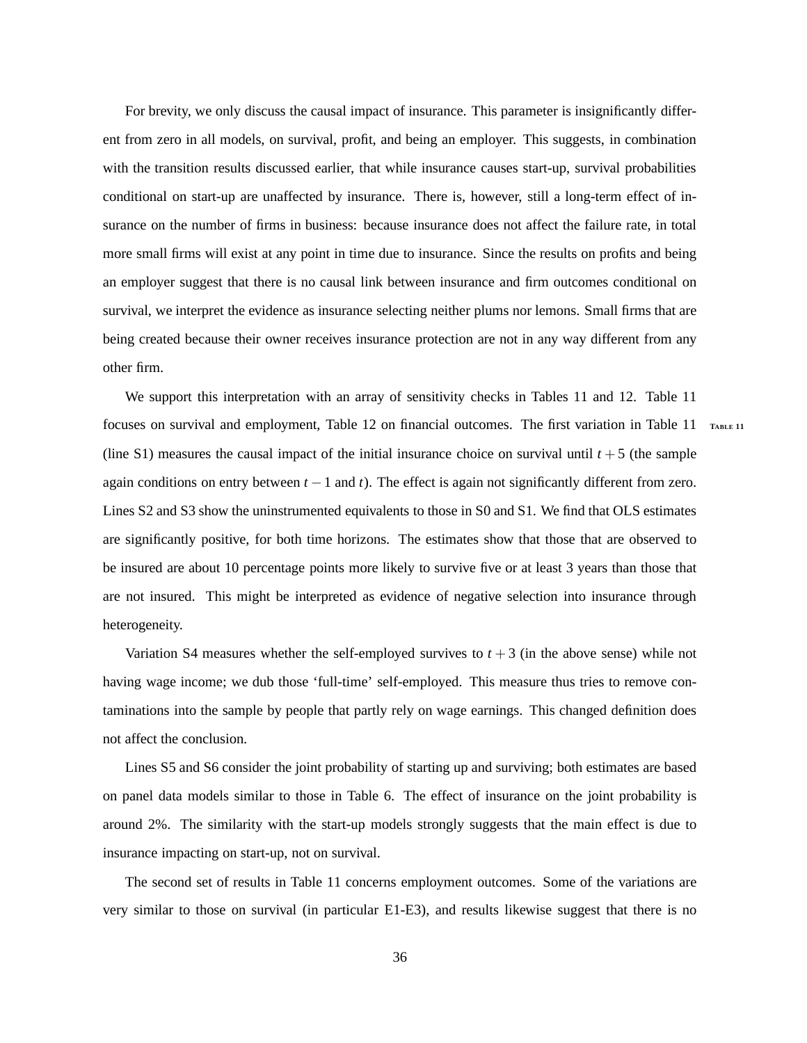For brevity, we only discuss the causal impact of insurance. This parameter is insignificantly different from zero in all models, on survival, profit, and being an employer. This suggests, in combination with the transition results discussed earlier, that while insurance causes start-up, survival probabilities conditional on start-up are unaffected by insurance. There is, however, still a long-term effect of insurance on the number of firms in business: because insurance does not affect the failure rate, in total more small firms will exist at any point in time due to insurance. Since the results on profits and being an employer suggest that there is no causal link between insurance and firm outcomes conditional on survival, we interpret the evidence as insurance selecting neither plums nor lemons. Small firms that are being created because their owner receives insurance protection are not in any way different from any other firm.

We support this interpretation with an array of sensitivity checks in Tables [11](#page-59-0) and [12.](#page-60-0) Table [11](#page-59-0) focuses on survival and employment, Table [12](#page-60-0) on financial outcomes. The first variation in Table [11](#page-59-0) **<sup>T</sup>ABLE [11](#page-59-0)** (line S1) measures the causal impact of the initial insurance choice on survival until  $t + 5$  (the sample again conditions on entry between  $t - 1$  and  $t$ ). The effect is again not significantly different from zero. Lines S2 and S3 show the uninstrumented equivalents to those in S0 and S1. We find that OLS estimates are significantly positive, for both time horizons. The estimates show that those that are observed to be insured are about 10 percentage points more likely to survive five or at least 3 years than those that are not insured. This might be interpreted as evidence of negative selection into insurance through heterogeneity.

Variation S4 measures whether the self-employed survives to  $t + 3$  (in the above sense) while not having wage income; we dub those 'full-time' self-employed. This measure thus tries to remove contaminations into the sample by people that partly rely on wage earnings. This changed definition does not affect the conclusion.

Lines S5 and S6 consider the joint probability of starting up and surviving; both estimates are based on panel data models similar to those in Table [6.](#page-53-0) The effect of insurance on the joint probability is around 2%. The similarity with the start-up models strongly suggests that the main effect is due to insurance impacting on start-up, not on survival.

The second set of results in Table [11](#page-59-0) concerns employment outcomes. Some of the variations are very similar to those on survival (in particular E1-E3), and results likewise suggest that there is no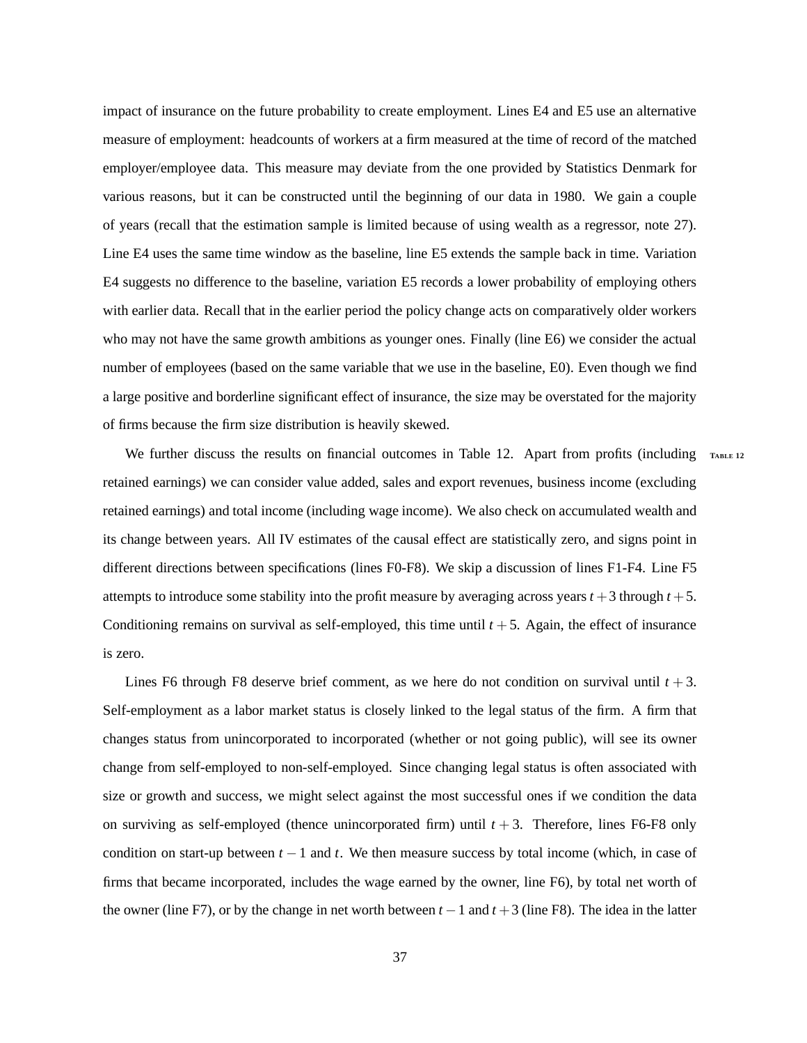impact of insurance on the future probability to create employment. Lines E4 and E5 use an alternative measure of employment: headcounts of workers at a firm measured at the time of record of the matched employer/employee data. This measure may deviate from the one provided by Statistics Denmark for various reasons, but it can be constructed until the beginning of our data in 1980. We gain a couple of years (recall that the estimation sample is limited because of using wealth as a regressor, note [27\)](#page-27-1). Line E4 uses the same time window as the baseline, line E5 extends the sample back in time. Variation E4 suggests no difference to the baseline, variation E5 records a lower probability of employing others with earlier data. Recall that in the earlier period the policy change acts on comparatively older workers who may not have the same growth ambitions as younger ones. Finally (line E6) we consider the actual number of employees (based on the same variable that we use in the baseline, E0). Even though we find a large positive and borderline significant effect of insurance, the size may be overstated for the majority of firms because the firm size distribution is heavily skewed.

We further discuss the results on financial outcomes in Table [12.](#page-60-0) Apart from profits (including TABLE [12](#page-60-0) retained earnings) we can consider value added, sales and export revenues, business income (excluding retained earnings) and total income (including wage income). We also check on accumulated wealth and its change between years. All IV estimates of the causal effect are statistically zero, and signs point in different directions between specifications (lines F0-F8). We skip a discussion of lines F1-F4. Line F5 attempts to introduce some stability into the profit measure by averaging across years  $t + 3$  through  $t + 5$ . Conditioning remains on survival as self-employed, this time until  $t + 5$ . Again, the effect of insurance is zero.

Lines F6 through F8 deserve brief comment, as we here do not condition on survival until  $t + 3$ . Self-employment as a labor market status is closely linked to the legal status of the firm. A firm that changes status from unincorporated to incorporated (whether or not going public), will see its owner change from self-employed to non-self-employed. Since changing legal status is often associated with size or growth and success, we might select against the most successful ones if we condition the data on surviving as self-employed (thence unincorporated firm) until *t* + 3. Therefore, lines F6-F8 only condition on start-up between  $t - 1$  and  $t$ . We then measure success by total income (which, in case of firms that became incorporated, includes the wage earned by the owner, line F6), by total net worth of the owner (line F7), or by the change in net worth between  $t - 1$  and  $t + 3$  (line F8). The idea in the latter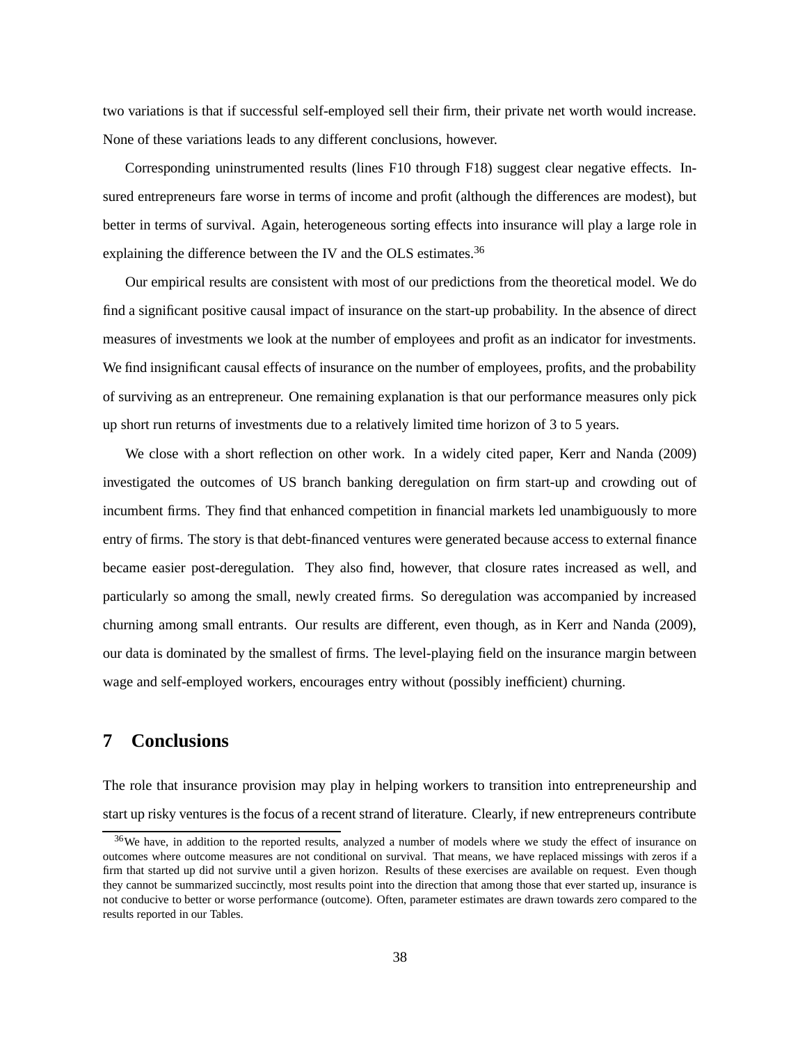<span id="page-38-2"></span>two variations is that if successful self-employed sell their firm, their private net worth would increase. None of these variations leads to any different conclusions, however.

Corresponding uninstrumented results (lines F10 through F18) suggest clear negative effects. Insured entrepreneurs fare worse in terms of income and profit (although the differences are modest), but better in terms of survival. Again, heterogeneous sorting effects into insurance will play a large role in explaining the difference between the IV and the OLS estimates.<sup>[36](#page-38-1)</sup>

Our empirical results are consistent with most of our predictions from the theoretical model. We do find a significant positive causal impact of insurance on the start-up probability. In the absence of direct measures of investments we look at the number of employees and profit as an indicator for investments. We find insignificant causal effects of insurance on the number of employees, profits, and the probability of surviving as an entrepreneur. One remaining explanation is that our performance measures only pick up short run returns of investments due to a relatively limited time horizon of 3 to 5 years.

We close with a short reflection on other work. In a widely cited paper, [Kerr and Nanda \(2009](#page-43-8)) investigated the outcomes of US branch banking deregulation on firm start-up and crowding out of incumbent firms. They find that enhanced competition in financial markets led unambiguously to more entry of firms. The story is that debt-financed ventures were generated because access to external finance became easier post-deregulation. They also find, however, that closure rates increased as well, and particularly so among the small, newly created firms. So deregulation was accompanied by increased churning among small entrants. Our results are different, even though, as in [Kerr and Nanda](#page-43-8) [\(2009](#page-43-8)), our data is dominated by the smallest of firms. The level-playing field on the insurance margin between wage and self-employed workers, encourages entry without (possibly inefficient) churning.

# <span id="page-38-0"></span>**7 Conclusions**

The role that insurance provision may play in helping workers to transition into entrepreneurship and start up risky ventures is the focus of a recent strand of literature. Clearly, if new entrepreneurs contribute

<span id="page-38-1"></span> $36$ We have, in addition to the reported results, analyzed a number of models where we study the effect of insurance on outcomes where outcome measures are not conditional on survival. That means, we have replaced missings with zeros if a firm that started up did not survive until a given horizon. Results of these exercises are available on request. Even though they cannot be summarized succinctly, most results point into the direction that among those that ever started up, insurance is not conducive to better or worse performance (outcome). Often, parameter estimates are drawn towards zero compared to the results reported in our Tables.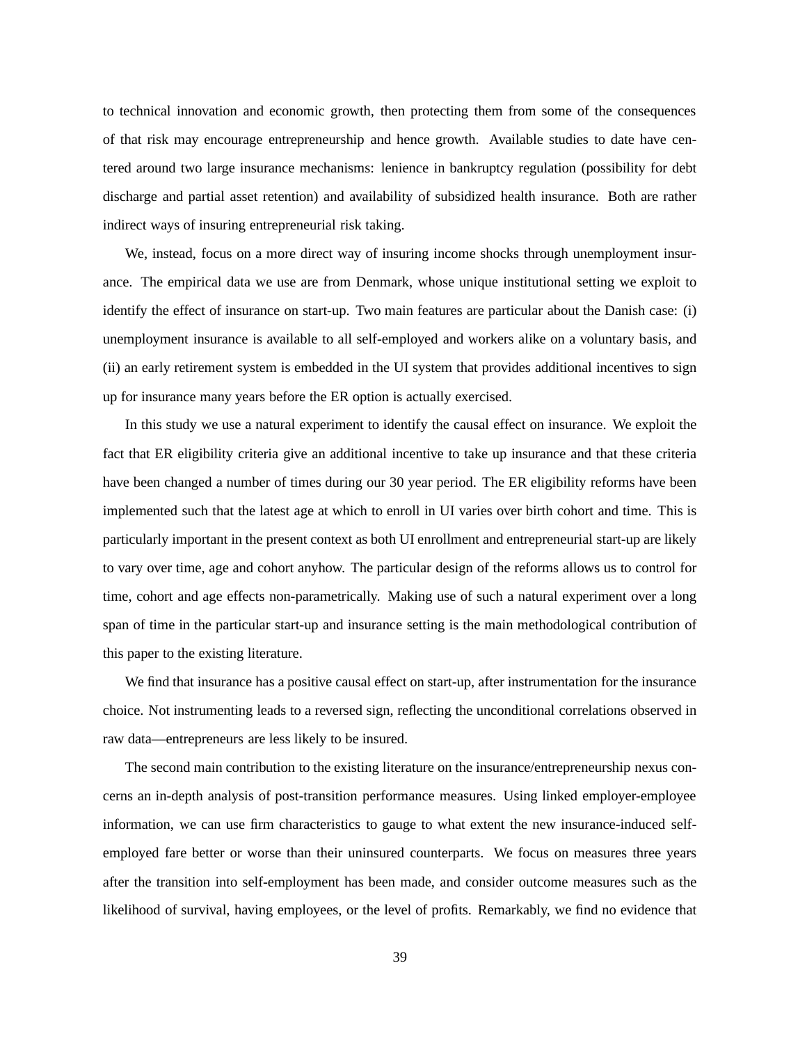to technical innovation and economic growth, then protecting them from some of the consequences of that risk may encourage entrepreneurship and hence growth. Available studies to date have centered around two large insurance mechanisms: lenience in bankruptcy regulation (possibility for debt discharge and partial asset retention) and availability of subsidized health insurance. Both are rather indirect ways of insuring entrepreneurial risk taking.

We, instead, focus on a more direct way of insuring income shocks through unemployment insurance. The empirical data we use are from Denmark, whose unique institutional setting we exploit to identify the effect of insurance on start-up. Two main features are particular about the Danish case: (i) unemployment insurance is available to all self-employed and workers alike on a voluntary basis, and (ii) an early retirement system is embedded in the UI system that provides additional incentives to sign up for insurance many years before the ER option is actually exercised.

In this study we use a natural experiment to identify the causal effect on insurance. We exploit the fact that ER eligibility criteria give an additional incentive to take up insurance and that these criteria have been changed a number of times during our 30 year period. The ER eligibility reforms have been implemented such that the latest age at which to enroll in UI varies over birth cohort and time. This is particularly important in the present context as both UI enrollment and entrepreneurial start-up are likely to vary over time, age and cohort anyhow. The particular design of the reforms allows us to control for time, cohort and age effects non-parametrically. Making use of such a natural experiment over a long span of time in the particular start-up and insurance setting is the main methodological contribution of this paper to the existing literature.

We find that insurance has a positive causal effect on start-up, after instrumentation for the insurance choice. Not instrumenting leads to a reversed sign, reflecting the unconditional correlations observed in raw data—entrepreneurs are less likely to be insured.

The second main contribution to the existing literature on the insurance/entrepreneurship nexus concerns an in-depth analysis of post-transition performance measures. Using linked employer-employee information, we can use firm characteristics to gauge to what extent the new insurance-induced selfemployed fare better or worse than their uninsured counterparts. We focus on measures three years after the transition into self-employment has been made, and consider outcome measures such as the likelihood of survival, having employees, or the level of profits. Remarkably, we find no evidence that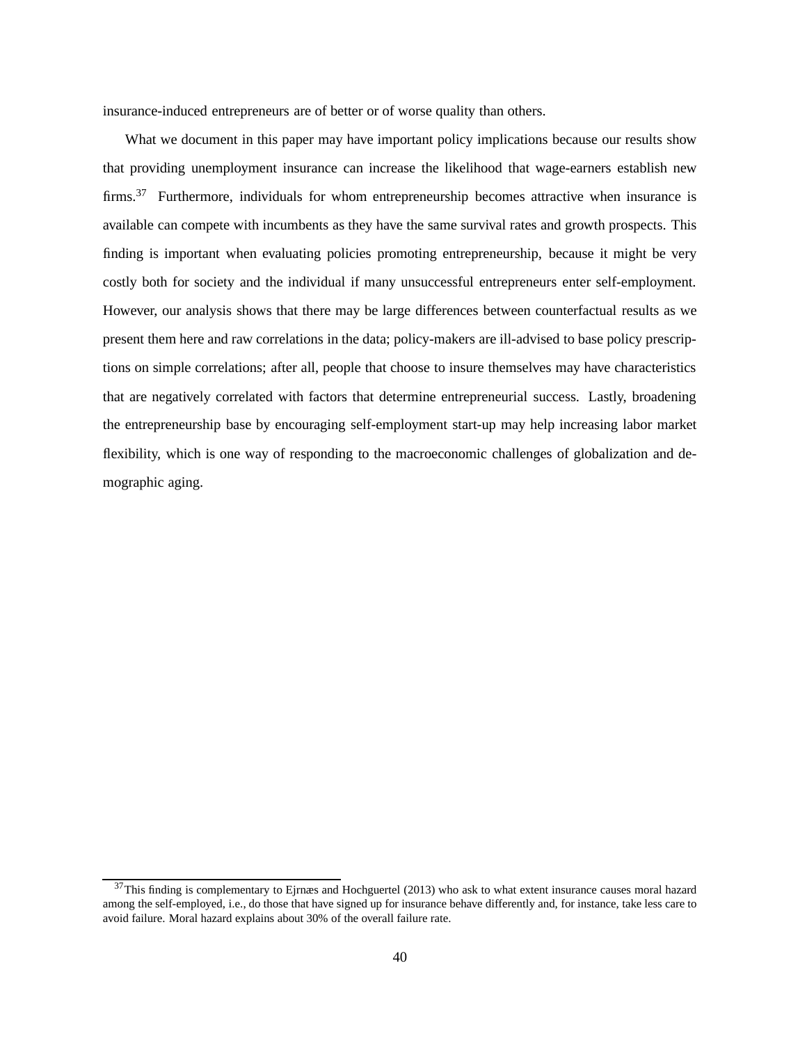<span id="page-40-1"></span>insurance-induced entrepreneurs are of better or of worse quality than others.

What we document in this paper may have important policy implications because our results show that providing unemployment insurance can increase the likelihood that wage-earners establish new firms.<sup>[37](#page-40-0)</sup> Furthermore, individuals for whom entrepreneurship becomes attractive when insurance is available can compete with incumbents as they have the same survival rates and growth prospects. This finding is important when evaluating policies promoting entrepreneurship, because it might be very costly both for society and the individual if many unsuccessful entrepreneurs enter self-employment. However, our analysis shows that there may be large differences between counterfactual results as we present them here and raw correlations in the data; policy-makers are ill-advised to base policy prescriptions on simple correlations; after all, people that choose to insure themselves may have characteristics that are negatively correlated with factors that determine entrepreneurial success. Lastly, broadening the entrepreneurship base by encouraging self-employment start-up may help increasing labor market flexibility, which is one way of responding to the macroeconomic challenges of globalization and demographic aging.

<span id="page-40-0"></span> $37$ This finding is complementary to [Ejrnæs and Hochguertel \(2013](#page-42-6)) who ask to what extent insurance causes moral hazard among the self-employed, i.e., do those that have signed up for insurance behave differently and, for instance, take less care to avoid failure. Moral hazard explains about 30% of the overall failure rate.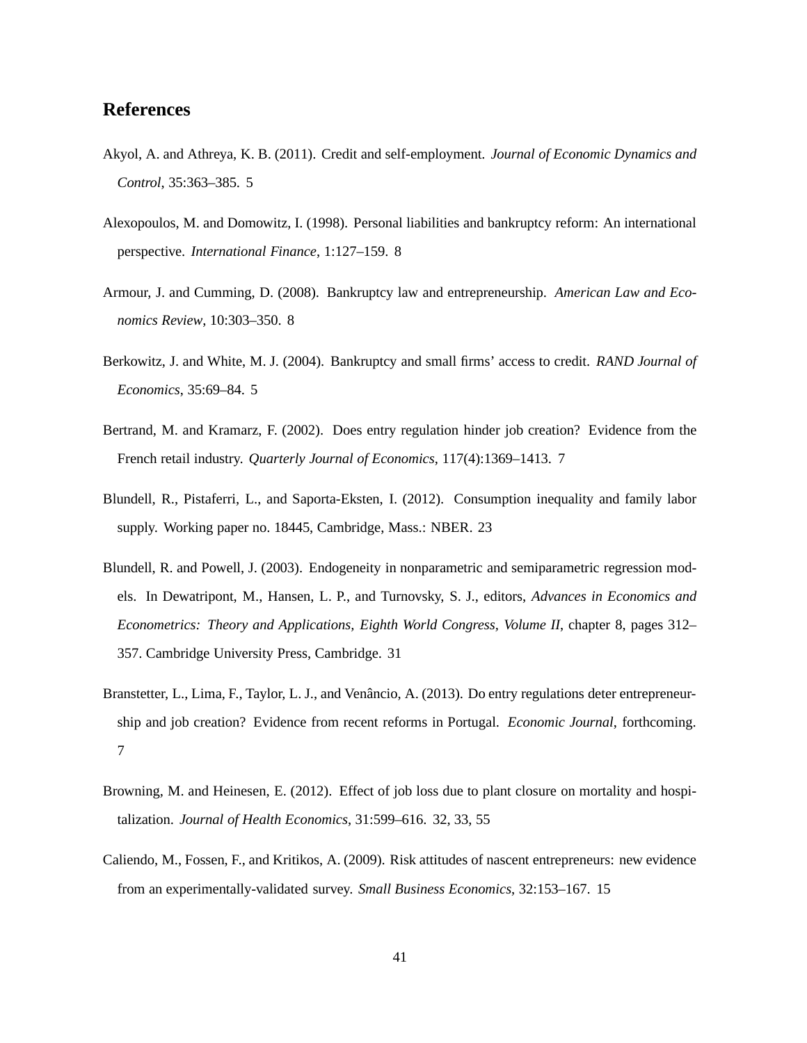# <span id="page-41-10"></span>**References**

- <span id="page-41-1"></span>Akyol, A. and Athreya, K. B. (2011). Credit and self-employment. *Journal of Economic Dynamics and Control*, 35:363–385. [5](#page-5-1)
- <span id="page-41-5"></span>Alexopoulos, M. and Domowitz, I. (1998). Personal liabilities and bankruptcy reform: An international perspective. *International Finance*, 1:127–159. [8](#page-8-1)
- <span id="page-41-4"></span>Armour, J. and Cumming, D. (2008). Bankruptcy law and entrepreneurship. *American Law and Economics Review*, 10:303–350. [8](#page-8-1)
- <span id="page-41-0"></span>Berkowitz, J. and White, M. J. (2004). Bankruptcy and small firms' access to credit. *RAND Journal of Economics*, 35:69–84. [5](#page-5-1)
- <span id="page-41-2"></span>Bertrand, M. and Kramarz, F. (2002). Does entry regulation hinder job creation? Evidence from the French retail industry. *Quarterly Journal of Economics*, 117(4):1369–1413. [7](#page-7-3)
- <span id="page-41-7"></span>Blundell, R., Pistaferri, L., and Saporta-Eksten, I. (2012). Consumption inequality and family labor supply. Working paper no. 18445, Cambridge, Mass.: NBER. [23](#page-23-3)
- <span id="page-41-8"></span>Blundell, R. and Powell, J. (2003). Endogeneity in nonparametric and semiparametric regression models. In Dewatripont, M., Hansen, L. P., and Turnovsky, S. J., editors, *Advances in Economics and Econometrics: Theory and Applications, Eighth World Congress, Volume II*, chapter 8, pages 312– 357. Cambridge University Press, Cambridge. [31](#page-31-1)
- <span id="page-41-3"></span>Branstetter, L., Lima, F., Taylor, L. J., and Venâncio, A. (2013). Do entry regulations deter entrepreneurship and job creation? Evidence from recent reforms in Portugal. *Economic Journal*, forthcoming. [7](#page-7-3)
- <span id="page-41-9"></span>Browning, M. and Heinesen, E. (2012). Effect of job loss due to plant closure on mortality and hospitalization. *Journal of Health Economics*, 31:599–616. [32,](#page-32-3) [33,](#page-33-0) [55](#page-55-1)
- <span id="page-41-6"></span>Caliendo, M., Fossen, F., and Kritikos, A. (2009). Risk attitudes of nascent entrepreneurs: new evidence from an experimentally-validated survey. *Small Business Economics*, 32:153–167. [15](#page-15-1)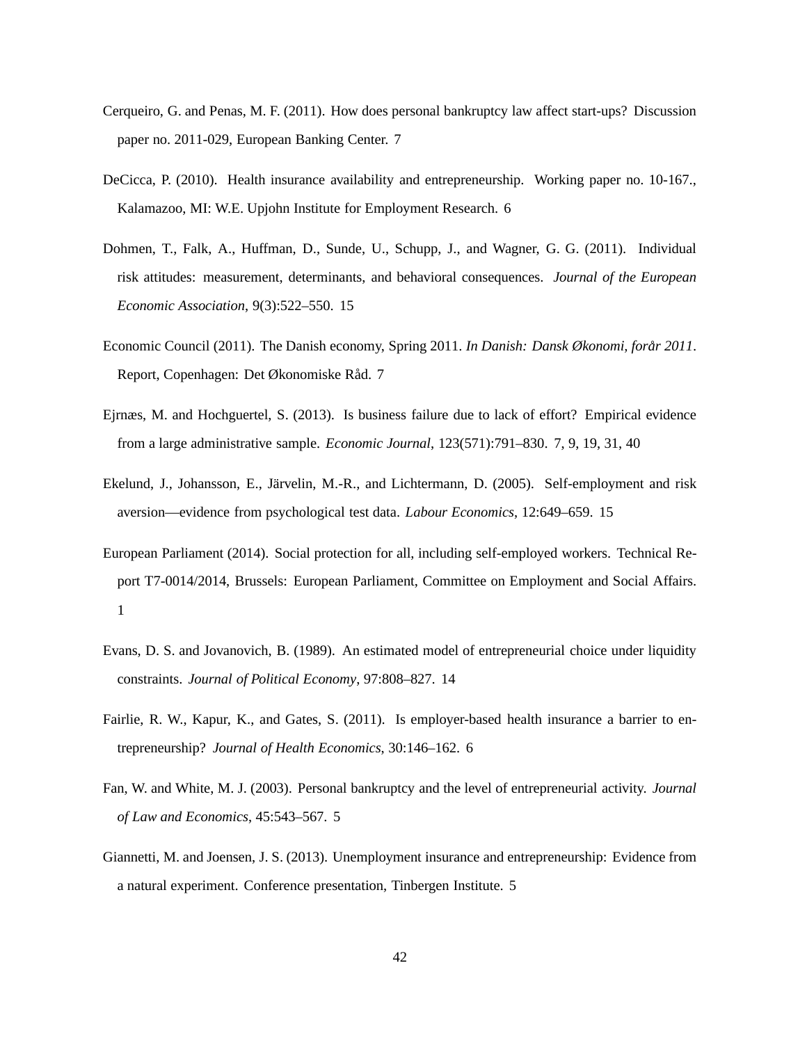- <span id="page-42-5"></span>Cerqueiro, G. and Penas, M. F. (2011). How does personal bankruptcy law affect start-ups? Discussion paper no. 2011-029, European Banking Center. [7](#page-7-3)
- <span id="page-42-4"></span>DeCicca, P. (2010). Health insurance availability and entrepreneurship. Working paper no. 10-167., Kalamazoo, MI: W.E. Upjohn Institute for Employment Research. [6](#page-6-1)
- <span id="page-42-10"></span>Dohmen, T., Falk, A., Huffman, D., Sunde, U., Schupp, J., and Wagner, G. G. (2011). Individual risk attitudes: measurement, determinants, and behavioral consequences. *Journal of the European Economic Association*, 9(3):522–550. [15](#page-15-1)
- <span id="page-42-7"></span>Economic Council (2011). The Danish economy, Spring 2011. *In Danish: Dansk Økonomi, forår 2011*. Report, Copenhagen: Det Økonomiske Råd. [7](#page-7-3)
- <span id="page-42-6"></span>Ejrnæs, M. and Hochguertel, S. (2013). Is business failure due to lack of effort? Empirical evidence from a large administrative sample. *Economic Journal*, 123(571):791–830. [7,](#page-7-3) [9,](#page-9-5) [19,](#page-19-1) [31,](#page-31-1) [40](#page-40-1)
- <span id="page-42-9"></span>Ekelund, J., Johansson, E., Järvelin, M.-R., and Lichtermann, D. (2005). Self-employment and risk aversion—evidence from psychological test data. *Labour Economics*, 12:649–659. [15](#page-15-1)
- <span id="page-42-0"></span>European Parliament (2014). Social protection for all, including self-employed workers. Technical Report T7-0014/2014, Brussels: European Parliament, Committee on Employment and Social Affairs. [1](#page-1-0)
- <span id="page-42-8"></span>Evans, D. S. and Jovanovich, B. (1989). An estimated model of entrepreneurial choice under liquidity constraints. *Journal of Political Economy*, 97:808–827. [14](#page-14-2)
- <span id="page-42-3"></span>Fairlie, R. W., Kapur, K., and Gates, S. (2011). Is employer-based health insurance a barrier to entrepreneurship? *Journal of Health Economics*, 30:146–162. [6](#page-6-1)
- <span id="page-42-1"></span>Fan, W. and White, M. J. (2003). Personal bankruptcy and the level of entrepreneurial activity. *Journal of Law and Economics*, 45:543–567. [5](#page-5-1)
- <span id="page-42-2"></span>Giannetti, M. and Joensen, J. S. (2013). Unemployment insurance and entrepreneurship: Evidence from a natural experiment. Conference presentation, Tinbergen Institute. [5](#page-5-1)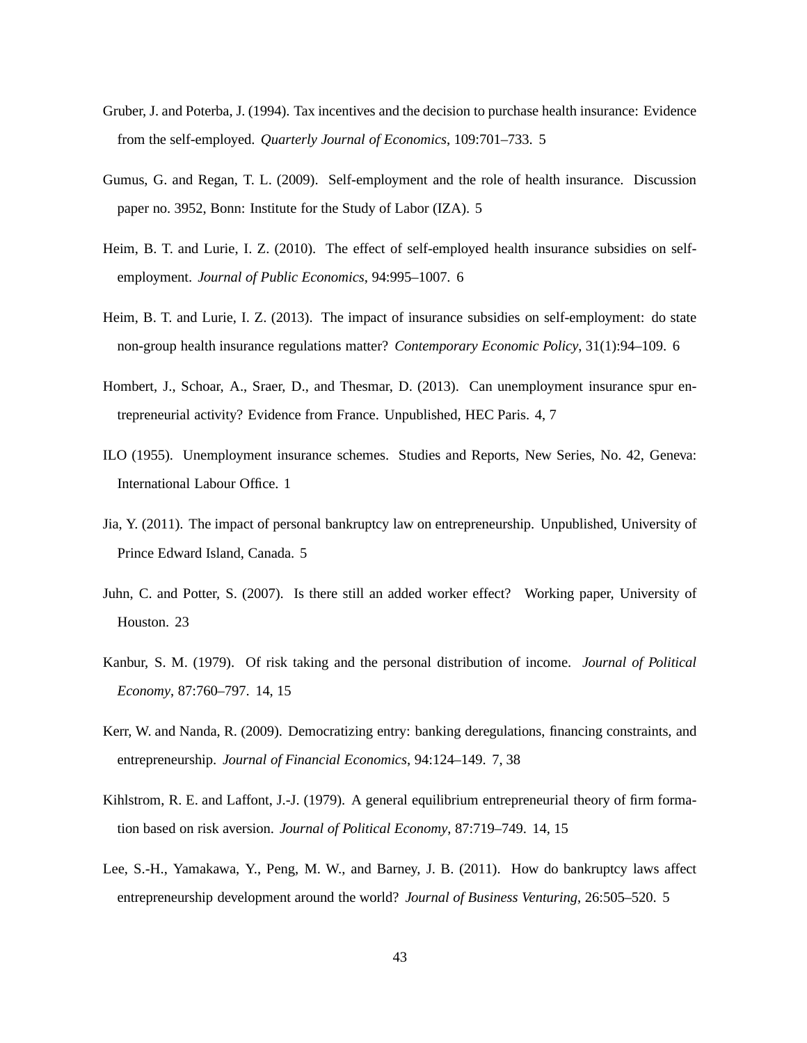- <span id="page-43-4"></span>Gruber, J. and Poterba, J. (1994). Tax incentives and the decision to purchase health insurance: Evidence from the self-employed. *Quarterly Journal of Economics*, 109:701–733. [5](#page-5-1)
- <span id="page-43-5"></span>Gumus, G. and Regan, T. L. (2009). Self-employment and the role of health insurance. Discussion paper no. 3952, Bonn: Institute for the Study of Labor (IZA). [5](#page-5-1)
- <span id="page-43-6"></span>Heim, B. T. and Lurie, I. Z. (2010). The effect of self-employed health insurance subsidies on selfemployment. *Journal of Public Economics*, 94:995–1007. [6](#page-6-1)
- <span id="page-43-7"></span>Heim, B. T. and Lurie, I. Z. (2013). The impact of insurance subsidies on self-employment: do state non-group health insurance regulations matter? *Contemporary Economic Policy*, 31(1):94–109. [6](#page-6-1)
- <span id="page-43-1"></span>Hombert, J., Schoar, A., Sraer, D., and Thesmar, D. (2013). Can unemployment insurance spur entrepreneurial activity? Evidence from France. Unpublished, HEC Paris. [4,](#page-4-1) [7](#page-7-3)
- <span id="page-43-0"></span>ILO (1955). Unemployment insurance schemes. Studies and Reports, New Series, No. 42, Geneva: International Labour Office. [1](#page-1-0)
- <span id="page-43-3"></span>Jia, Y. (2011). The impact of personal bankruptcy law on entrepreneurship. Unpublished, University of Prince Edward Island, Canada. [5](#page-5-1)
- <span id="page-43-11"></span>Juhn, C. and Potter, S. (2007). Is there still an added worker effect? Working paper, University of Houston. [23](#page-23-3)
- <span id="page-43-9"></span>Kanbur, S. M. (1979). Of risk taking and the personal distribution of income. *Journal of Political Economy*, 87:760–797. [14,](#page-14-2) [15](#page-15-1)
- <span id="page-43-8"></span>Kerr, W. and Nanda, R. (2009). Democratizing entry: banking deregulations, financing constraints, and entrepreneurship. *Journal of Financial Economics*, 94:124–149. [7,](#page-7-3) [38](#page-38-2)
- <span id="page-43-10"></span>Kihlstrom, R. E. and Laffont, J.-J. (1979). A general equilibrium entrepreneurial theory of firm formation based on risk aversion. *Journal of Political Economy*, 87:719–749. [14,](#page-14-2) [15](#page-15-1)
- <span id="page-43-2"></span>Lee, S.-H., Yamakawa, Y., Peng, M. W., and Barney, J. B. (2011). How do bankruptcy laws affect entrepreneurship development around the world? *Journal of Business Venturing*, 26:505–520. [5](#page-5-1)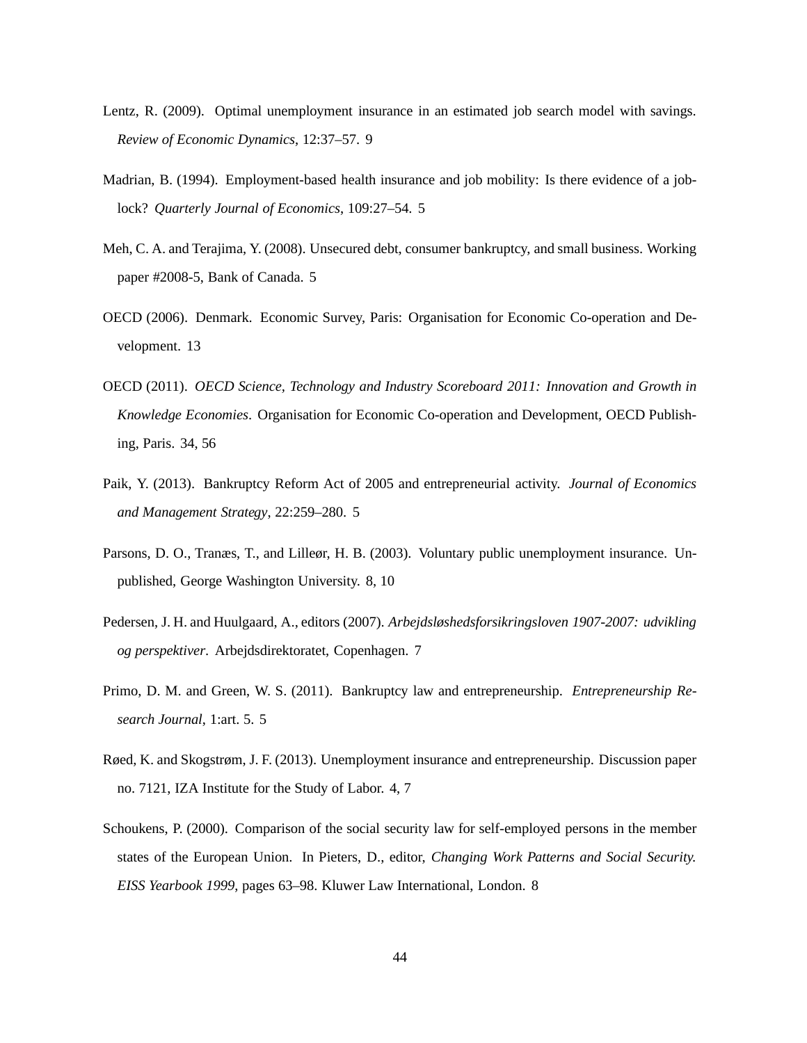- <span id="page-44-11"></span><span id="page-44-8"></span>Lentz, R. (2009). Optimal unemployment insurance in an estimated job search model with savings. *Review of Economic Dynamics*, 12:37–57. [9](#page-9-5)
- <span id="page-44-4"></span>Madrian, B. (1994). Employment-based health insurance and job mobility: Is there evidence of a joblock? *Quarterly Journal of Economics*, 109:27–54. [5](#page-5-1)
- <span id="page-44-3"></span>Meh, C. A. and Terajima, Y. (2008). Unsecured debt, consumer bankruptcy, and small business. Working paper #2008-5, Bank of Canada. [5](#page-5-1)
- <span id="page-44-9"></span>OECD (2006). Denmark. Economic Survey, Paris: Organisation for Economic Co-operation and Development. [13](#page-13-4)
- <span id="page-44-10"></span>OECD (2011). *OECD Science, Technology and Industry Scoreboard 2011: Innovation and Growth in Knowledge Economies*. Organisation for Economic Co-operation and Development, OECD Publishing, Paris. [34,](#page-34-0) [56](#page-56-1)
- <span id="page-44-1"></span>Paik, Y. (2013). Bankruptcy Reform Act of 2005 and entrepreneurial activity. *Journal of Economics and Management Strategy*, 22:259–280. [5](#page-5-1)
- <span id="page-44-7"></span>Parsons, D. O., Tranæs, T., and Lilleør, H. B. (2003). Voluntary public unemployment insurance. Unpublished, George Washington University. [8,](#page-8-1) [10](#page-10-2)
- <span id="page-44-5"></span>Pedersen, J. H. and Huulgaard, A., editors (2007). *Arbejdsløshedsforsikringsloven 1907-2007: udvikling og perspektiver*. Arbejdsdirektoratet, Copenhagen. [7](#page-7-3)
- <span id="page-44-2"></span>Primo, D. M. and Green, W. S. (2011). Bankruptcy law and entrepreneurship. *Entrepreneurship Research Journal*, 1:art. 5. [5](#page-5-1)
- <span id="page-44-0"></span>Røed, K. and Skogstrøm, J. F. (2013). Unemployment insurance and entrepreneurship. Discussion paper no. 7121, IZA Institute for the Study of Labor. [4,](#page-4-1) [7](#page-7-3)
- <span id="page-44-6"></span>Schoukens, P. (2000). Comparison of the social security law for self-employed persons in the member states of the European Union. In Pieters, D., editor, *Changing Work Patterns and Social Security. EISS Yearbook 1999*, pages 63–98. Kluwer Law International, London. [8](#page-8-1)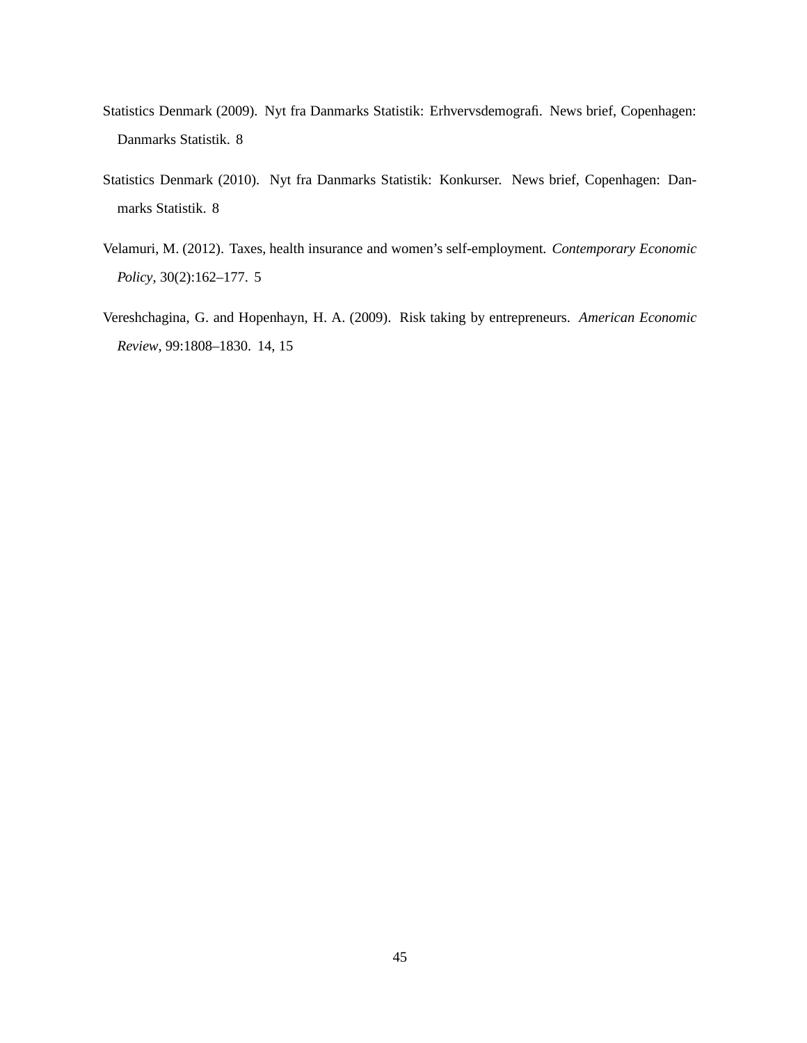- <span id="page-45-1"></span>Statistics Denmark (2009). Nyt fra Danmarks Statistik: Erhvervsdemografi. News brief, Copenhagen: Danmarks Statistik. [8](#page-8-1)
- <span id="page-45-2"></span>Statistics Denmark (2010). Nyt fra Danmarks Statistik: Konkurser. News brief, Copenhagen: Danmarks Statistik. [8](#page-8-1)
- <span id="page-45-0"></span>Velamuri, M. (2012). Taxes, health insurance and women's self-employment. *Contemporary Economic Policy*, 30(2):162–177. [5](#page-5-1)
- <span id="page-45-3"></span>Vereshchagina, G. and Hopenhayn, H. A. (2009). Risk taking by entrepreneurs. *American Economic Review*, 99:1808–1830. [14,](#page-14-2) [15](#page-15-1)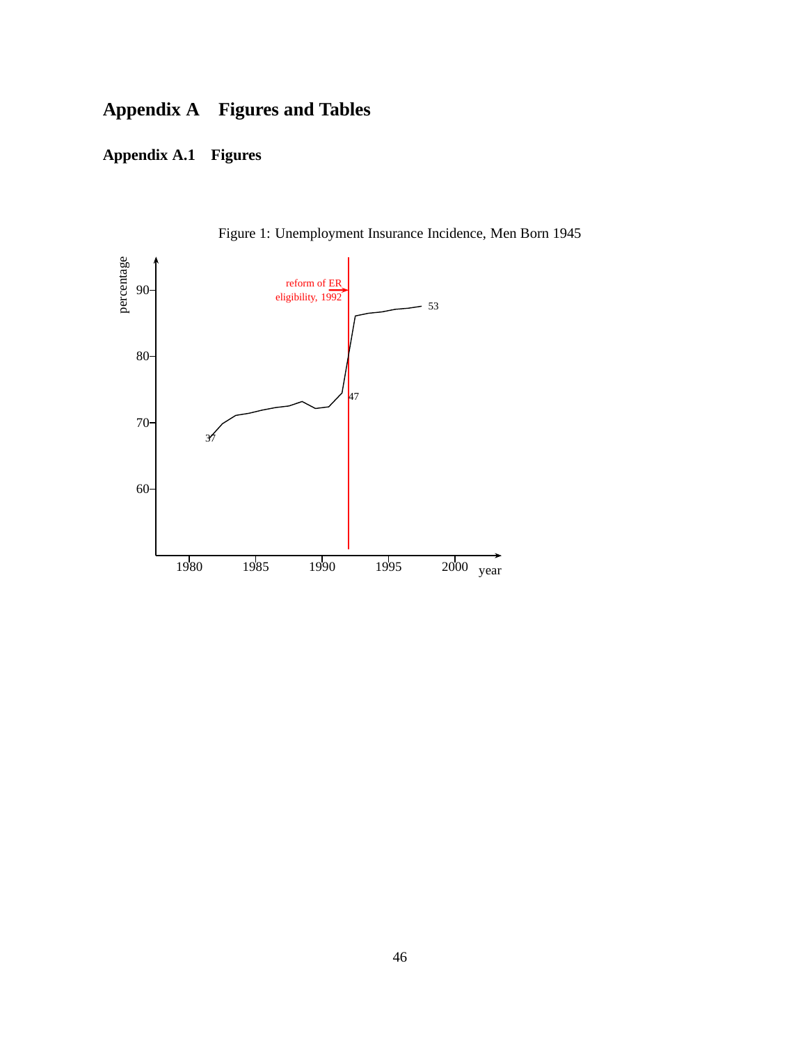# **Appendix A Figures and Tables**

# **Appendix A.1 Figures**

<span id="page-46-0"></span>

Figure 1: Unemployment Insurance Incidence, Men Born 1945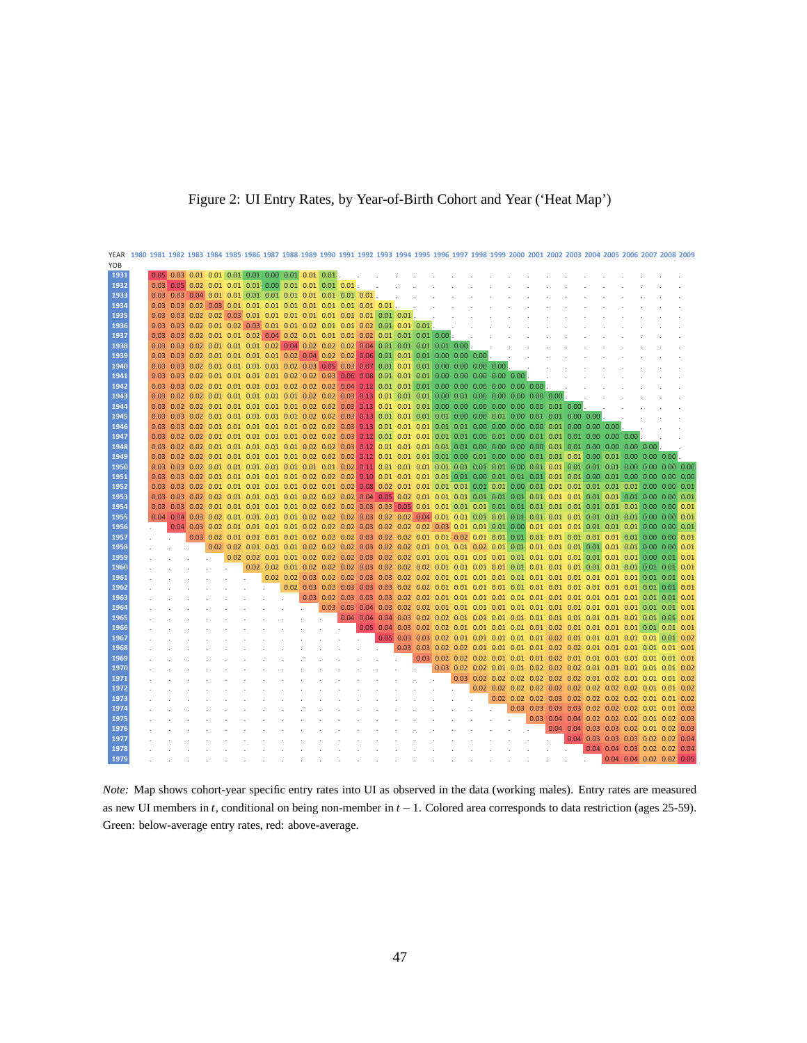<span id="page-47-0"></span>

### Figure 2: UI Entry Rates, by Year-of-Birth Cohort and Year ('Heat Map')

*Note:* Map shows cohort-year specific entry rates into UI as observed in the data (working males). Entry rates are measured as new UI members in *t*, conditional on being non-member in *t* −1. Colored area corresponds to data restriction (ages 25-59). Green: below-average entry rates, red: above-average.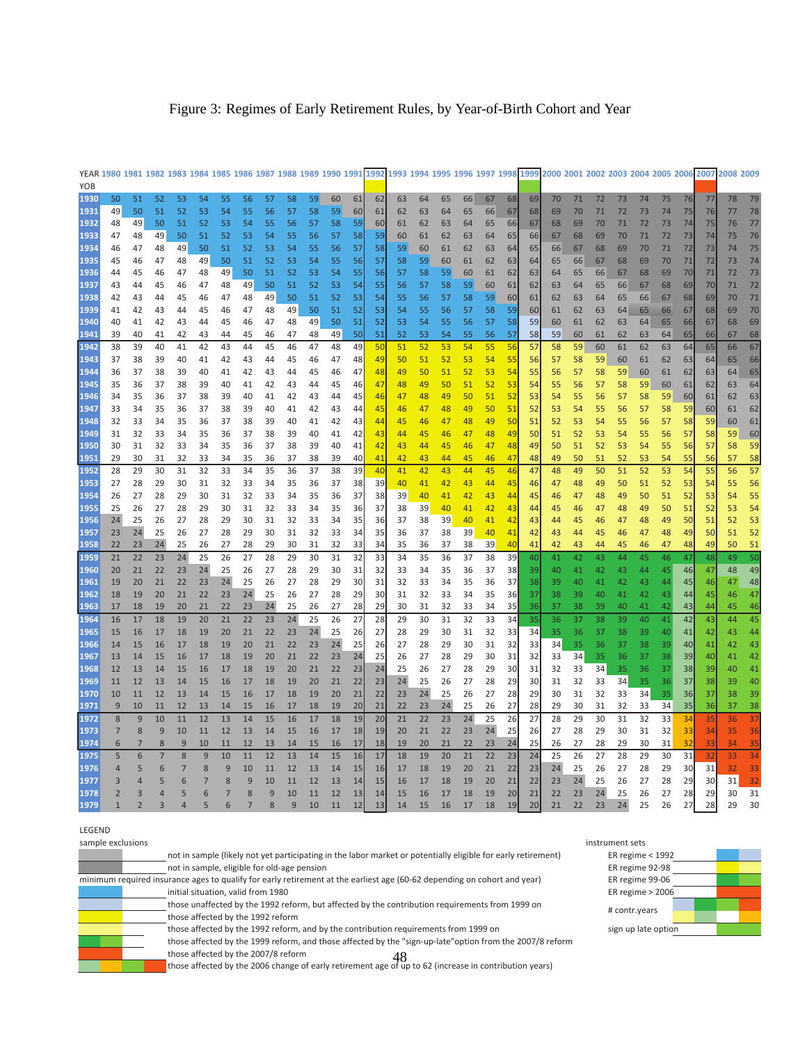<span id="page-48-0"></span>

|  |  | Figure 3: Regimes of Early Retirement Rules, by Year-of-Birth Cohort and Year |  |
|--|--|-------------------------------------------------------------------------------|--|
|  |  |                                                                               |  |

|              |                |                |                |                |                |                |                     |          |          |          |          |          |          |          |          |          |          |          |          |          | YEAR 1980 1981 1982 1983 1984 1985 1986 1987 1988 1989 1990 1991 1992 1993 1994 1995 1996 1997 1998 1999 2000 2001 2002 2003 2004 2005 2006 2007 |          |          |          |          |          |          |          | 2008 2009 |          |
|--------------|----------------|----------------|----------------|----------------|----------------|----------------|---------------------|----------|----------|----------|----------|----------|----------|----------|----------|----------|----------|----------|----------|----------|--------------------------------------------------------------------------------------------------------------------------------------------------|----------|----------|----------|----------|----------|----------|----------|-----------|----------|
| YOB          |                |                |                |                |                |                |                     |          |          |          |          |          |          |          |          |          |          |          |          |          |                                                                                                                                                  |          |          |          |          |          |          |          |           |          |
| 1930         | 50             | 51             | 52             | 53             | 54             | 55             | 56                  | 57       | 58       | 59       | 60       | 61       | 62       | 63       | 64       | 65       | 66       | 67       | 68       | 69       | 70                                                                                                                                               | 71       | 72       | 73       | 74       | 75       | 76       | 77       | 78        | 79       |
| 1931         | 49             | 50             | 51             | 52             | 53             | 54             | 55                  | 56       | 57       | 58       | 59       | 60       | 61       | 62       | 63       | 64       | 65       | 66       | 67       | 68       | 69                                                                                                                                               | 70       | 71       | 72       | 73       | 74       | 75       | 76       | 77        | 78       |
| 1932         | 48             | 49             | 50             | 51             | 52             | 53             | 54                  | 55       | 56       | 57       | 58       | 59       | 60       | 61       | 62       | 63       | 64       | 65       | 66       | 67       | 68                                                                                                                                               | 69       | 70       | 71       | 72       | 73       | 74       | 75       | 76        | 77       |
| 1933         | 47             | 48             | 49             | 50             | 51             | 52             | 53                  | 54       | 55       | 56       | 57       | 58       | 59       | 60       | 61       | 62       | 63       | 64       | 65       | 66       | 67                                                                                                                                               | 68       | 69       | 70       | 71       | 72       | 73       | 74       | 75        | 76       |
| 1934         | 46             | 47             | 48             | 49             | 50             | 51             | 52                  | 53       | 54       | 55       | 56       | 57       | 58       | 59       | 60       | 61       | 62       | 63       | 64       | 65       | 66                                                                                                                                               | 67       | 68       | 69       | 70       | 71       | 72       | 73       | 74        | 75       |
| 1935         | 45             | 46             | 47             | 48             | 49             | 50             | 51                  | 52       | 53       | 54       | 55       | 56       | 57       | 58       | 59       | 60       | 61       | 62       | 63       | 64       | 65                                                                                                                                               | 66       | 67       | 68       | 69       | 70       | 71       | 72       | 73        | 74       |
| 1936         | 44             | 45             | 46             | 47             | 48             | 49             | 50                  | 51       | 52       | 53       | 54       | 55       | 56       | 57       | 58       | 59       | 60       | 61       | 62       | 63       | 64                                                                                                                                               | 65       | 66       | 67       | 68       | 69       | 70       | 71       | 72        | 73       |
| 1937<br>1938 | 43             | 44             | 45             | 46             | 47             | 48             | 49                  | 50       | 51       | 52       | 53       | 54       | 55       | 56       | 57       | 58       | 59       | 60       | 61       | 62       | 63                                                                                                                                               | 64       | 65       | 66       | 67       | 68       | 69       | 70       | 71        | 72<br>71 |
| 1939         | 42<br>41       | 43<br>42       | 44<br>43       | 45<br>44       | 46<br>45       | 47<br>46       | 48<br>47            | 49<br>48 | 50<br>49 | 51<br>50 | 52<br>51 | 53<br>52 | 54<br>53 | 55<br>54 | 56<br>55 | 57<br>56 | 58<br>57 | 59<br>58 | 60<br>59 | 61<br>60 | 62<br>61                                                                                                                                         | 63<br>62 | 64<br>63 | 65<br>64 | 66<br>65 | 67<br>66 | 68<br>67 | 69<br>68 | 70<br>69  | 70       |
| 1940         | 40             | 41             | 42             | 43             | 44             | 45             | 46                  | 47       | 48       | 49       | 50       | 51       | 52       | 53       | 54       | 55       | 56       | 57       | 58       | 59       | 60                                                                                                                                               | 61       | 62       | 63       | 64       | 65       | 66       | 67       | 68        | 69       |
| 1941         | 39             | 40             | 41             | 42             | 43             | 44             | 45                  | 46       | 47       | 48       | 49       | 50       | 51       | 52       | 53       | 54       | 55       | 56       | 57       | 58       | 59                                                                                                                                               | 60       | 61       | 62       | 63       | 64       | 65       | 66       | 67        | 68       |
| 1942         | 38             | 39             | 40             | 41             | 42             | 43             | 44                  | 45       | 46       | 47       | 48       | 49       | 50       | 51       | 52       | 53       | 54       | 55       | 56       | 57       | 58                                                                                                                                               | 59       | 60       | 61       | 62       | 63       | 64       | 65       | 66        | 67       |
| 1943         | 37             | 38             | 39             | 40             | 41             | 42             | 43                  | 44       | 45       | 46       | 47       | 48       | 49       | 50       | 51       | 52       | 53       | 54       | 55       | 56       | 57                                                                                                                                               | 58       | 59       | 60       | 61       | 62       | 63       | 64       | 65        | 66       |
| 1944         | 36             | 37             | 38             | 39             | 40             | 41             | 42                  | 43       | 44       | 45       | 46       | 47       | 48       | 49       | 50       | 51       | 52       | 53       | 54       | 55       | 56                                                                                                                                               | 57       | 58       | 59       | 60       | 61       | 62       | 63       | 64        | 65       |
| 1945         | 35             | 36             | 37             | 38             | 39             | 40             | 41                  | 42       | 43       | 44       | 45       | 46       | 47       | 48       | 49       | 50       | 51       | 52       | 53       | 54       | 55                                                                                                                                               | 56       | 57       | 58       | 59       | 60       | 61       | 62       | 63        | 64       |
| 1946         | 34             | 35             | 36             | 37             | 38             | 39             | 40                  | 41       | 42       | 43       | 44       | 45       | 46       | 47       | 48       | 49       | 50       | 51       | 52       | 53       | 54                                                                                                                                               | 55       | 56       | 57       | 58       | 59       | 60       | 61       | 62        | 63       |
| 1947         | 33             | 34             | 35             | 36             | 37             | 38             | 39                  | 40       | 41       | 42       | 43       | 44       | 45       | 46       | 47       | 48       | 49       | 50       | 51       | 52       | 53                                                                                                                                               | 54       | 55       | 56       | 57       | 58       | 59       | 60       | 61        | 62       |
| 1948         | 32             | 33             | 34             | 35             | 36             | 37             | 38                  | 39       | 40       | 41       | 42       | 43       | 44       | 45       | 46       | 47       | 48       | 49       | 50       | 51       | 52                                                                                                                                               | 53       | 54       | 55       | 56       | 57       | 58       | 59       | 60        | 61       |
| 1949         | 31             | 32             | 33             | 34             | 35             | 36             | 37                  | 38       | 39       | 40       | 41       | 42       | 43       | 44       | 45       | 46       | 47       | 48       | 49       | 50       | 51                                                                                                                                               | 52       | 53       | 54       | 55       | 56       | 57       | 58       | 59        | 60       |
| 1950         | 30             | 31             | 32             | 33             | 34             | 35             | 36                  | 37       | 38       | 39       | 40       | 41       | 42       | 43       | 44       | 45       | 46       | 47       | 48       | 49       | 50                                                                                                                                               | 51       | 52       | 53       | 54       | 55       | 56       | 57       | 58        | 59       |
| 1951         | 29             | 30             | 31             | 32             | 33             | 34             | 35                  | 36       | 37       | 38       | 39       | 40       | 41       | 42       | 43       | 44       | 45       | 46       | 47       | 48       | 49                                                                                                                                               | 50       | 51       | 52       | 53       | 54       | 55       | 56       | 57        | 58       |
| 1952         | 28             | 29             | 30             | 31             | 32             | 33             | 34                  | 35       | 36       | 37       | 38       | 39       | 40       | 41       | 42       | 43       | 44       | 45       | 46       | 47       | 48                                                                                                                                               | 49       | 50       | 51       | 52       | 53       | 54       | 55       | 56        | 57       |
| 1953         | 27             | 28             | 29             | 30             | 31             | 32             | 33                  | 34       | 35       | 36       | 37       | 38       | 39       | 40       | 41       | 42       | 43       | 44       | 45       | 46       | 47                                                                                                                                               | 48       | 49       | 50       | 51       | 52       | 53       | 54       | 55        | 56       |
| 1954         | 26             | 27             | 28             | 29             | 30             | 31             | 32                  | 33       | 34       | 35       | 36       | 37       | 38       | 39       | 40       | 41       | 42       | 43       | 44       | 45       | 46                                                                                                                                               | 47       | 48       | 49       | 50       | 51       | 52       | 53       | 54        | 55       |
| 1955         | 25             | 26             | 27             | 28             | 29             | 30             | 31                  | 32       | 33       | 34       | 35       | 36       | 37       | 38       | 39       | 40       | 41       | 42       | 43       | 44       | 45                                                                                                                                               | 46       | 47       | 48       | 49       | 50       | 51       | 52       | 53        | 54       |
| 1956         | 24             | 25             | 26             | 27             | 28             | 29             | 30                  | 31       | 32       | 33       | 34       | 35       | 36       | 37       | 38       | 39       | 40       | 41       | 42       | 43       | 44                                                                                                                                               | 45       | 46       | 47       | 48       | 49       | 50       | 51       | 52        | 53       |
| 1957<br>1958 | 23             | 24             | 25<br>24       | 26<br>25       | 27             | 28             | 29<br>28            | 30       | 31       | 32       | 33       | 34<br>33 | 35<br>34 | 36       | 37       | 38       | 39       | 40<br>39 | 41<br>40 | 42<br>41 | 43                                                                                                                                               | 44       | 45       | 46       | 47       | 48       | 49<br>48 | 50<br>49 | 51<br>50  | 52<br>51 |
| 1959         | 22<br>21       | 23             | 23             | 24             | 26             | 27             | 27                  | 29<br>28 | 30<br>29 | 31<br>30 | 32       | 32       | 33       | 35<br>34 | 36       | 37       | 38       |          | 39       | 40       | 42<br>41                                                                                                                                         | 43<br>42 | 44<br>43 | 45<br>44 | 46<br>45 | 47<br>46 | 47       | 48       | 49        | 50       |
| 1960         | 20             | 22<br>21       | 22             | 23             | 25<br>24       | 26<br>25       | 26                  | 27       | 28       | 29       | 31<br>30 | 31       | 32       | 33       | 35<br>34 | 36<br>35 | 37<br>36 | 38<br>37 | 38       | 39       | 40                                                                                                                                               | 41       | 42       | 43       | 44       | 45       | 46       | 47       | 48        | 49       |
| 1961         | 19             | 20             | 21             | 22             | 23             | 24             | 25                  | 26       | 27       | 28       | 29       | 30       | 31       | 32       | 33       | 34       | 35       | 36       | 37       | 38       | 39                                                                                                                                               | 40       | 41       | 42       | 43       | 44       | 45       | 46       | 47        | 48       |
| 1962         | 18             | 19             | 20             | 21             | 22             | 23             | 24                  | 25       | 26       | 27       | 28       | 29       | 30       | 31       | 32       | 33       | 34       | 35       | 36       | 37       | 38                                                                                                                                               | 39       | 40       | 41       | 42       | 43       | 44       | 45       | 46        | 47       |
| 1963         | 17             | 18             | 19             | 20             | 21             | 22             | 23                  | 24       | 25       | 26       | 27       | 28       | 29       | 30       | 31       | 32       | 33       | 34       | 35       | 36       | 37                                                                                                                                               | 38       | 39       | 40       | 41       | 42       | 43       | 44       | 45        | 46       |
| 1964         | 16             | 17             | 18             | 19             | 20             | 21             | 22                  | 23       | 24       | 25       | 26       | 27       | 28       | 29       | 30       | 31       | 32       | 33       | 34       | 35       | 36                                                                                                                                               | 37       | 38       | 39       | 40       | 41       | 42       | 43       | 44        | 45       |
| 1965         | 15             | 16             | 17             | 18             | 19             | 20             | 21                  | 22       | 23       | 24       | 25       | 26       | 27       | 28       | 29       | 30       | 31       | 32       | 33       | 34       | 35                                                                                                                                               | 36       | 37       | 38       | 39       | 40       | 41       | 42       | 43        | 44       |
| 1966         | 14             | 15             | 16             | 17             | 18             | 19             | 20                  | 21       | 22       | 23       | 24       | 25       | 26       | 27       | 28       | 29       | 30       | 31       | 32       | 33       | 34                                                                                                                                               | 35       | 36       | 37       | 38       | 39       | 40       | 41       | 42        | 43       |
| 1967         | 13             | 14             | 15             | 16             | 17             | 18             | 19                  | 20       | 21       | 22       | 23       | 24       | 25       | 26       | 27       | 28       | 29       | 30       | 31       | 32       | 33                                                                                                                                               | 34       | 35       | 36       | 37       | 38       | 39       | 40       | 41        | 42       |
| 1968         | 12             | 13             | 14             | 15             | 16             | 17             | 18                  | 19       | 20       | 21       | 22       | 23       | 24       | 25       | 26       | 27       | 28       | 29       | 30       | 31       | 32                                                                                                                                               | 33       | 34       | 35       | 36       | 37       | 38       | 39       | 40        | 41       |
| 1969         | 11             | 12             | 13             | 14             | 15             | 16             | 17                  | 18       | 19       | 20       | 21       | 22       | 23       | 24       | 25       | 26       | 27       | 28       | 29       | 30       | 31                                                                                                                                               | 32       | 33       | 34       | 35       | 36       | 37       | 38       | 39        | 40       |
| 1970         | 10             | 11             | 12             | 13             | 14             | 15             | 16                  | 17       | 18       | 19       | 20       | 21       | 22       | 23       | 24       | 25       | 26       | 27       | 28       | 29       | 30                                                                                                                                               | 31       | 32       | 33       | 34       | 35       | 36       | 37       | 38        | 39       |
| 1971         | 9              | 10             | 11             | 12             | 13             | 14             | 15                  | 16       | 17       | 18       | 19       | 20       | 21       | 22       | 23       | 24       | 25       | 26       | 27       | 28       | 29                                                                                                                                               | 30       | 31       | 32       | 33       | 34       | 35       | 36       | 37        | 38       |
| 1972         | 8              | 9              | 10             | 11             | 12             | 13             | 14                  | 15       | 16       | 17       | 18       | 19       | 20       | 21       | 22       | 23       | 24       | 25       | 26       | 27       | 28                                                                                                                                               | 29       | 30       | 31       | 32       | 33       | 34       | 35       | 36        | 37       |
| 1973         | $\overline{7}$ | 8              | 9              | 10             | 11             | 12             | 13                  | 14       | 15       | 16       | 17       | 18       | 19       | 20       | 21       | 22       | 23       | 24       | 25       | 26       | 27                                                                                                                                               | 28       | 29       | 30       | 31       | 32       | 33       | 34       | 35        | 36       |
| 1974         | 6              | 7              | 8              | 9              | 10             | 11             | 12                  | 13       | 14       | 15       | 16       | 17       | 18       | 19       | 20       | 21       | 22       | 23       | 24       | 25       | 26                                                                                                                                               | 27       | 28       | 29       | 30       | 31       | 32       | 33       | 34        | 35       |
| 1975         | 5              | 6              | $\overline{7}$ | 8              | 9              | 10             | 11                  | 12       | 13       | 14       | 15       | 16       | 17       | 18       | 19       | 20       | 21       | 22       | 23       | 24       | 25                                                                                                                                               | 26       | 27       | 28       | 29       | 30       | 31       | 32       | 33        | 34       |
| 1976         | 4              | 5              | 6              | $\overline{7}$ | 8              | 9              | 10                  | 11       | 12       | 13       | 14       | 15       | 16       | 17       | 18       | 19       | 20       | 21       | 22       | 23       | 24                                                                                                                                               | 25       | 26       | 27       | 28       | 29       | 30       | 31       | 32        | 33       |
| 1977         | 3              | $\overline{4}$ | 5              | 6              | $\overline{7}$ | 8              | 9                   | 10       | 11       | 12       | 13       | 14       | 15       | 16       | 17       | 18       | 19       | 20       | 21       | 22       | 23                                                                                                                                               | 24       | 25       | 26       | 27       | 28       | 29       | 30       | 31        | 32       |
| 1978         | $\overline{2}$ | 3              | 4              | 5              | 6              | $\overline{7}$ | 8<br>$\overline{7}$ | 9        | 10       | 11       | 12       | 13       | 14       | 15       | 16       | 17       | 18       | 19       | 20       | 21       | 22                                                                                                                                               | 23       | 24       | 25       | 26       | 27       | 28       | 29       | 30        | 31       |
| 1979         |                |                | 3              | $\overline{A}$ | 5              | 6              |                     |          | 9        | 10       | 11       | 12       | 13       | 14       | 15       | 16       | 17       | 18       | 19       | 20       | 21                                                                                                                                               | 22       | 23       | 24       | 25       | 26       | 27       | 28       | 29        | 30       |

#### LEGEND

| sampie |  | exr |
|--------|--|-----|

| not in sample (likely not yet participating in the labor market or potentially eligible for early retirement)<br>ER regime $<$ 1992         |
|---------------------------------------------------------------------------------------------------------------------------------------------|
|                                                                                                                                             |
| not in sample, eligible for old-age pension<br>ER regime 92-98                                                                              |
| minimum required insurance ages to qualify for early retirement at the earliest age (60-62 depending on cohort and year)<br>ER regime 99-06 |
| initial situation, valid from 1980<br>ER regime $> 2006$                                                                                    |
| those unaffected by the 1992 reform, but affected by the contribution requirements from 1999 on<br># contr.years                            |
| those affected by the 1992 reform                                                                                                           |
| those affected by the 1992 reform, and by the contribution requirements from 1999 on<br>sign up late option                                 |
| those affected by the 1999 reform, and those affected by the "sign-up-late" option from the 2007/8 reform                                   |
| those affected by the 2007/8 reform<br>48                                                                                                   |
| those affected by the 2006 change of early retirement age of up to 62 (increase in contribution years)                                      |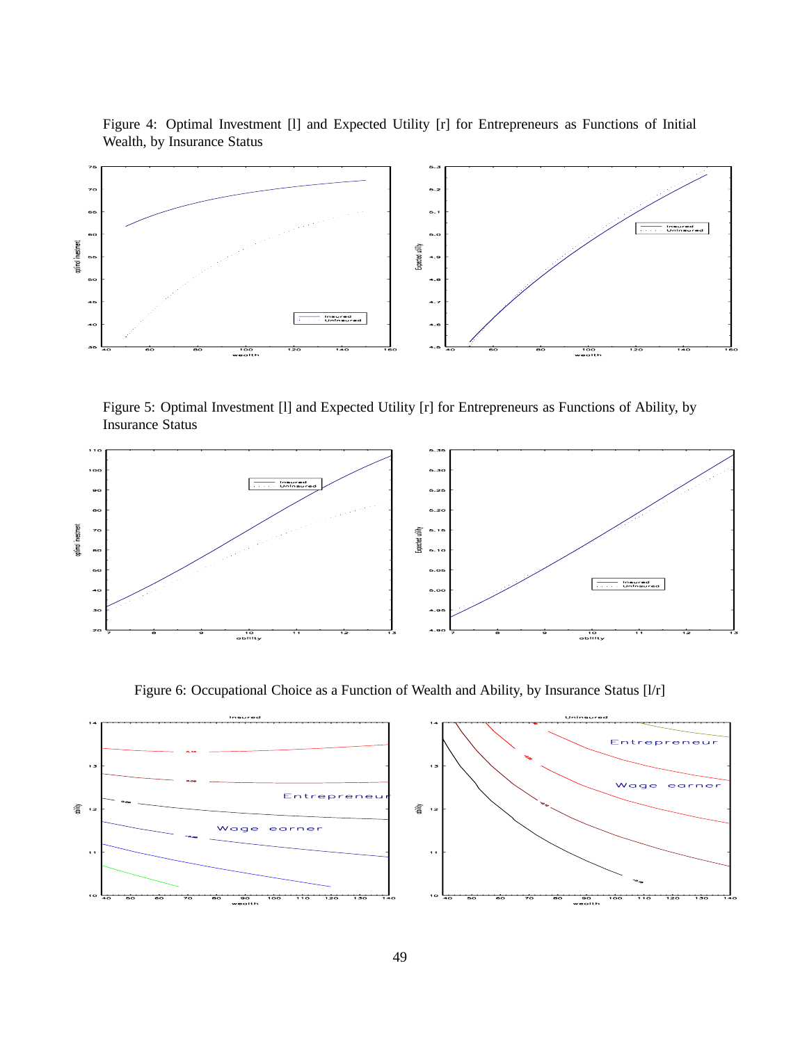<span id="page-49-0"></span>Figure 4: Optimal Investment [l] and Expected Utility [r] for Entrepreneurs as Functions of Initial Wealth, by Insurance Status



<span id="page-49-1"></span>Figure 5: Optimal Investment [l] and Expected Utility [r] for Entrepreneurs as Functions of Ability, by Insurance Status



<span id="page-49-2"></span>Figure 6: Occupational Choice as a Function of Wealth and Ability, by Insurance Status [l/r]

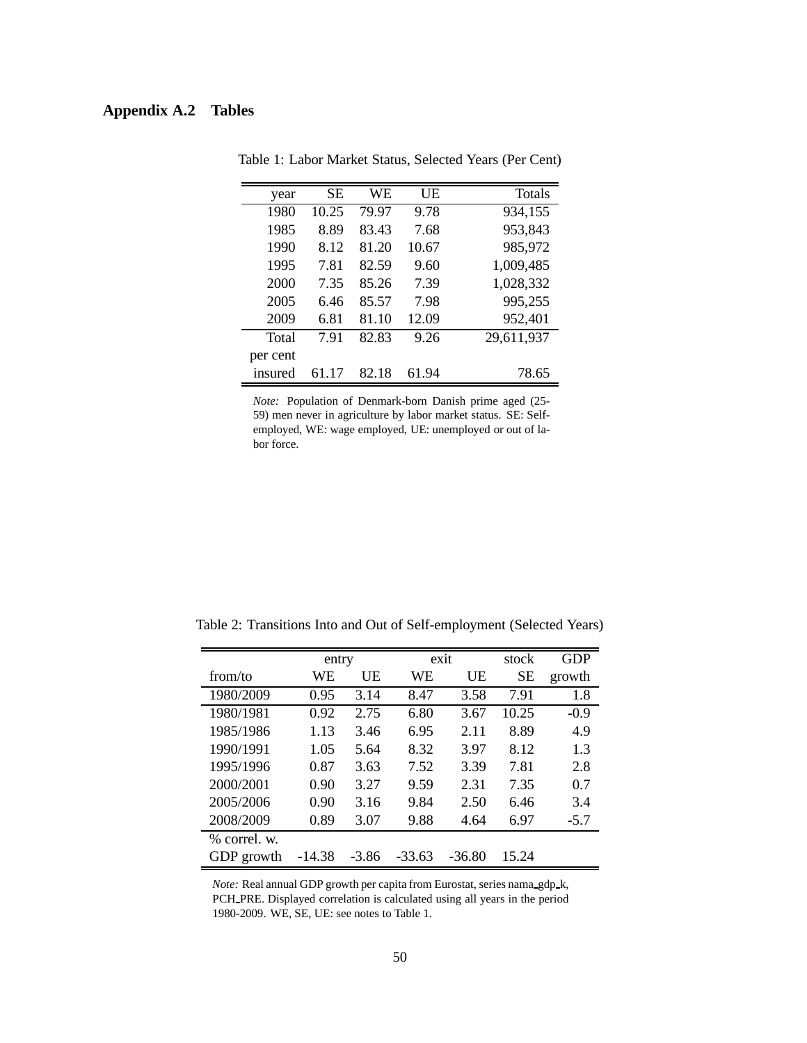# <span id="page-50-0"></span>**Appendix A.2 Tables**

| year     | SЕ    | WЕ    | UE    | <b>Totals</b> |
|----------|-------|-------|-------|---------------|
| 1980     | 10.25 | 79.97 | 9.78  | 934,155       |
| 1985     | 8.89  | 83.43 | 7.68  | 953,843       |
| 1990     | 8.12  | 81.20 | 10.67 | 985,972       |
| 1995     | 7.81  | 82.59 | 9.60  | 1,009,485     |
| 2000     | 7.35  | 85.26 | 7.39  | 1,028,332     |
| 2005     | 6.46  | 85.57 | 7.98  | 995,255       |
| 2009     | 6.81  | 81.10 | 12.09 | 952,401       |
| Total    | 7.91  | 82.83 | 9.26  | 29,611,937    |
| per cent |       |       |       |               |
| insured  | 61.17 | 82.18 | 61.94 | 78.65         |

Table 1: Labor Market Status, Selected Years (Per Cent)

*Note:* Population of Denmark-born Danish prime aged (25- 59) men never in agriculture by labor market status. SE: Selfemployed, WE: wage employed, UE: unemployed or out of labor force.

<span id="page-50-1"></span>

| Table 2: Transitions Into and Out of Self-employment (Selected Years) |  |  |  |
|-----------------------------------------------------------------------|--|--|--|
|                                                                       |  |  |  |

|                | entry    |         |          | exit     | stock     | <b>GDP</b> |
|----------------|----------|---------|----------|----------|-----------|------------|
| from/to        | WЕ       | UE      | WE       | UE       | <b>SE</b> | growth     |
| 1980/2009      | 0.95     | 3.14    | 8.47     | 3.58     | 7.91      | 1.8        |
| 1980/1981      | 0.92     | 2.75    | 6.80     | 3.67     | 10.25     | $-0.9$     |
| 1985/1986      | 1.13     | 3.46    | 6.95     | 2.11     | 8.89      | 4.9        |
| 1990/1991      | 1.05     | 5.64    | 8.32     | 3.97     | 8.12      | 1.3        |
| 1995/1996      | 0.87     | 3.63    | 7.52     | 3.39     | 7.81      | 2.8        |
| 2000/2001      | 0.90     | 3.27    | 9.59     | 2.31     | 7.35      | 0.7        |
| 2005/2006      | 0.90     | 3.16    | 9.84     | 2.50     | 6.46      | 3.4        |
| 2008/2009      | 0.89     | 3.07    | 9.88     | 4.64     | 6.97      | $-5.7$     |
| $%$ correl. w. |          |         |          |          |           |            |
| GDP growth     | $-14.38$ | $-3.86$ | $-33.63$ | $-36.80$ | 15.24     |            |

*Note:* Real annual GDP growth per capita from Eurostat, series nama\_gdp\_k, PCH PRE. Displayed correlation is calculated using all years in the period 1980-2009. WE, SE, UE: see notes to Table [1.](#page-50-0)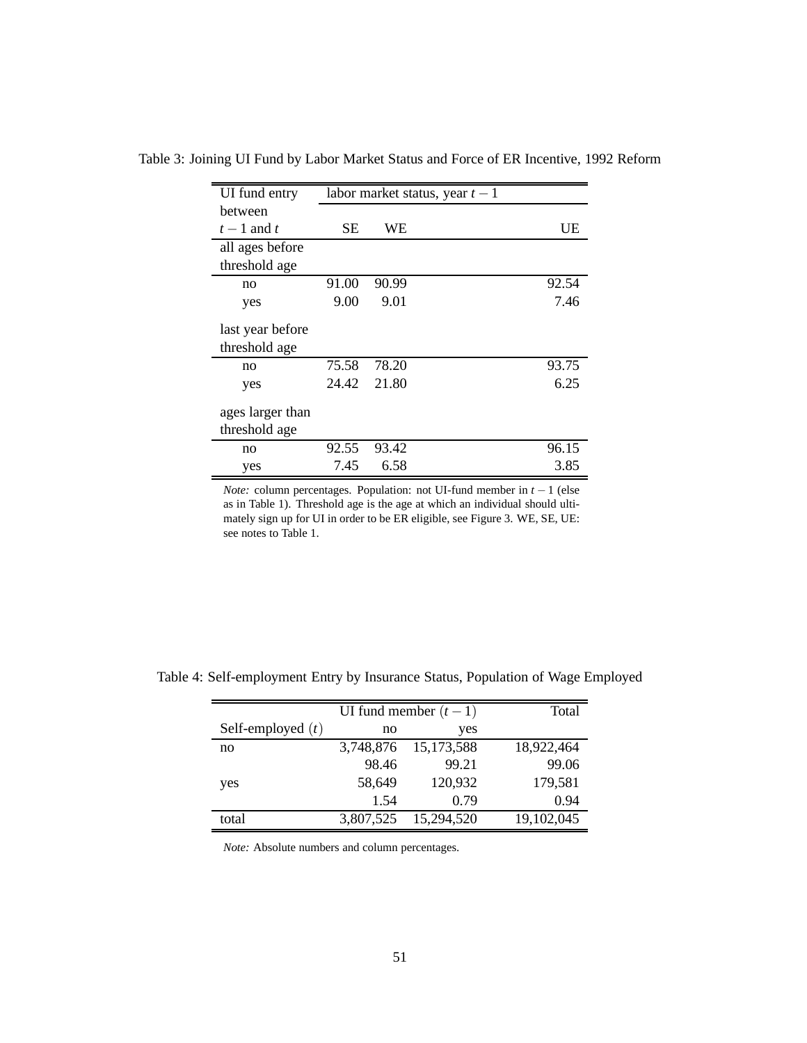| UI fund entry                     |       |       | labor market status, year $t-1$ |       |
|-----------------------------------|-------|-------|---------------------------------|-------|
| hetween                           |       |       |                                 |       |
| $t-1$ and t                       | SЕ    | WЕ    |                                 | UE    |
| all ages before                   |       |       |                                 |       |
| threshold age                     |       |       |                                 |       |
| no                                | 91.00 | 90.99 |                                 | 92.54 |
| yes                               | 9.00  | 9.01  |                                 | 7.46  |
| last year before<br>threshold age |       |       |                                 |       |
| no                                | 75.58 | 78.20 |                                 | 93.75 |
| yes                               | 24.42 | 21.80 |                                 | 6.25  |
| ages larger than<br>threshold age |       |       |                                 |       |
| no                                | 92.55 | 93.42 |                                 | 96.15 |
| yes                               | 7.45  | 6.58  |                                 | 3.85  |

<span id="page-51-0"></span>Table 3: Joining UI Fund by Labor Market Status and Force of ER Incentive, 1992 Reform

*Note:* column percentages. Population: not UI-fund member in *t* − 1 (else as in Table [1\)](#page-50-0). Threshold age is the age at which an individual should ultimately sign up for UI in order to be ER eligible, see Figure [3.](#page-48-0) WE, SE, UE: see notes to Table [1.](#page-50-0)

|                     |           | UI fund member $(t-1)$ | Total      |
|---------------------|-----------|------------------------|------------|
| Self-employed $(t)$ | no        | yes                    |            |
| no                  | 3,748,876 | 15, 173, 588           | 18,922,464 |
|                     | 98.46     | 99.21                  | 99.06      |
| yes                 | 58,649    | 120,932                | 179,581    |
|                     | 1.54      | 0.79                   | 0.94       |
| total               | 3,807,525 | 15,294,520             | 19,102,045 |

<span id="page-51-1"></span>Table 4: Self-employment Entry by Insurance Status, Population of Wage Employed

*Note:* Absolute numbers and column percentages.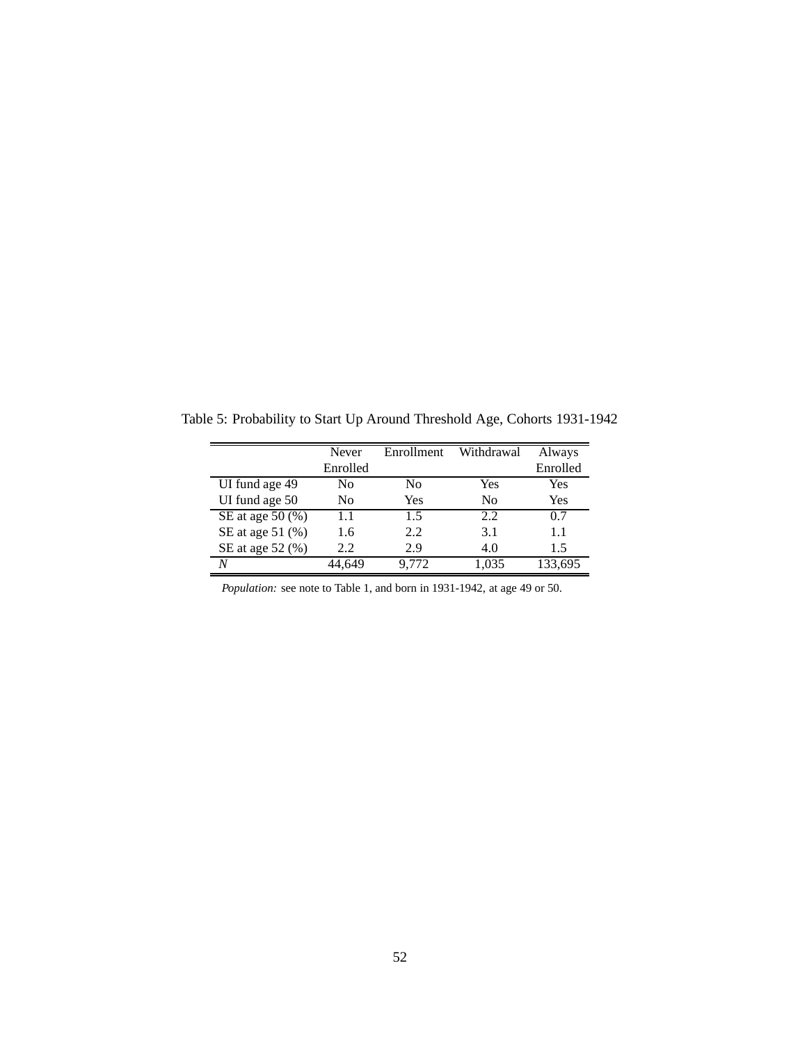<span id="page-52-0"></span>Table 5: Probability to Start Up Around Threshold Age, Cohorts 1931-1942

|                                | Never          | Enrollment | Withdrawal     | Always   |
|--------------------------------|----------------|------------|----------------|----------|
|                                | Enrolled       |            |                | Enrolled |
| UI fund age 49                 | N <sub>0</sub> | No         | Yes            | Yes      |
| UI fund age 50                 | N <sub>0</sub> | Yes        | N <sub>0</sub> | Yes      |
| SE at age 50 $(\overline{\%})$ | 1.1            | 1.5        | 2.2            | 0.7      |
| SE at age 51 (%)               | 1.6            | 2.2        | 3.1            | 1.1      |
| SE at age 52 (%)               | 2.2.           | 2.9        | 4.0            | 1.5      |
| N                              | 44.649         | 9.772      | 1,035          | 133,695  |

*Population:* see note to Table [1,](#page-50-0) and born in 1931-1942, at age 49 or 50.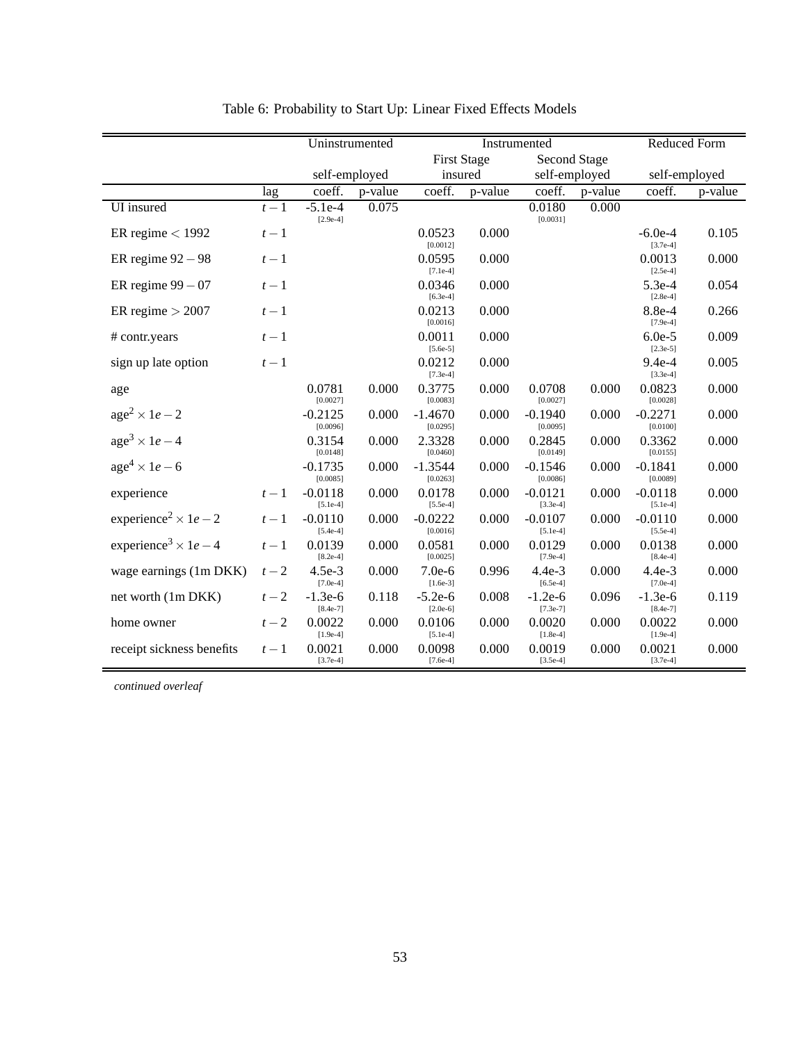<span id="page-53-0"></span>

|                                                 |                  | Uninstrumented          |         |                         | Instrumented       |                         |         |                         | <b>Reduced Form</b> |
|-------------------------------------------------|------------------|-------------------------|---------|-------------------------|--------------------|-------------------------|---------|-------------------------|---------------------|
|                                                 |                  |                         |         |                         | <b>First Stage</b> | <b>Second Stage</b>     |         |                         |                     |
|                                                 |                  | self-employed           |         | insured                 |                    | self-employed           |         |                         | self-employed       |
|                                                 | lag              | coeff.                  | p-value | coeff.                  | p-value            | coeff.                  | p-value | coeff.                  | p-value             |
| UI insured                                      | $t-\overline{1}$ | $-5.1e-4$<br>$[2.9e-4]$ | 0.075   |                         |                    | 0.0180<br>[0.0031]      | 0.000   |                         |                     |
| ER regime $<$ 1992                              | $t-1$            |                         |         | 0.0523<br>[0.0012]      | 0.000              |                         |         | $-6.0e-4$<br>$[3.7e-4]$ | 0.105               |
| ER regime $92 - 98$                             | $t-1$            |                         |         | 0.0595<br>$[7.1e-4]$    | 0.000              |                         |         | 0.0013<br>$[2.5e-4]$    | 0.000               |
| ER regime $99 - 07$                             | $t-1$            |                         |         | 0.0346<br>$[6.3e-4]$    | 0.000              |                         |         | $5.3e-4$<br>$[2.8e-4]$  | 0.054               |
| ER regime $> 2007$                              | $t-1$            |                         |         | 0.0213<br>[0.0016]      | 0.000              |                         |         | 8.8e-4<br>$[7.9e-4]$    | 0.266               |
| # contr.years                                   | $t-1$            |                         |         | 0.0011<br>$[5.6e-5]$    | 0.000              |                         |         | $6.0e-5$<br>$[2.3e-5]$  | 0.009               |
| sign up late option                             | $t-1$            |                         |         | 0.0212<br>$[7.3e-4]$    | 0.000              |                         |         | $9.4e-4$<br>$[3.3e-4]$  | 0.005               |
| age                                             |                  | 0.0781<br>[0.0027]      | 0.000   | 0.3775<br>[0.0083]      | 0.000              | 0.0708<br>[0.0027]      | 0.000   | 0.0823<br>[0.0028]      | 0.000               |
| $age2 \times 1e-2$                              |                  | $-0.2125$<br>[0.0096]   | 0.000   | $-1.4670$<br>[0.0295]   | 0.000              | $-0.1940$<br>[0.0095]   | 0.000   | $-0.2271$<br>[0.0100]   | 0.000               |
| $age3 \times 1e-4$                              |                  | 0.3154<br>[0.0148]      | 0.000   | 2.3328<br>[0.0460]      | 0.000              | 0.2845<br>[0.0149]      | 0.000   | 0.3362<br>[0.0155]      | 0.000               |
| $age4 \times 1e-6$                              |                  | $-0.1735$<br>[0.0085]   | 0.000   | $-1.3544$<br>[0.0263]   | 0.000              | $-0.1546$<br>[0.0086]   | 0.000   | $-0.1841$<br>[0.0089]   | 0.000               |
| experience                                      | $t-1$            | $-0.0118$<br>$[5.1e-4]$ | 0.000   | 0.0178<br>$[5.5e-4]$    | 0.000              | $-0.0121$<br>$[3.3e-4]$ | 0.000   | $-0.0118$<br>$[5.1e-4]$ | 0.000               |
| experience <sup>2</sup> $\times$ 1 <i>e</i> – 2 | $t-1$            | $-0.0110$<br>$[5.4e-4]$ | 0.000   | $-0.0222$<br>[0.0016]   | 0.000              | $-0.0107$<br>$[5.1e-4]$ | 0.000   | $-0.0110$<br>$[5.5e-4]$ | 0.000               |
| experience <sup>3</sup> $\times$ 1e – 4         | $t-1$            | 0.0139<br>$[8.2e-4]$    | 0.000   | 0.0581<br>[0.0025]      | 0.000              | 0.0129<br>$[7.9e-4]$    | 0.000   | 0.0138<br>$[8.4e-4]$    | 0.000               |
| wage earnings (1m DKK)                          | $t-2$            | $4.5e-3$<br>$[7.0e-4]$  | 0.000   | $7.0e-6$<br>$[1.6e-3]$  | 0.996              | $4.4e-3$<br>$[6.5e-4]$  | 0.000   | $4.4e-3$<br>$[7.0e-4]$  | 0.000               |
| net worth (1m DKK)                              | $t-2$            | $-1.3e-6$<br>$[8.4e-7]$ | 0.118   | $-5.2e-6$<br>$[2.0e-6]$ | 0.008              | $-1.2e-6$<br>$[7.3e-7]$ | 0.096   | $-1.3e-6$<br>$[8.4e-7]$ | 0.119               |
| home owner                                      | $t-2$            | 0.0022<br>$[1.9e-4]$    | 0.000   | 0.0106<br>$[5.1e-4]$    | 0.000              | 0.0020<br>$[1.8e-4]$    | 0.000   | 0.0022<br>$[1.9e-4]$    | 0.000               |
| receipt sickness benefits                       | $t-1$            | 0.0021<br>$[3.7e-4]$    | 0.000   | 0.0098<br>$[7.6e-4]$    | 0.000              | 0.0019<br>$[3.5e-4]$    | 0.000   | 0.0021<br>$[3.7e-4]$    | 0.000               |

<span id="page-53-1"></span>

*continued overleaf*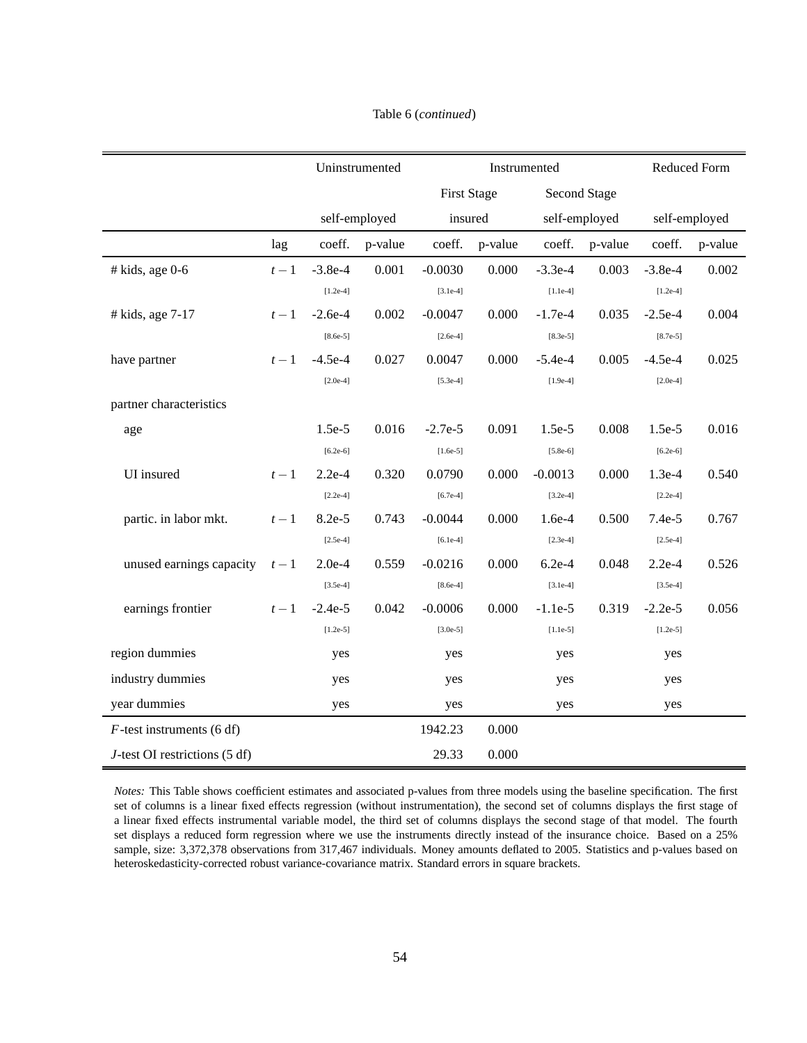|                                  |       |            | Uninstrumented |            | Instrumented       | <b>Reduced Form</b> |               |               |         |
|----------------------------------|-------|------------|----------------|------------|--------------------|---------------------|---------------|---------------|---------|
|                                  |       |            |                |            | <b>First Stage</b> |                     | Second Stage  |               |         |
|                                  |       |            | self-employed  |            | insured            |                     | self-employed | self-employed |         |
|                                  | lag   | coeff.     | p-value        | coeff.     | p-value            | coeff.              | p-value       | coeff.        | p-value |
| $#$ kids, age 0-6                | $t-1$ | $-3.8e-4$  | 0.001          | $-0.0030$  | 0.000              | $-3.3e-4$           | 0.003         | $-3.8e-4$     | 0.002   |
|                                  |       | $[1.2e-4]$ |                | $[3.1e-4]$ |                    | $[1.1e-4]$          |               | $[1.2e-4]$    |         |
| $#$ kids, age $7-17$             | $t-1$ | $-2.6e-4$  | 0.002          | $-0.0047$  | 0.000              | $-1.7e-4$           | 0.035         | $-2.5e-4$     | 0.004   |
|                                  |       | $[8.6e-5]$ |                | $[2.6e-4]$ |                    | $[8.3e-5]$          |               | $[8.7e-5]$    |         |
| have partner                     | $t-1$ | $-4.5e-4$  | 0.027          | 0.0047     | 0.000              | $-5.4e-4$           | 0.005         | $-4.5e-4$     | 0.025   |
|                                  |       | $[2.0e-4]$ |                | $[5.3e-4]$ |                    | $[1.9e-4]$          |               | $[2.0e-4]$    |         |
| partner characteristics          |       |            |                |            |                    |                     |               |               |         |
| age                              |       | 1.5e-5     | 0.016          | $-2.7e-5$  | 0.091              | 1.5e-5              | 0.008         | $1.5e-5$      | 0.016   |
|                                  |       | $[6.2e-6]$ |                | $[1.6e-5]$ |                    | $[5.8e-6]$          |               | $[6.2e-6]$    |         |
| UI insured                       | $t-1$ | $2.2e-4$   | 0.320          | 0.0790     | 0.000              | $-0.0013$           | 0.000         | $1.3e-4$      | 0.540   |
|                                  |       | $[2.2e-4]$ |                | $[6.7e-4]$ |                    | $[3.2e-4]$          |               | $[2.2e-4]$    |         |
| partic. in labor mkt.            | $t-1$ | 8.2e-5     | 0.743          | $-0.0044$  | 0.000              | $1.6e-4$            | 0.500         | $7.4e-5$      | 0.767   |
|                                  |       | $[2.5e-4]$ |                | $[6.1e-4]$ |                    | $[2.3e-4]$          |               | $[2.5e-4]$    |         |
| unused earnings capacity         | $t-1$ | $2.0e-4$   | 0.559          | $-0.0216$  | 0.000              | $6.2e-4$            | 0.048         | $2.2e-4$      | 0.526   |
|                                  |       | $[3.5e-4]$ |                | $[8.6e-4]$ |                    | $[3.1e-4]$          |               | $[3.5e-4]$    |         |
| earnings frontier                | $t-1$ | $-2.4e-5$  | 0.042          | $-0.0006$  | 0.000              | $-1.1e-5$           | 0.319         | $-2.2e-5$     | 0.056   |
|                                  |       | $[1.2e-5]$ |                | $[3.0e-5]$ |                    | $[1.1e-5]$          |               | $[1.2e-5]$    |         |
| region dummies                   |       | yes        |                | yes        |                    | yes                 |               | yes           |         |
| industry dummies                 |       | yes        |                | yes        |                    | yes                 |               | yes           |         |
| year dummies                     |       | yes        |                | yes        |                    | yes                 |               | yes           |         |
| $F$ -test instruments (6 df)     |       |            |                | 1942.23    | 0.000              |                     |               |               |         |
| $J$ -test OI restrictions (5 df) |       |            |                | 29.33      | 0.000              |                     |               |               |         |

#### Table [6](#page-53-0) (*continued*)

*Notes:* This Table shows coefficient estimates and associated p-values from three models using the baseline specification. The first set of columns is a linear fixed effects regression (without instrumentation), the second set of columns displays the first stage of a linear fixed effects instrumental variable model, the third set of columns displays the second stage of that model. The fourth set displays a reduced form regression where we use the instruments directly instead of the insurance choice. Based on a 25% sample, size: 3,372,378 observations from 317,467 individuals. Money amounts deflated to 2005. Statistics and p-values based on heteroskedasticity-corrected robust variance-covariance matrix. Standard errors in square brackets.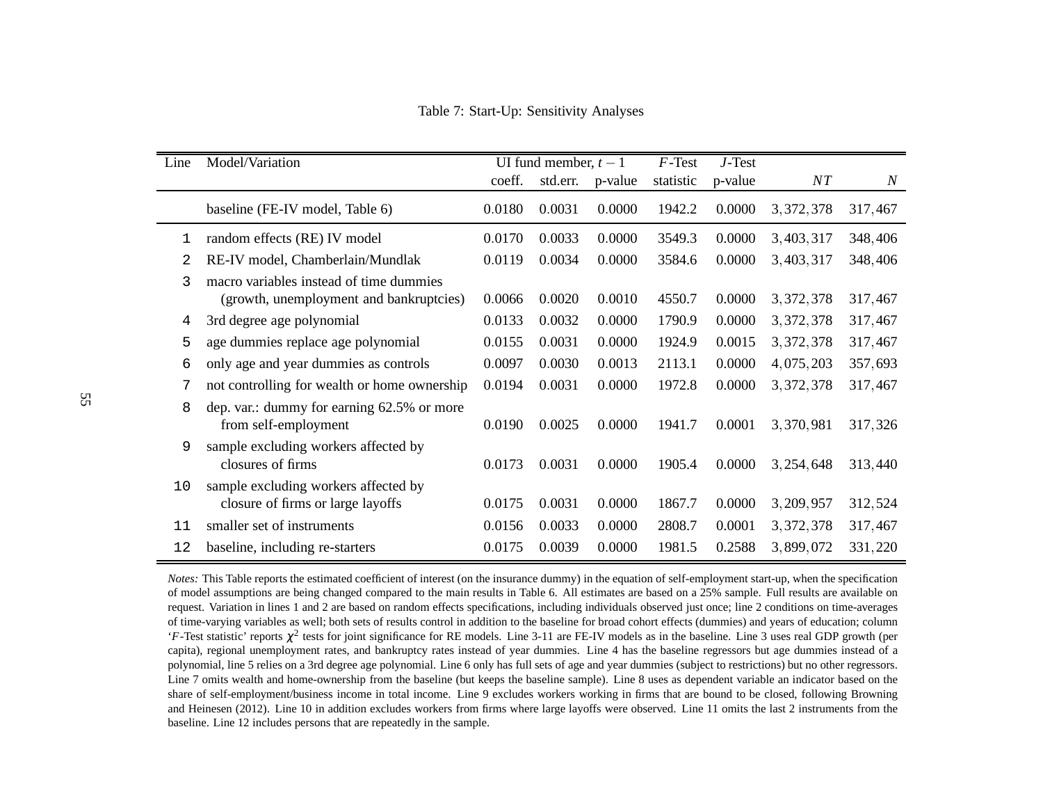<span id="page-55-0"></span>Table 7: Start-Up: Sensitivity Analyses

<span id="page-55-1"></span>

| Line | Model/Variation                                                                    | UI fund member, $t-1$ |          |         | $F$ -Test | $J$ -Test |             |                  |
|------|------------------------------------------------------------------------------------|-----------------------|----------|---------|-----------|-----------|-------------|------------------|
|      |                                                                                    | coeff.                | std.err. | p-value | statistic | p-value   | NT          | $\boldsymbol{N}$ |
|      | baseline (FE-IV model, Table 6)                                                    | 0.0180                | 0.0031   | 0.0000  | 1942.2    | 0.0000    | 3, 372, 378 | 317,467          |
| 1    | random effects (RE) IV model                                                       | 0.0170                | 0.0033   | 0.0000  | 3549.3    | 0.0000    | 3,403,317   | 348,406          |
| 2    | RE-IV model, Chamberlain/Mundlak                                                   | 0.0119                | 0.0034   | 0.0000  | 3584.6    | 0.0000    | 3,403,317   | 348,406          |
| 3    | macro variables instead of time dummies<br>(growth, unemployment and bankruptcies) | 0.0066                | 0.0020   | 0.0010  | 4550.7    | 0.0000    | 3, 372, 378 | 317,467          |
| 4    | 3rd degree age polynomial                                                          | 0.0133                | 0.0032   | 0.0000  | 1790.9    | 0.0000    | 3, 372, 378 | 317,467          |
| 5    | age dummies replace age polynomial                                                 | 0.0155                | 0.0031   | 0.0000  | 1924.9    | 0.0015    | 3, 372, 378 | 317,467          |
| 6    | only age and year dummies as controls                                              | 0.0097                | 0.0030   | 0.0013  | 2113.1    | 0.0000    | 4,075,203   | 357,693          |
| 7    | not controlling for wealth or home ownership                                       | 0.0194                | 0.0031   | 0.0000  | 1972.8    | 0.0000    | 3, 372, 378 | 317,467          |
| 8    | dep. var.: dummy for earning 62.5% or more<br>from self-employment                 | 0.0190                | 0.0025   | 0.0000  | 1941.7    | 0.0001    | 3,370,981   | 317,326          |
| 9    | sample excluding workers affected by<br>closures of firms                          | 0.0173                | 0.0031   | 0.0000  | 1905.4    | 0.0000    | 3, 254, 648 | 313,440          |
| 10   | sample excluding workers affected by<br>closure of firms or large layoffs          | 0.0175                | 0.0031   | 0.0000  | 1867.7    | 0.0000    | 3, 209, 957 | 312,524          |
| 11   | smaller set of instruments                                                         | 0.0156                | 0.0033   | 0.0000  | 2808.7    | 0.0001    | 3, 372, 378 | 317,467          |
| 12   | baseline, including re-starters                                                    | 0.0175                | 0.0039   | 0.0000  | 1981.5    | 0.2588    | 3,899,072   | 331,220          |

*Notes:* This Table reports the estimated coefficient of interest (on the insurance dummy) in the equation of self-employment start-up, when the specification of model assumptions are being changed compared to the main results in Table [6.](#page-53-1) All estimates are based on <sup>a</sup> 25% sample. Full results are available on request. Variation in lines 1 and 2 are based on random effects specifications, including individuals observed just once; line 2 conditions on time-averages of time-varying variables as well; both sets of results control in addition to the baseline for broad cohort effects (dummies) and years of education; column $f$ -Test statistic' reports  $\chi^2$  tests for joint significance for RE models. Line 3-11 are FE-IV models as in the baseline. Line 3 uses real GDP growth (per capita), regional unemployment rates, and bankruptcy rates instead of year dummies. Line 4 has the baseline regressors but age dummies instead of <sup>a</sup> polynomial, line 5 relies on <sup>a</sup> 3rd degree age polynomial. Line 6 only has full sets of age and year dummies (subject to restrictions) but no other regressors. Line 7 omits wealth and home-ownership from the baseline (but keeps the baseline sample). Line 8 uses as dependent variable an indicator based on the share of self-em[p](#page-41-10)lo[y](#page-41-10)ment/business income in total income. Line 9 excludes workers working in firms that are bound to be closed, following Browning and Heinesen [\(2012\)](#page-41-10). Line 10 in addition excludes workers from firms where large layoffs were observed. Line 11 omits the last 2 instruments from thebaseline. Line 12 includes persons that are repeatedly in the sample.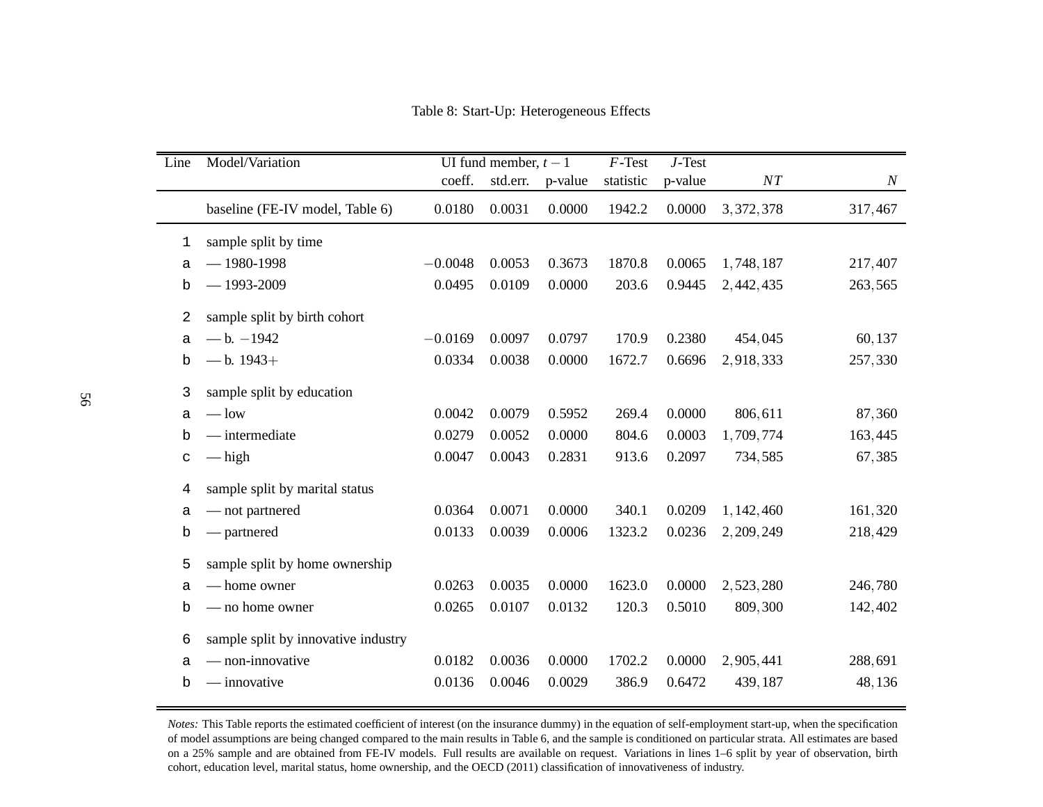<span id="page-56-0"></span>Table 8: Start-Up: Heterogeneous Effects

<span id="page-56-1"></span>

| Line        | Model/Variation                     | UI fund member, $t - 1$ |          |         | $\overline{F}$ -Test | $J$ -Test |             |                  |
|-------------|-------------------------------------|-------------------------|----------|---------|----------------------|-----------|-------------|------------------|
|             |                                     | coeff.                  | std.err. | p-value | statistic            | p-value   | ${\cal NT}$ | $\boldsymbol{N}$ |
|             | baseline (FE-IV model, Table 6)     | 0.0180                  | 0.0031   | 0.0000  | 1942.2               | 0.0000    | 3, 372, 378 | 317,467          |
| 1           | sample split by time                |                         |          |         |                      |           |             |                  |
| a           | $-1980-1998$                        | $-0.0048$               | 0.0053   | 0.3673  | 1870.8               | 0.0065    | 1,748,187   | 217,407          |
| b           | $-1993 - 2009$                      | 0.0495                  | 0.0109   | 0.0000  | 203.6                | 0.9445    | 2,442,435   | 263,565          |
| 2           | sample split by birth cohort        |                         |          |         |                      |           |             |                  |
| a           | $- b. -1942$                        | $-0.0169$               | 0.0097   | 0.0797  | 170.9                | 0.2380    | 454,045     | 60,137           |
| b           | $-$ b. 1943+                        | 0.0334                  | 0.0038   | 0.0000  | 1672.7               | 0.6696    | 2,918,333   | 257,330          |
| 3           | sample split by education           |                         |          |         |                      |           |             |                  |
| a           | $-\text{low}$                       | 0.0042                  | 0.0079   | 0.5952  | 269.4                | 0.0000    | 806,611     | 87,360           |
| b           | $-$ intermediate                    | 0.0279                  | 0.0052   | 0.0000  | 804.6                | 0.0003    | 1,709,774   | 163,445          |
| C           | $-\n$ high                          | 0.0047                  | 0.0043   | 0.2831  | 913.6                | 0.2097    | 734,585     | 67,385           |
| 4           | sample split by marital status      |                         |          |         |                      |           |             |                  |
| а           | — not partnered                     | 0.0364                  | 0.0071   | 0.0000  | 340.1                | 0.0209    | 1, 142, 460 | 161,320          |
| b           | — partnered                         | 0.0133                  | 0.0039   | 0.0006  | 1323.2               | 0.0236    | 2, 209, 249 | 218,429          |
| 5           | sample split by home ownership      |                         |          |         |                      |           |             |                  |
| a           | - home owner                        | 0.0263                  | 0.0035   | 0.0000  | 1623.0               | 0.0000    | 2,523,280   | 246,780          |
| b           | - no home owner                     | 0.0265                  | 0.0107   | 0.0132  | 120.3                | 0.5010    | 809,300     | 142,402          |
| 6           | sample split by innovative industry |                         |          |         |                      |           |             |                  |
| a           | - non-innovative                    | 0.0182                  | 0.0036   | 0.0000  | 1702.2               | 0.0000    | 2,905,441   | 288,691          |
| $\mathbf b$ | — innovative                        | 0.0136                  | 0.0046   | 0.0029  | 386.9                | 0.6472    | 439,187     | 48,136           |

*Notes:* This Table reports the estimated coefficient of interest (on the insurance dummy) in the equation of self-employment start-up, when the specification of model assumptions are being changed compared to the main results in Table [6,](#page-53-1) and the sample is conditioned on particular strata. All estimates are based on <sup>a</sup> 25% sample and are obtained from FE-IV models. Full results are available on request. Variations in lines 1–6 split by year of observation, birth cohort, education level, marital status, home ownership, and the [OECD](#page-44-11) [\(2011\)](#page-44-11) classification of innovativeness of industry.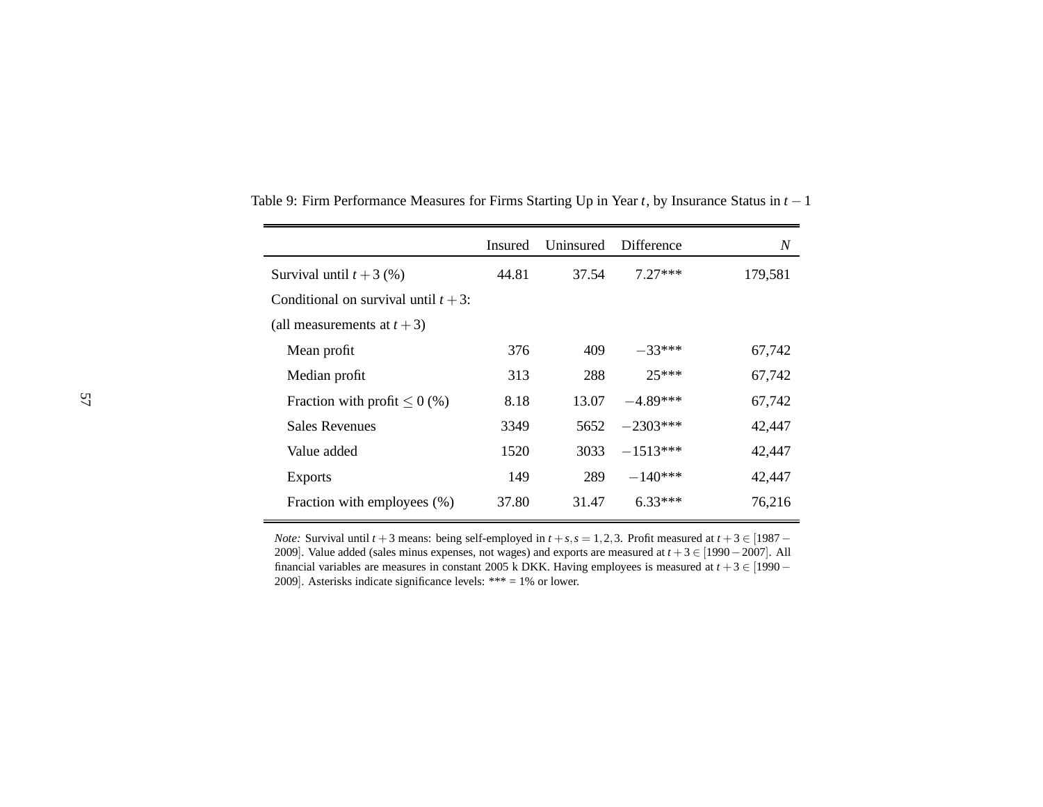|                                         | <b>Insured</b> | Uninsured | Difference | N       |
|-----------------------------------------|----------------|-----------|------------|---------|
| Survival until $t + 3$ (%)              | 44.81          | 37.54     | $7.27***$  | 179,581 |
| Conditional on survival until $t + 3$ : |                |           |            |         |
| (all measurements at $t + 3$ )          |                |           |            |         |
| Mean profit                             | 376            | 409       | $-33***$   | 67,742  |
| Median profit                           | 313            | 288       | $25***$    | 67,742  |
| Fraction with profit $\leq 0$ (%)       | 8.18           | 13.07     | $-4.89***$ | 67,742  |
| <b>Sales Revenues</b>                   | 3349           | 5652      | $-2303***$ | 42,447  |
| Value added                             | 1520           | 3033      | $-1513***$ | 42,447  |
| <b>Exports</b>                          | 149            | 289       | $-140***$  | 42,447  |
| Fraction with employees (%)             | 37.80          | 31.47     | $6.33***$  | 76,216  |

Table 9: Firm Performance Measures for Firms Starting Up in Year *<sup>t</sup>*, by Insurance Status in *<sup>t</sup>* <sup>−</sup><sup>1</sup>

<span id="page-57-0"></span>*Note:* Survival until *t* + 3 means: being self-employed in *t* + *s*, *s* = 1, 2, 3. Profit measured at *t* + 3 ∈ [1987 – 2000] <sup>2009</sup>]. Value added (sales minus expenses, not wages) and exports are measured at *<sup>t</sup>* <sup>+</sup>3 <sup>∈</sup> [<sup>1990</sup> <sup>−</sup><sup>2007</sup>]. Allfinancial variables are measures in constant 2005 k DKK. Having employees is measured at  $t + 3 \in [1990 - 1999]$ <sup>2009</sup>]. Asterisks indicate significance levels: \*\*\* <sup>=</sup> 1% or lower.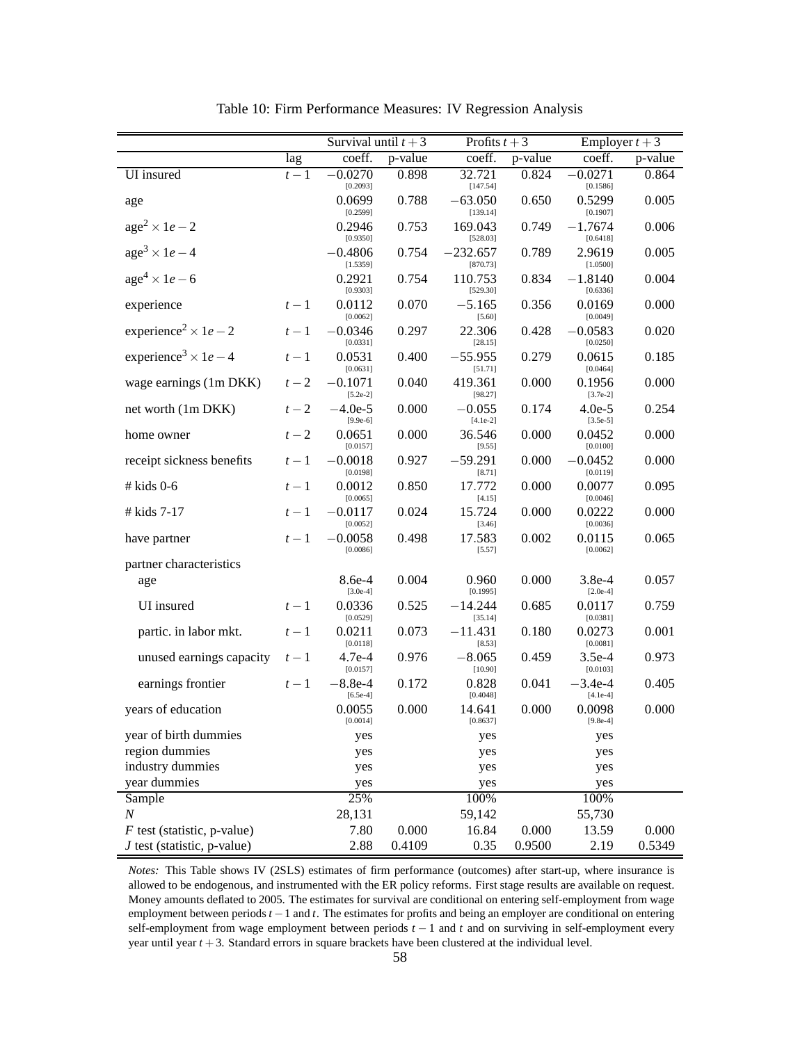<span id="page-58-0"></span>

|                                                 |       | Survival until $t + 3$  |         | Profits $t + 3$        |           | Employer $t + 3$        |         |  |
|-------------------------------------------------|-------|-------------------------|---------|------------------------|-----------|-------------------------|---------|--|
|                                                 | lag   | coeff.                  | p-value | coeff.                 | p-value   | coeff.                  | p-value |  |
| UI insured                                      | $t-1$ | $-0.0270$<br>[0.2093]   | 0.898   | 32.721<br>[147.54]     | 0.824     | $-0.0271$<br>[0.1586]   | 0.864   |  |
| age                                             |       | 0.0699<br>[0.2599]      | 0.788   | $-63.050$<br>[139.14]  | 0.650     | 0.5299<br>[0.1907]      | 0.005   |  |
| $age2 \times 1e-2$                              |       | 0.2946<br>[0.9350]      | 0.753   | 169.043<br>[528.03]    | 0.749     | $-1.7674$<br>[0.6418]   | 0.006   |  |
| $age3 \times 1e-4$                              |       | $-0.4806$<br>[1.5359]   | 0.754   | $-232.657$<br>[870.73] | 0.789     | 2.9619<br>[1.0500]      | 0.005   |  |
| $age4 \times 1e-6$                              |       | 0.2921<br>[0.9303]      | 0.754   | 110.753<br>[529.30]    | 0.834     | $-1.8140$<br>[0.6336]   | 0.004   |  |
| experience                                      | $t-1$ | 0.0112<br>[0.0062]      | 0.070   | $-5.165$<br>[5.60]     | 0.356     | 0.0169<br>[0.0049]      | 0.000   |  |
| experience <sup>2</sup> $\times$ 1 <i>e</i> – 2 | $t-1$ | $-0.0346$<br>[0.0331]   | 0.297   | 22.306<br>[28.15]      | 0.428     | $-0.0583$<br>[0.0250]   | 0.020   |  |
| experience <sup>3</sup> $\times$ 1 <i>e</i> – 4 | $t-1$ | 0.0531<br>[0.0631]      | 0.400   | $-55.955$<br>[51.71]   | 0.279     | 0.0615<br>[0.0464]      | 0.185   |  |
| wage earnings (1m DKK)                          | $t-2$ | $-0.1071$<br>$[5.2e-2]$ | 0.040   | 419.361<br>[98.27]     | 0.000     | 0.1956<br>$[3.7e-2]$    | 0.000   |  |
| net worth (1m DKK)                              | $t-2$ | $-4.0e-5$<br>$[9.9e-6]$ | 0.000   | $-0.055$<br>$[4.1e-2]$ | 0.174     | $4.0e-5$<br>$[3.5e-5]$  | 0.254   |  |
| home owner                                      | $t-2$ | 0.0651<br>[0.0157]      | 0.000   | 36.546<br>[9.55]       | 0.000     | 0.0452<br>[0.0100]      | 0.000   |  |
| receipt sickness benefits                       | $t-1$ | $-0.0018$<br>[0.0198]   | 0.927   | $-59.291$<br>[8.71]    | 0.000     | $-0.0452$<br>[0.0119]   | 0.000   |  |
| $#$ kids 0-6                                    | $t-1$ | 0.0012<br>[0.0065]      | 0.850   | 17.772<br>[4.15]       | 0.000     | 0.0077<br>[0.0046]      | 0.095   |  |
| # kids $7-17$                                   | $t-1$ | $-0.0117$<br>[0.0052]   | 0.024   | 15.724<br>[3.46]       | 0.000     | 0.0222<br>[0.0036]      | 0.000   |  |
| have partner                                    | $t-1$ | $-0.0058$<br>[0.0086]   | 0.498   | 17.583<br>[5.57]       | 0.002     | 0.0115<br>[0.0062]      | 0.065   |  |
| partner characteristics                         |       |                         |         |                        |           |                         |         |  |
| age                                             |       | $8.6e-4$<br>$[3.0e-4]$  | 0.004   | 0.960<br>[0.1995]      | 0.000     | $3.8e-4$<br>$[2.0e-4]$  | 0.057   |  |
| UI insured                                      | $t-1$ | 0.0336<br>[0.0529]      | 0.525   | $-14.244$<br>[35.14]   | 0.685     | 0.0117<br>[0.0381]      | 0.759   |  |
| partic. in labor mkt.                           | $t-1$ | 0.0211<br>[0.0118]      | 0.073   | $-11.431$<br>[8.53]    | 0.180     | 0.0273<br>[0.0081]      | 0.001   |  |
| unused earnings capacity                        | $t-1$ | $4.7e-4$<br>[0.0157]    | 0.976   | $-8.065$<br>[10.90]    | 0.459     | $3.5e-4$<br>[0.0103]    | 0.973   |  |
| earnings frontier                               | $t-1$ | $-8.8e-4$<br>$[6.5e-4]$ | 0.172   | 0.828<br>[0.4048]      | 0.041     | $-3.4e-4$<br>$[4.1e-4]$ | 0.405   |  |
| years of education                              |       | 0.0055<br>[0.0014]      | 0.000   | 14.641<br>[0.8637]     | 0.000     | 0.0098<br>$[9.8e-4]$    | 0.000   |  |
| year of birth dummies                           |       | yes                     |         | yes                    |           | yes                     |         |  |
| region dummies                                  |       | yes                     |         | yes                    |           | yes                     |         |  |
| industry dummies                                |       | yes                     |         | yes                    |           | yes                     |         |  |
| year dummies                                    |       | yes                     |         | yes                    |           | yes                     |         |  |
| Sample                                          |       | 25%                     |         | 100%                   |           | 100%                    |         |  |
| $\cal N$                                        |       | 28,131                  |         | 59,142                 |           | 55,730                  |         |  |
| $F$ test (statistic, p-value)                   |       | 7.80                    | 0.000   | 16.84                  | $0.000\,$ | 13.59                   | 0.000   |  |
| $J$ test (statistic, p-value)                   |       | 2.88                    | 0.4109  | 0.35                   | 0.9500    | 2.19                    | 0.5349  |  |

<span id="page-58-1"></span>Table 10: Firm Performance Measures: IV Regression Analysis

*Notes:* This Table shows IV (2SLS) estimates of firm performance (outcomes) after start-up, where insurance is allowed to be endogenous, and instrumented with the ER policy reforms. First stage results are available on request. Money amounts deflated to 2005. The estimates for survival are conditional on entering self-employment from wage employment between periods *t* −1 and *t*. The estimates for profits and being an employer are conditional on entering self-employment from wage employment between periods *t* − 1 and *t* and on surviving in self-employment every year until year *t* +3. Standard errors in square brackets have been clustered at the individual level.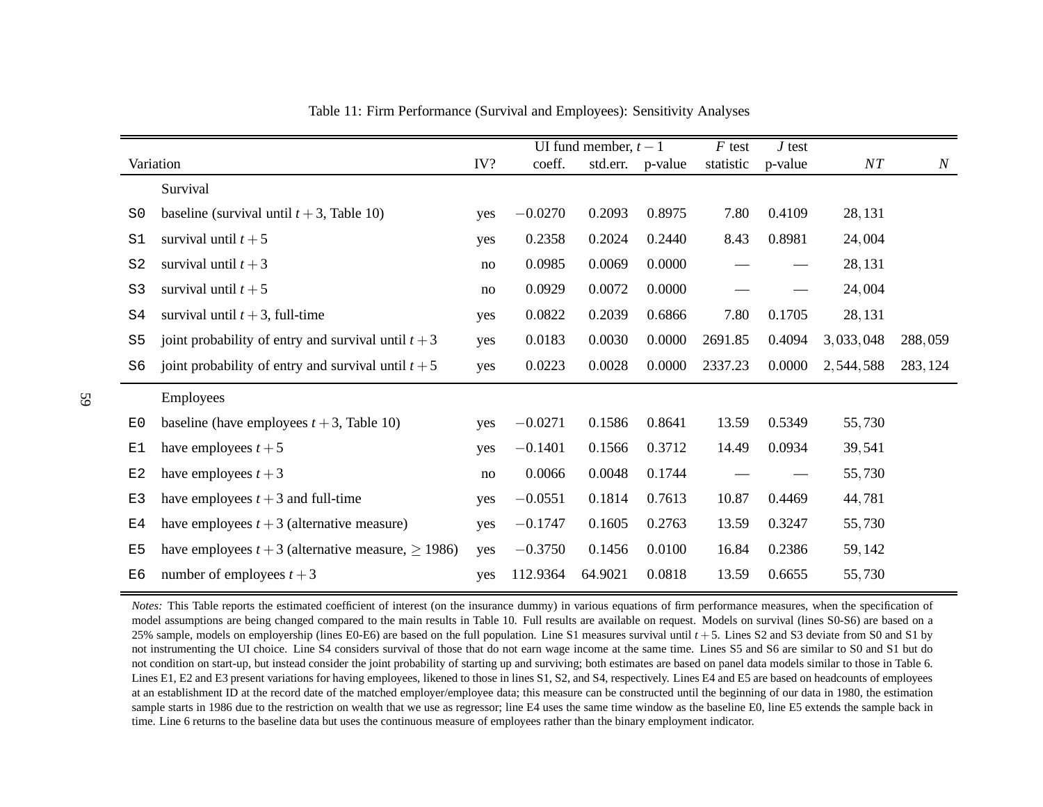|                |                                                            |     |           | UI fund member, $t-1$ |         | $F$ test  | $J$ test |           |          |
|----------------|------------------------------------------------------------|-----|-----------|-----------------------|---------|-----------|----------|-----------|----------|
| Variation      |                                                            | IV? | coeff.    | std.err.              | p-value | statistic | p-value  | NT        | $\cal N$ |
|                | Survival                                                   |     |           |                       |         |           |          |           |          |
| $\mathrm{S}0$  | baseline (survival until $t + 3$ , Table 10)               | yes | $-0.0270$ | 0.2093                | 0.8975  | 7.80      | 0.4109   | 28, 131   |          |
| S1             | survival until $t+5$                                       | yes | 0.2358    | 0.2024                | 0.2440  | 8.43      | 0.8981   | 24,004    |          |
| S <sub>2</sub> | survival until $t+3$                                       | no  | 0.0985    | 0.0069                | 0.0000  |           |          | 28,131    |          |
| S <sub>3</sub> | survival until $t+5$                                       | no  | 0.0929    | 0.0072                | 0.0000  |           |          | 24,004    |          |
| S4             | survival until $t + 3$ , full-time                         | yes | 0.0822    | 0.2039                | 0.6866  | 7.80      | 0.1705   | 28,131    |          |
| S <sub>5</sub> | joint probability of entry and survival until $t + 3$      | yes | 0.0183    | 0.0030                | 0.0000  | 2691.85   | 0.4094   | 3,033,048 | 288,059  |
| S6             | joint probability of entry and survival until $t + 5$      | yes | 0.0223    | 0.0028                | 0.0000  | 2337.23   | 0.0000   | 2,544,588 | 283, 124 |
|                | Employees                                                  |     |           |                       |         |           |          |           |          |
| E0             | baseline (have employees $t + 3$ , Table 10)               | yes | $-0.0271$ | 0.1586                | 0.8641  | 13.59     | 0.5349   | 55,730    |          |
| E1             | have employees $t + 5$                                     | yes | $-0.1401$ | 0.1566                | 0.3712  | 14.49     | 0.0934   | 39,541    |          |
| E2             | have employees $t + 3$                                     | no  | 0.0066    | 0.0048                | 0.1744  |           |          | 55,730    |          |
| E3             | have employees $t + 3$ and full-time                       | yes | $-0.0551$ | 0.1814                | 0.7613  | 10.87     | 0.4469   | 44,781    |          |
| E <sub>4</sub> | have employees $t + 3$ (alternative measure)               | yes | $-0.1747$ | 0.1605                | 0.2763  | 13.59     | 0.3247   | 55,730    |          |
| E <sub>5</sub> | have employees $t + 3$ (alternative measure, $\geq 1986$ ) | yes | $-0.3750$ | 0.1456                | 0.0100  | 16.84     | 0.2386   | 59,142    |          |
| E <sub>6</sub> | number of employees $t + 3$                                | yes | 112.9364  | 64.9021               | 0.0818  | 13.59     | 0.6655   | 55,730    |          |

<span id="page-59-0"></span>Table 11: Firm Performance (Survival and Employees): Sensitivity Analyses

*Notes:* This Table reports the estimated coefficient of interest (on the insurance dummy) in various equations of firm performance measures, when the specification of model assumptions are being changed compared to the main results in Table [10.](#page-58-1) Full results are available on request. Models on survival (lines S0-S6) are based on <sup>a</sup> 25% sample, models on employership (lines E0-E6) are based on the full population. Line S1 measures survival until *<sup>t</sup>* <sup>+</sup>5. Lines S2 and S3 deviate from S0 and S1 by not instrumenting the UI choice. Line S4 considers survival of those that do not earn wage income at the same time. Lines S5 and S6 are similar to S0 and S1 but do not condition on start-up, but instead consider the joint probability of starting up and surviving; both estimates are based on panel data models similar to those in Table [6.](#page-53-1) Lines E1, E2 and E3 presen<sup>t</sup> variations for having employees, likened to those in lines S1, S2, and S4, respectively. Lines E4 and E5 are based on headcounts of employees at an establishment ID at the record date of the matched employer/employee data; this measure can be constructed until the beginning of our data in 1980, the estimation sample starts in 1986 due to the restriction on wealth that we use as regressor; line E4 uses the same time window as the baseline E0, line E5 extends the sample back intime. Line 6 returns to the baseline data but uses the continuous measure of employees rather than the binary employment indicator.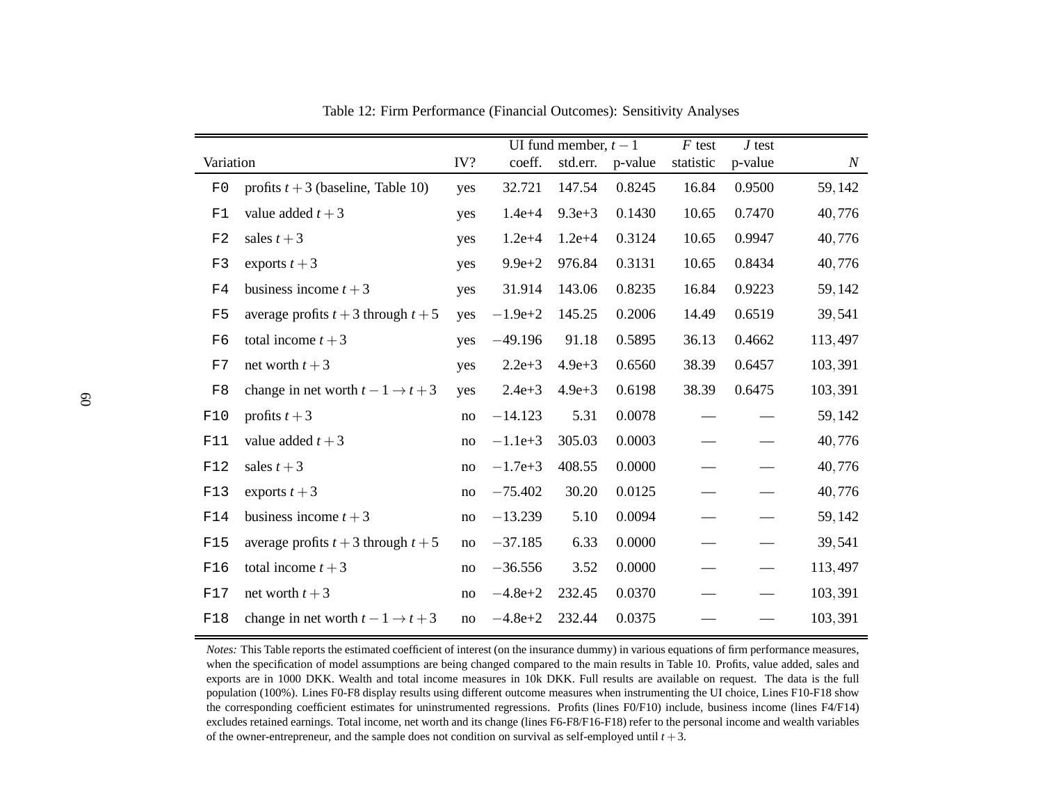|                |                                           |     |             | UI fund member, $t - 1$ |         | $F$ test  | $J$ test |                  |
|----------------|-------------------------------------------|-----|-------------|-------------------------|---------|-----------|----------|------------------|
| Variation      |                                           | IV? | coeff.      | std.err.                | p-value | statistic | p-value  | $\boldsymbol{N}$ |
| F0             | profits $t + 3$ (baseline, Table 10)      | yes | 32.721      | 147.54                  | 0.8245  | 16.84     | 0.9500   | 59,142           |
| F1             | value added $t + 3$                       | yes | $1.4e + 4$  | $9.3e + 3$              | 0.1430  | 10.65     | 0.7470   | 40,776           |
| F2             | sales $t + 3$                             | yes | $1.2e + 4$  | $1.2e + 4$              | 0.3124  | 10.65     | 0.9947   | 40,776           |
| F3             | exports $t+3$                             | yes | $9.9e + 2$  | 976.84                  | 0.3131  | 10.65     | 0.8434   | 40,776           |
| F <sub>4</sub> | business income $t + 3$                   | yes | 31.914      | 143.06                  | 0.8235  | 16.84     | 0.9223   | 59,142           |
| F5             | average profits $t + 3$ through $t + 5$   | yes | $-1.9e+2$   | 145.25                  | 0.2006  | 14.49     | 0.6519   | 39,541           |
| F6             | total income $t + 3$                      | yes | $-49.196$   | 91.18                   | 0.5895  | 36.13     | 0.4662   | 113,497          |
| F7             | net worth $t + 3$                         | yes | $2.2e + 3$  | $4.9e + 3$              | 0.6560  | 38.39     | 0.6457   | 103,391          |
| $\rm F8$       | change in net worth $t-1 \rightarrow t+3$ | yes | $2.4e + 3$  | $4.9e + 3$              | 0.6198  | 38.39     | 0.6475   | 103,391          |
| F10            | profits $t+3$                             | no  | $-14.123$   | 5.31                    | 0.0078  |           |          | 59,142           |
| F11            | value added $t + 3$                       | no  | $-1.1e+3$   | 305.03                  | 0.0003  |           |          | 40,776           |
| F12            | sales $t+3$                               | no  | $-1.7e+3$   | 408.55                  | 0.0000  |           |          | 40,776           |
| F13            | exports $t+3$                             | no  | $-75.402$   | 30.20                   | 0.0125  |           |          | 40,776           |
| F14            | business income $t + 3$                   | no  | $-13.239$   | 5.10                    | 0.0094  |           |          | 59,142           |
| F15            | average profits $t + 3$ through $t + 5$   | no  | $-37.185$   | 6.33                    | 0.0000  |           |          | 39,541           |
| F16            | total income $t + 3$                      | no  | $-36.556$   | 3.52                    | 0.0000  |           |          | 113,497          |
| F17            | net worth $t + 3$                         | no  | $-4.8e+2$   | 232.45                  | 0.0370  |           |          | 103,391          |
| F18            | change in net worth $t-1 \rightarrow t+3$ | no  | $-4.8e + 2$ | 232.44                  | 0.0375  |           |          | 103,391          |

<span id="page-60-0"></span>Table 12: Firm Performance (Financial Outcomes): Sensitivity Analyses

*Notes:* This Table reports the estimated coefficient of interest (on the insurance dummy) in various equations of firm performance measures, when the specification of model assumptions are being changed compared to the main results in Table [10.](#page-58-1) Profits, value added, sales and exports are in 1000 DKK. Wealth and total income measures in 10k DKK. Full results are available on request. The data is the full population (100%). Lines F0-F8 display results using different outcome measures when instrumenting the UI choice, Lines F10-F18 show the corresponding coefficient estimates for uninstrumented regressions. Profits (lines F0/F10) include, business income (lines F4/F14) excludes retained earnings. Total income, net worth and its change (lines F6-F8/F16-F18) refer to the persona<sup>l</sup> income and wealth variables of the owner-entrepreneur, and the sample does not condition on survival as self-employed until *<sup>t</sup>* <sup>+</sup>3.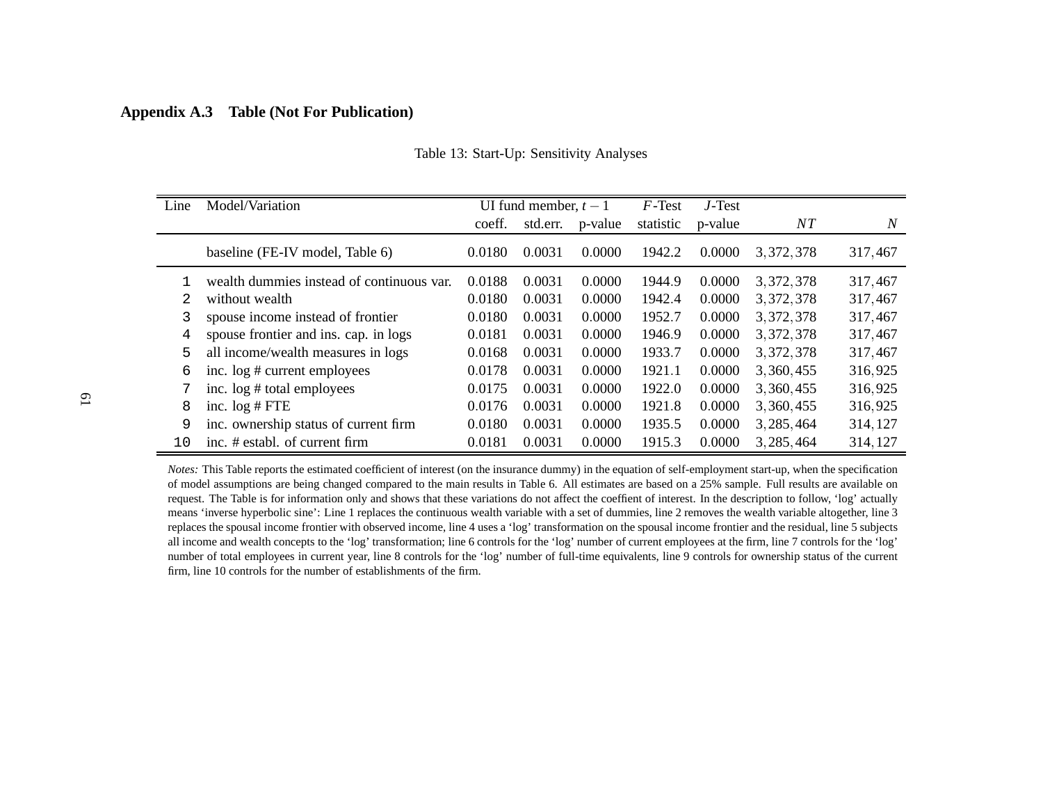## **Appendix A.3 Table (Not For Publication)**

| Line | Model/Variation                           |        | UI fund member, $t-1$ |         | $F$ -Test | $J$ -Test |             |          |
|------|-------------------------------------------|--------|-----------------------|---------|-----------|-----------|-------------|----------|
|      |                                           | coeff. | std.err.              | p-value | statistic | p-value   | $_{NT}$     | N        |
|      | baseline (FE-IV model, Table 6)           | 0.0180 | 0.0031                | 0.0000  | 1942.2    | 0.0000    | 3, 372, 378 | 317,467  |
|      | wealth dummies instead of continuous var. | 0.0188 | 0.0031                | 0.0000  | 1944.9    | 0.0000    | 3, 372, 378 | 317,467  |
| 2.   | without wealth                            | 0.0180 | 0.0031                | 0.0000  | 1942.4    | 0.0000    | 3, 372, 378 | 317,467  |
| 3    | spouse income instead of frontier         | 0.0180 | 0.0031                | 0.0000  | 1952.7    | 0.0000    | 3, 372, 378 | 317,467  |
| 4    | spouse frontier and ins. cap. in logs     | 0.0181 | 0.0031                | 0.0000  | 1946.9    | 0.0000    | 3, 372, 378 | 317,467  |
| 5    | all income/wealth measures in logs        | 0.0168 | 0.0031                | 0.0000  | 1933.7    | 0.0000    | 3, 372, 378 | 317,467  |
| 6    | inc. log # current employees              | 0.0178 | 0.0031                | 0.0000  | 1921.1    | 0.0000    | 3,360,455   | 316,925  |
|      | inc. log # total employees                | 0.0175 | 0.0031                | 0.0000  | 1922.0    | 0.0000    | 3,360,455   | 316,925  |
| 8    | inc. $log$ # FTE                          | 0.0176 | 0.0031                | 0.0000  | 1921.8    | 0.0000    | 3,360,455   | 316,925  |
| 9    | inc. ownership status of current firm     | 0.0180 | 0.0031                | 0.0000  | 1935.5    | 0.0000    | 3, 285, 464 | 314, 127 |
| 10   | inc. # establ. of current firm            | 0.0181 | 0.0031                | 0.0000  | 1915.3    | 0.0000    | 3, 285, 464 | 314, 127 |

### <span id="page-61-0"></span>Table 13: Start-Up: Sensitivity Analyses

*Notes:* This Table reports the estimated coefficient of interest (on the insurance dummy) in the equation of self-employment start-up, when the specification of model assumptions are being changed compared to the main results in Table [6.](#page-53-1) All estimates are based on <sup>a</sup> 25% sample. Full results are available on request. The Table is for information only and shows that these variations do not affect the coeffient of interest. In the description to follow, 'log' actually means 'inverse hyperbolic sine': Line 1 replaces the continuous wealth variable with <sup>a</sup> set of dummies, line 2 removes the wealth variable altogether, line <sup>3</sup> replaces the spousal income frontier with observed income, line 4 uses <sup>a</sup> 'log' transformation on the spousal income frontier and the residual, line 5 subjects all income and wealth concepts to the 'log' transformation; line <sup>6</sup> controls for the 'log' number of current employees at the firm, line <sup>7</sup> controls for the 'log' number of total employees in current year, line 8 controls for the 'log' number of full-time equivalents, line 9 controls for ownership status of the current firm, line 10 controls for the number of establishments of the firm.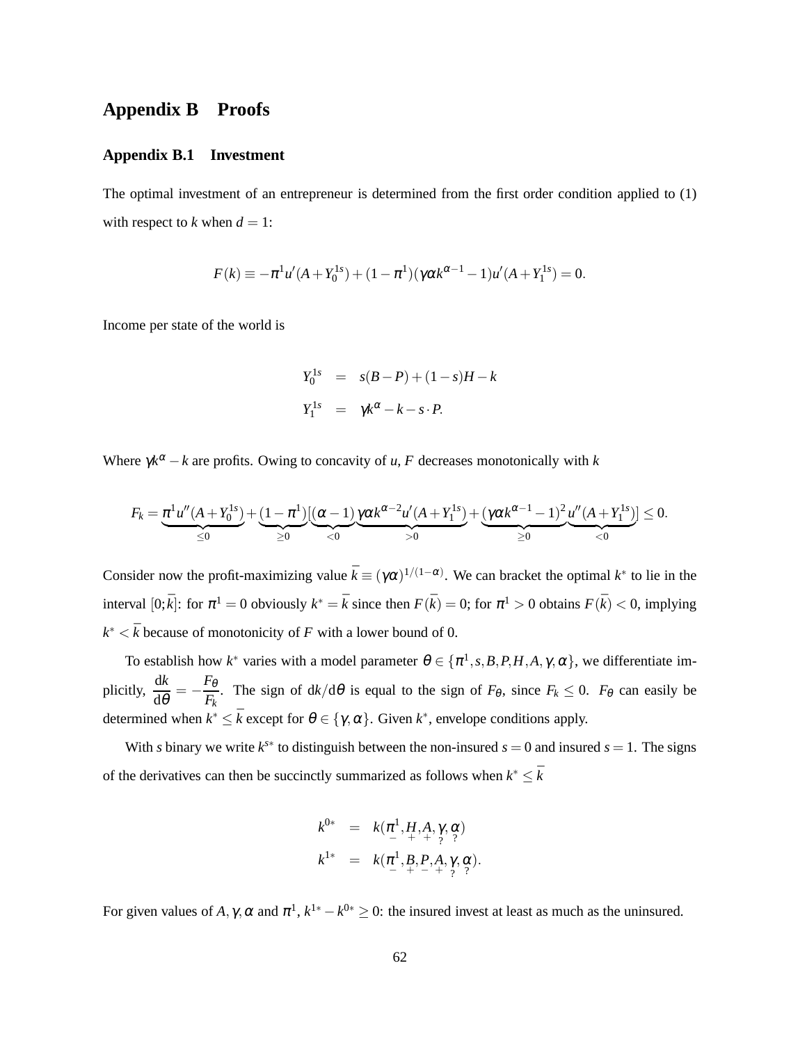# <span id="page-62-0"></span>**Appendix B Proofs**

## **Appendix B.1 Investment**

The optimal investment of an entrepreneur is determined from the first order condition applied to [\(1\)](#page-16-1) with respect to *k* when  $d = 1$ :

$$
F(k) \equiv -\pi^{1} u'(A + Y_0^{1s}) + (1 - \pi^{1})(\gamma \alpha k^{\alpha - 1} - 1)u'(A + Y_1^{1s}) = 0.
$$

Income per state of the world is

$$
Y_0^{1s} = s(B-P) + (1-s)H - k
$$
  

$$
Y_1^{1s} = \gamma k^{\alpha} - k - s \cdot P.
$$

Where  $\gamma k^{\alpha} - k$  are profits. Owing to concavity of *u*, *F* decreases monotonically with *k* 

$$
F_k = \underbrace{\pi^1 u''(A + Y_0^{1s})}_{\leq 0} + \underbrace{(1 - \pi^1)}_{\geq 0} \underbrace{[(\alpha - 1)}_{< 0} \underbrace{\gamma \alpha k^{\alpha - 2} u'(A + Y_1^{1s})}_{> 0} + \underbrace{(\gamma \alpha k^{\alpha - 1} - 1)^2}_{\geq 0} \underbrace{u''(A + Y_1^{1s})}_{< 0} \leq 0.
$$

Consider now the profit-maximizing value  $\bar{k} \equiv (\gamma \alpha)^{1/(1-\alpha)}$ . We can bracket the optimal  $k^*$  to lie in the interval  $[0;\bar{k}]$ : for  $\pi^1 = 0$  obviously  $k^* = \bar{k}$  since then  $F(\bar{k}) = 0$ ; for  $\pi^1 > 0$  obtains  $F(\bar{k}) < 0$ , implying  $k^* < \bar{k}$  because of monotonicity of *F* with a lower bound of 0.

To establish how  $k^*$  varies with a model parameter  $\theta \in {\pi^1, s, B, P, H, A, \gamma, \alpha}$ , we differentiate implicitly,  $\frac{dk}{d\theta} = -\frac{F_{\theta}}{F_{k}}$  $\frac{F_{\theta}}{F_{k}}$ . The sign of  $dk/d\theta$  is equal to the sign of  $F_{\theta}$ , since  $F_{k} \leq 0$ .  $F_{\theta}$  can easily be determined when  $k^* \leq \bar{k}$  except for  $\theta \in \{\gamma, \alpha\}$ . Given  $k^*$ , envelope conditions apply.

With *s* binary we write  $k^{s*}$  to distinguish between the non-insured  $s = 0$  and insured  $s = 1$ . The signs of the derivatives can then be succinctly summarized as follows when  $k^* \leq \overline{k}$ 

$$
k^{0*} = k(\pi^1, H, A, \gamma, \alpha) k^{1*} = k(\pi^1, B, P, A, \gamma, \alpha) k^{1*} = k(\pi^1, B, P, A, \gamma, \alpha).
$$

For given values of *A*,  $\gamma$ ,  $\alpha$  and  $\pi^1$ ,  $k^{1*} - k^{0*} \ge 0$ : the insured invest at least as much as the uninsured.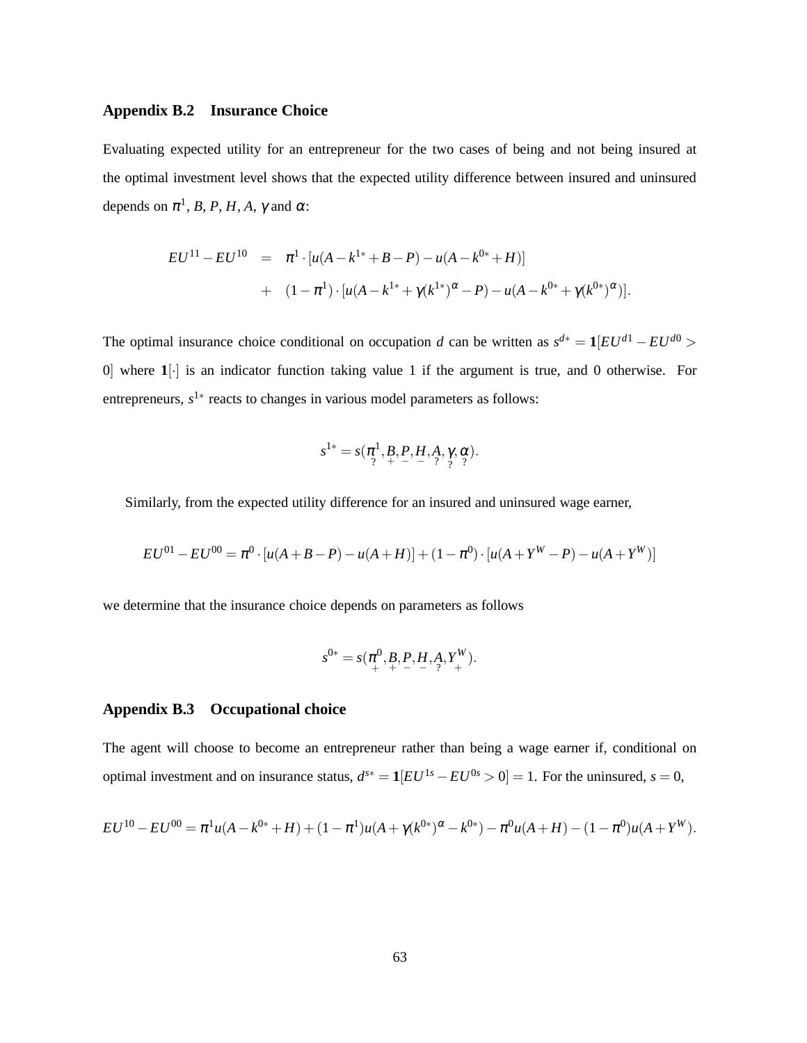### **Appendix B.2 Insurance Choice**

Evaluating expected utility for an entrepreneur for the two cases of being and not being insured at the optimal investment level shows that the expected utility difference between insured and uninsured depends on  $\pi^1$ , *B*, *P*, *H*, *A*,  $\gamma$  and  $\alpha$ :

$$
EU^{11} - EU^{10} = \pi^{1} \cdot [u(A - k^{1*} + B - P) - u(A - k^{0*} + H)]
$$
  
+ 
$$
(1 - \pi^{1}) \cdot [u(A - k^{1*} + \gamma(k^{1*})^{\alpha} - P) - u(A - k^{0*} + \gamma(k^{0*})^{\alpha})].
$$

The optimal insurance choice conditional on occupation *d* can be written as  $s^{d*} = \mathbf{1}[EU^{d_1} - EU^{d_0}]$ 0] where **1**[·] is an indicator function taking value 1 if the argument is true, and 0 otherwise. For entrepreneurs, s<sup>1</sup><sup>\*</sup> reacts to changes in various model parameters as follows:

$$
s^{1*} = s(\pi^1, B, P, H, A, \gamma, \alpha) \cdot s^{1*} = s(\pi^1, B, P, H, A, \gamma, \alpha).
$$

Similarly, from the expected utility difference for an insured and uninsured wage earner,

$$
EU^{01} - EU^{00} = \pi^0 \cdot [u(A + B - P) - u(A + H)] + (1 - \pi^0) \cdot [u(A + Y^W - P) - u(A + Y^W)]
$$

we determine that the insurance choice depends on parameters as follows

$$
s^{0*} = s(\pi^0_+, B, P, H, A, Y^K_+).
$$

### **Appendix B.3 Occupational choice**

The agent will choose to become an entrepreneur rather than being a wage earner if, conditional on optimal investment and on insurance status,  $d^{s*} = \mathbf{1}[EU^{1s} - EU^{0s} > 0] = 1$ . For the uninsured,  $s = 0$ ,

$$
EU^{10} - EU^{00} = \pi^1 u(A - k^{0*} + H) + (1 - \pi^1)u(A + \gamma(k^{0*})^{\alpha} - k^{0*}) - \pi^0 u(A + H) - (1 - \pi^0)u(A + Y^W).
$$